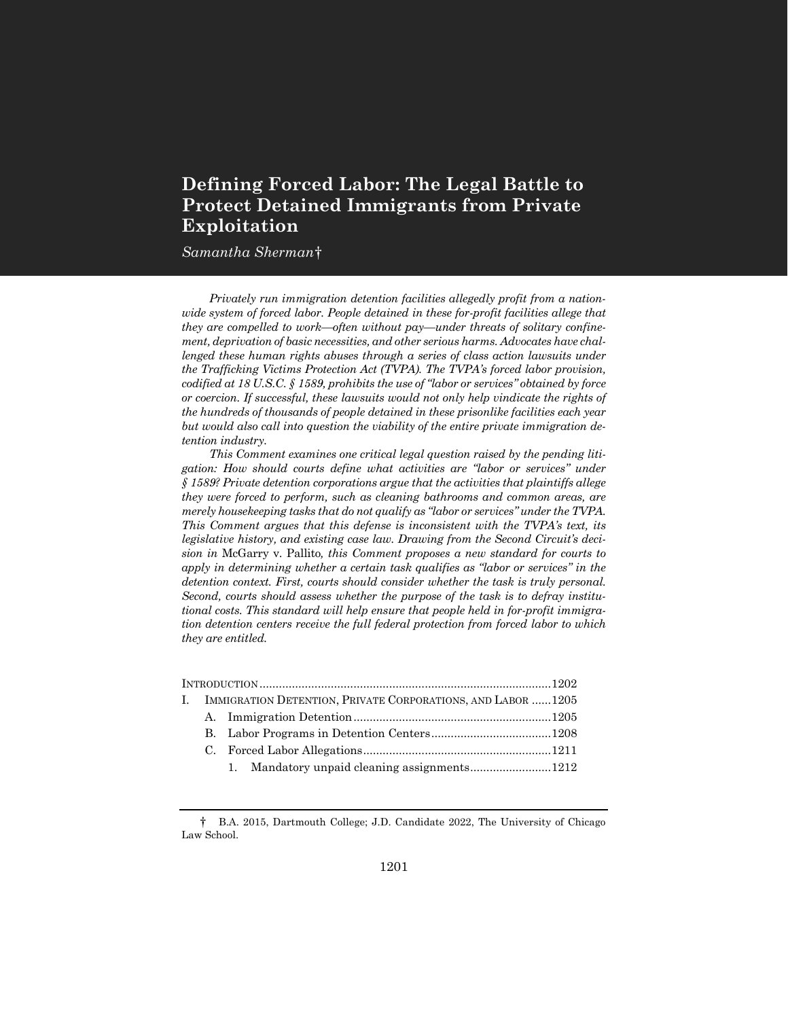# **Defining Forced Labor: The Legal Battle to Protect Detained Immigrants from Private Exploitation**

## $Samantha\ Sherman\dagger$

*Privately run immigration detention facilities allegedly profit from a nationwide system of forced labor. People detained in these for-profit facilities allege that they are compelled to work—often without pay—under threats of solitary confinement, deprivation of basic necessities, and other serious harms. Advocates have challenged these human rights abuses through a series of class action lawsuits under the Trafficking Victims Protection Act (TVPA). The TVPA's forced labor provision, codified at 18 U.S.C. § 1589, prohibits the use of "labor or services" obtained by force or coercion. If successful, these lawsuits would not only help vindicate the rights of the hundreds of thousands of people detained in these prisonlike facilities each year but would also call into question the viability of the entire private immigration detention industry.*

*This Comment examines one critical legal question raised by the pending litigation: How should courts define what activities are "labor or services" under § 1589? Private detention corporations argue that the activities that plaintiffs allege they were forced to perform, such as cleaning bathrooms and common areas, are merely housekeeping tasks that do not qualify as "labor or services" under the TVPA. This Comment argues that this defense is inconsistent with the TVPA's text, its legislative history, and existing case law. Drawing from the Second Circuit's decision in* McGarry v. Pallito*, this Comment proposes a new standard for courts to apply in determining whether a certain task qualifies as "labor or services" in the detention context. First, courts should consider whether the task is truly personal. Second, courts should assess whether the purpose of the task is to defray institutional costs. This standard will help ensure that people held in for-profit immigration detention centers receive the full federal protection from forced labor to which they are entitled.*

| IMMIGRATION DETENTION, PRIVATE CORPORATIONS, AND LABOR 1205 |  |  |  |
|-------------------------------------------------------------|--|--|--|
|                                                             |  |  |  |
|                                                             |  |  |  |
|                                                             |  |  |  |
|                                                             |  |  |  |
|                                                             |  |  |  |

<sup>†</sup> B.A. 2015, Dartmouth College; J.D. Candidate 2022, The University of Chicago Law School.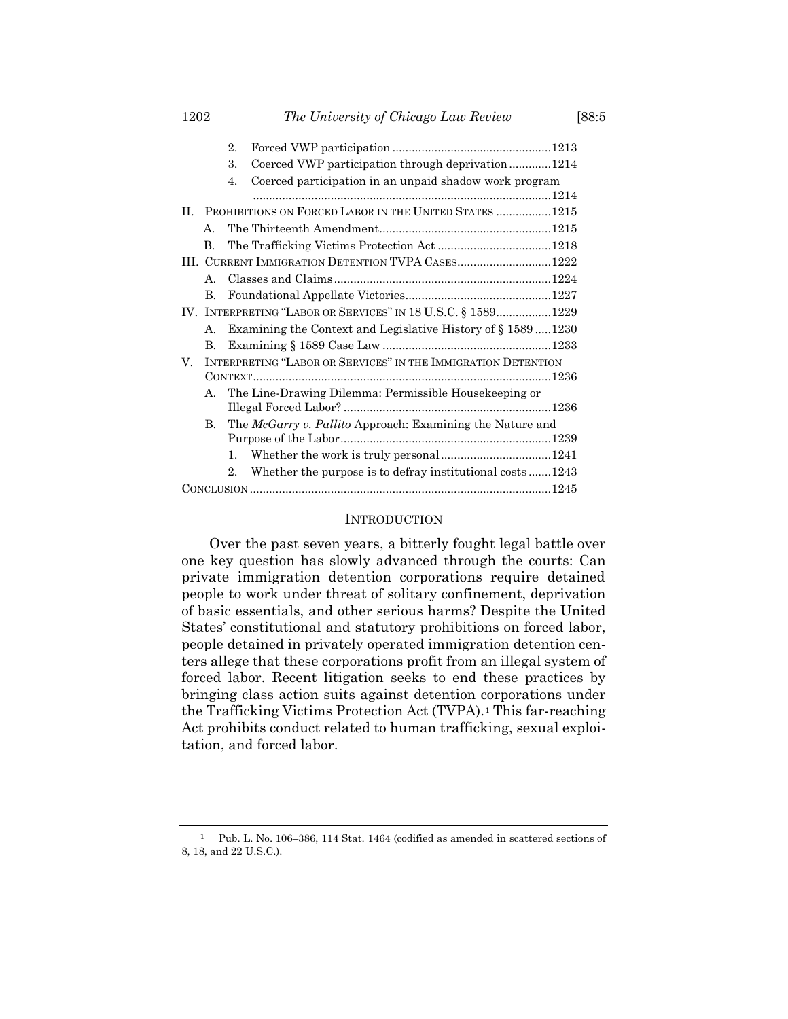|    |                                                              | 2. |                                                                 |  |  |  |
|----|--------------------------------------------------------------|----|-----------------------------------------------------------------|--|--|--|
|    |                                                              | 3. | Coerced VWP participation through deprivation1214               |  |  |  |
|    |                                                              | 4. | Coerced participation in an unpaid shadow work program          |  |  |  |
|    |                                                              |    |                                                                 |  |  |  |
| Н. |                                                              |    | PROHIBITIONS ON FORCED LABOR IN THE UNITED STATES  1215         |  |  |  |
|    | $\mathbf{A}$ .                                               |    |                                                                 |  |  |  |
|    | B.                                                           |    |                                                                 |  |  |  |
|    | III. CURRENT IMMIGRATION DETENTION TVPA CASES1222            |    |                                                                 |  |  |  |
|    | $\mathsf{A}$ .                                               |    |                                                                 |  |  |  |
|    | В.                                                           |    |                                                                 |  |  |  |
|    | IV. INTERPRETING "LABOR OR SERVICES" IN 18 U.S.C. § 15891229 |    |                                                                 |  |  |  |
|    | А.                                                           |    | Examining the Context and Legislative History of $\S 1589$ 1230 |  |  |  |
|    | В.                                                           |    |                                                                 |  |  |  |
| V. |                                                              |    | INTERPRETING "LABOR OR SERVICES" IN THE IMMIGRATION DETENTION   |  |  |  |
|    |                                                              |    |                                                                 |  |  |  |
|    | The Line-Drawing Dilemma: Permissible Housekeeping or<br>А.  |    |                                                                 |  |  |  |
|    |                                                              |    |                                                                 |  |  |  |
|    | В.                                                           |    | The McGarry v. Pallito Approach: Examining the Nature and       |  |  |  |
|    |                                                              |    |                                                                 |  |  |  |
|    |                                                              | 1. |                                                                 |  |  |  |
|    |                                                              | 2. | Whether the purpose is to defray institutional costs1243        |  |  |  |
|    |                                                              |    |                                                                 |  |  |  |
|    |                                                              |    |                                                                 |  |  |  |

#### **INTRODUCTION**

Over the past seven years, a bitterly fought legal battle over one key question has slowly advanced through the courts: Can private immigration detention corporations require detained people to work under threat of solitary confinement, deprivation of basic essentials, and other serious harms? Despite the United States' constitutional and statutory prohibitions on forced labor, people detained in privately operated immigration detention centers allege that these corporations profit from an illegal system of forced labor. Recent litigation seeks to end these practices by bringing class action suits against detention corporations under the Trafficking Victims Protection Act (TVPA).*1F* <sup>1</sup> This far-reaching Act prohibits conduct related to human trafficking, sexual exploitation, and forced labor.

1 Pub. L. No. 106–386, 114 Stat. 1464 (codified as amended in scattered sections of 8, 18, and 22 U.S.C.).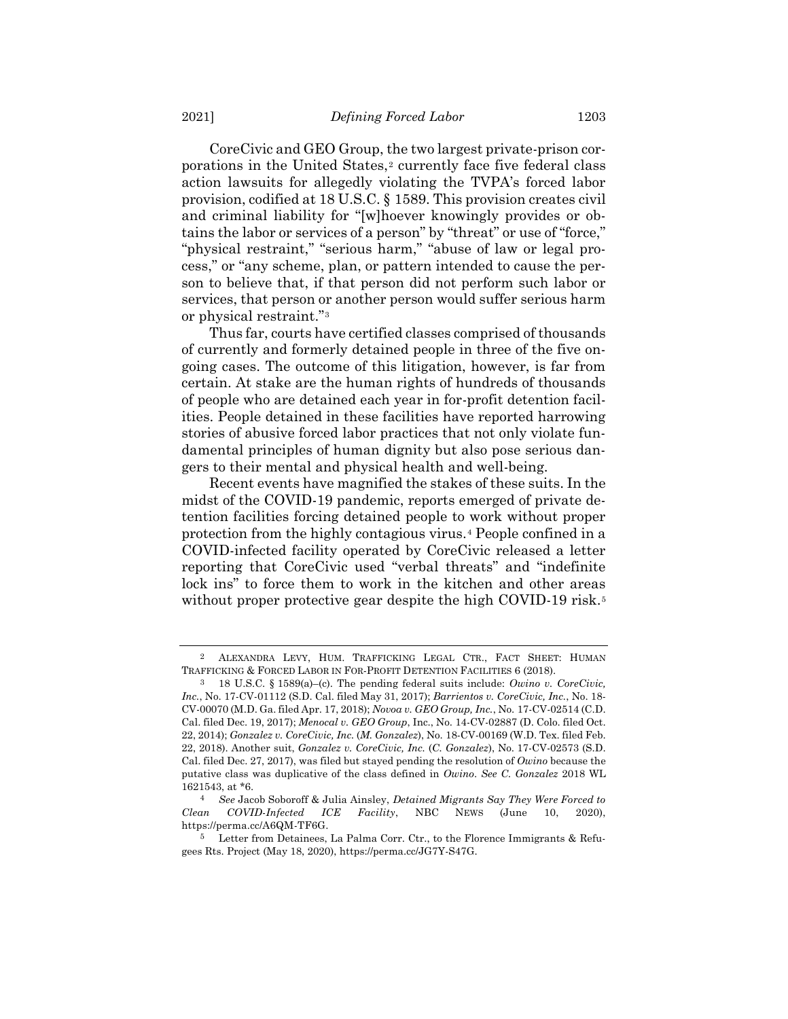<span id="page-2-1"></span>CoreCivic and GEO Group, the two largest private-prison corporations in the United States,<sup>2</sup> currently face five federal class action lawsuits for allegedly violating the TVPA's forced labor provision, codified at 18 U.S.C. § 1589. This provision creates civil and criminal liability for "[w]hoever knowingly provides or obtains the labor or services of a person" by "threat" or use of "force," "physical restraint," "serious harm," "abuse of law or legal process," or "any scheme, plan, or pattern intended to cause the person to believe that, if that person did not perform such labor or services, that person or another person would suffer serious harm or physical restraint."<sup>3</sup>

Thus far, courts have certified classes comprised of thousands of currently and formerly detained people in three of the five ongoing cases. The outcome of this litigation, however, is far from certain. At stake are the human rights of hundreds of thousands of people who are detained each year in for-profit detention facilities. People detained in these facilities have reported harrowing stories of abusive forced labor practices that not only violate fundamental principles of human dignity but also pose serious dangers to their mental and physical health and well-being.

<span id="page-2-0"></span>Recent events have magnified the stakes of these suits. In the midst of the COVID-19 pandemic, reports emerged of private detention facilities forcing detained people to work without proper protection from the highly contagious virus.<sup>4</sup> People confined in a COVID-infected facility operated by CoreCivic released a letter reporting that CoreCivic used "verbal threats" and "indefinite lock ins" to force them to work in the kitchen and other areas without proper protective gear despite the high COVID-19 risk.<sup>5</sup>

<sup>2</sup> ALEXANDRA LEVY, HUM. TRAFFICKING LEGAL CTR., FACT SHEET: HUMAN TRAFFICKING & FORCED LABOR IN FOR-PROFIT DETENTION FACILITIES 6 (2018).

<sup>3</sup> 18 U.S.C. § 1589(a)–(c). The pending federal suits include: *Owino v. CoreCivic, Inc.*, No. 17-CV-01112 (S.D. Cal. filed May 31, 2017); *Barrientos v. CoreCivic, Inc.*, No. 18- CV-00070 (M.D. Ga. filed Apr. 17, 2018); *Novoa v. GEO Group, Inc.*, No. 17-CV-02514 (C.D. Cal. filed Dec. 19, 2017); *Menocal v. GEO Group*, Inc., No. 14-CV-02887 (D. Colo. filed Oct. 22, 2014); *Gonzalez v. CoreCivic, Inc.* (*M. Gonzalez*), No. 18-CV-00169 (W.D. Tex. filed Feb. 22, 2018). Another suit, *Gonzalez v. CoreCivic, Inc.* (*C. Gonzalez*), No. 17-CV-02573 (S.D. Cal. filed Dec. 27, 2017), was filed but stayed pending the resolution of *Owino* because the putative class was duplicative of the class defined in *Owino*. *See C. Gonzalez* 2018 WL 1621543, at \*6.

<sup>4</sup> *See* Jacob Soboroff & Julia Ainsley, *Detained Migrants Say They Were Forced to Clean COVID-Infected ICE Facility*, NBC NEWS (June 10, 2020), https://perma.cc/A6QM-TF6G.

<sup>5</sup> Letter from Detainees, La Palma Corr. Ctr., to the Florence Immigrants & Refugees Rts. Project (May 18, 2020), https://perma.cc/JG7Y-S47G.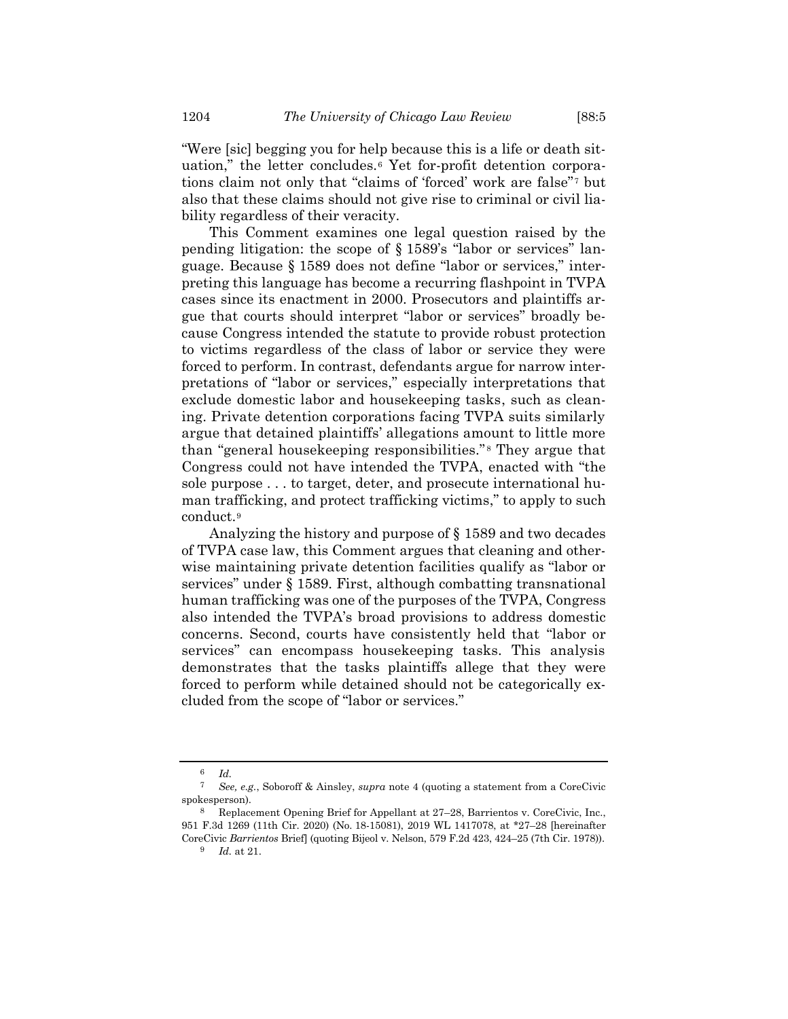"Were [sic] begging you for help because this is a life or death situation," the letter concludes.<sup>6</sup> Yet for-profit detention corporations claim not only that "claims of 'forced' work are false"<sup>7</sup> but also that these claims should not give rise to criminal or civil liability regardless of their veracity.

This Comment examines one legal question raised by the pending litigation: the scope of § 1589's "labor or services" language. Because § 1589 does not define "labor or services," interpreting this language has become a recurring flashpoint in TVPA cases since its enactment in 2000. Prosecutors and plaintiffs argue that courts should interpret "labor or services" broadly because Congress intended the statute to provide robust protection to victims regardless of the class of labor or service they were forced to perform. In contrast, defendants argue for narrow interpretations of "labor or services," especially interpretations that exclude domestic labor and housekeeping tasks, such as cleaning. Private detention corporations facing TVPA suits similarly argue that detained plaintiffs' allegations amount to little more than "general housekeeping responsibilities."<sup>8</sup> They argue that Congress could not have intended the TVPA, enacted with "the sole purpose . . . to target, deter, and prosecute international human trafficking, and protect trafficking victims," to apply to such conduct.<sup>9</sup>

<span id="page-3-0"></span>Analyzing the history and purpose of § 1589 and two decades of TVPA case law, this Comment argues that cleaning and otherwise maintaining private detention facilities qualify as "labor or services" under § 1589. First, although combatting transnational human trafficking was one of the purposes of the TVPA, Congress also intended the TVPA's broad provisions to address domestic concerns. Second, courts have consistently held that "labor or services" can encompass housekeeping tasks. This analysis demonstrates that the tasks plaintiffs allege that they were forced to perform while detained should not be categorically excluded from the scope of "labor or services."

 $\frac{6}{7}$  *Id.* 

<sup>7</sup> *See, e.g.*, Soboroff & Ainsley, *supra* note [4](#page-2-0) (quoting a statement from a CoreCivic spokesperson).

<sup>8</sup> Replacement Opening Brief for Appellant at 27–28, Barrientos v. CoreCivic, Inc., 951 F.3d 1269 (11th Cir. 2020) (No. 18-15081), 2019 WL 1417078, at \*27–28 [hereinafter CoreCivic *Barrientos* Brief] (quoting Bijeol v. Nelson, 579 F.2d 423, 424–25 (7th Cir. 1978)).

<sup>9</sup> *Id.* at 21.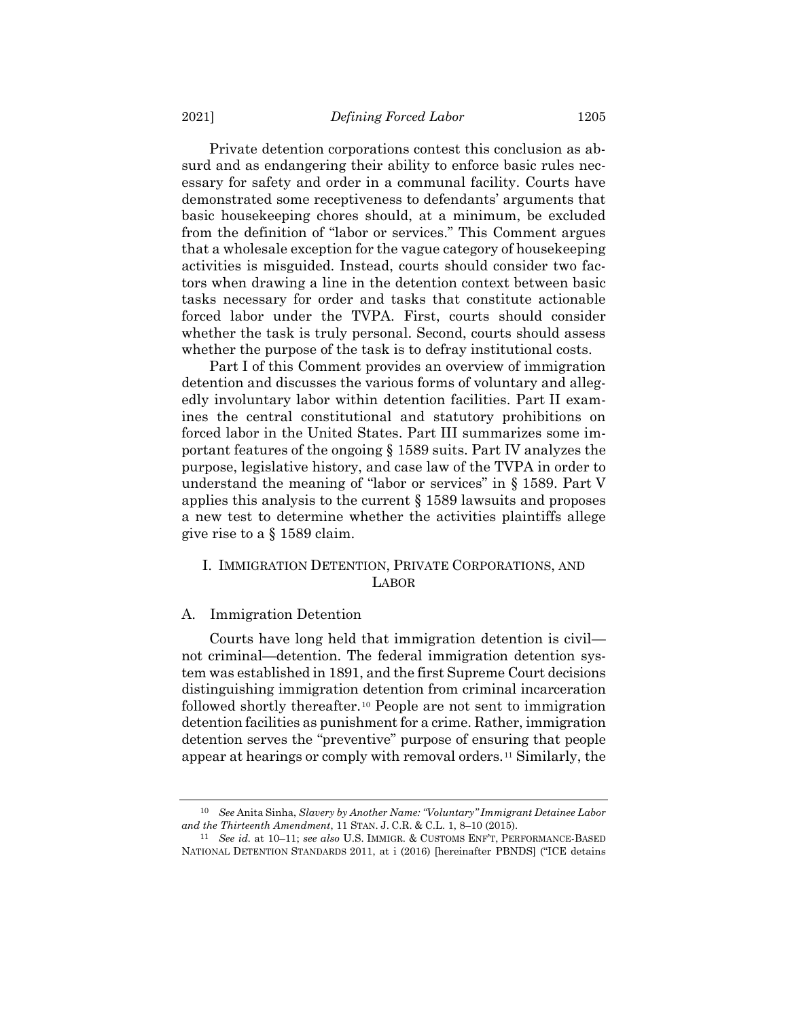Private detention corporations contest this conclusion as absurd and as endangering their ability to enforce basic rules necessary for safety and order in a communal facility. Courts have demonstrated some receptiveness to defendants' arguments that basic housekeeping chores should, at a minimum, be excluded from the definition of "labor or services." This Comment argues that a wholesale exception for the vague category of housekeeping activities is misguided. Instead, courts should consider two factors when drawing a line in the detention context between basic tasks necessary for order and tasks that constitute actionable forced labor under the TVPA. First, courts should consider whether the task is truly personal. Second, courts should assess whether the purpose of the task is to defray institutional costs.

Part I of this Comment provides an overview of immigration detention and discusses the various forms of voluntary and allegedly involuntary labor within detention facilities. Part II examines the central constitutional and statutory prohibitions on forced labor in the United States. Part III summarizes some important features of the ongoing § 1589 suits. Part IV analyzes the purpose, legislative history, and case law of the TVPA in order to understand the meaning of "labor or services" in § 1589. Part V applies this analysis to the current § 1589 lawsuits and proposes a new test to determine whether the activities plaintiffs allege give rise to a § 1589 claim.

## I. IMMIGRATION DETENTION, PRIVATE CORPORATIONS, AND LABOR

## A. Immigration Detention

<span id="page-4-1"></span>Courts have long held that immigration detention is civil not criminal—detention. The federal immigration detention system was established in 1891, and the first Supreme Court decisions distinguishing immigration detention from criminal incarceration followed shortly thereafter.<sup>10</sup> People are not sent to immigration detention facilities as punishment for a crime. Rather, immigration detention serves the "preventive" purpose of ensuring that people appear at hearings or comply with removal orders.<sup>11</sup> Similarly, the

<span id="page-4-0"></span><sup>10</sup> *See* Anita Sinha, *Slavery by Another Name: "Voluntary" Immigrant Detainee Labor and the Thirteenth Amendment*, 11 STAN. J. C.R. & C.L. 1, 8–10 (2015).

<sup>11</sup> *See id.* at 10–11; *see also* U.S. IMMIGR. & CUSTOMS ENF'T, PERFORMANCE-BASED NATIONAL DETENTION STANDARDS 2011, at i (2016) [hereinafter PBNDS] ("ICE detains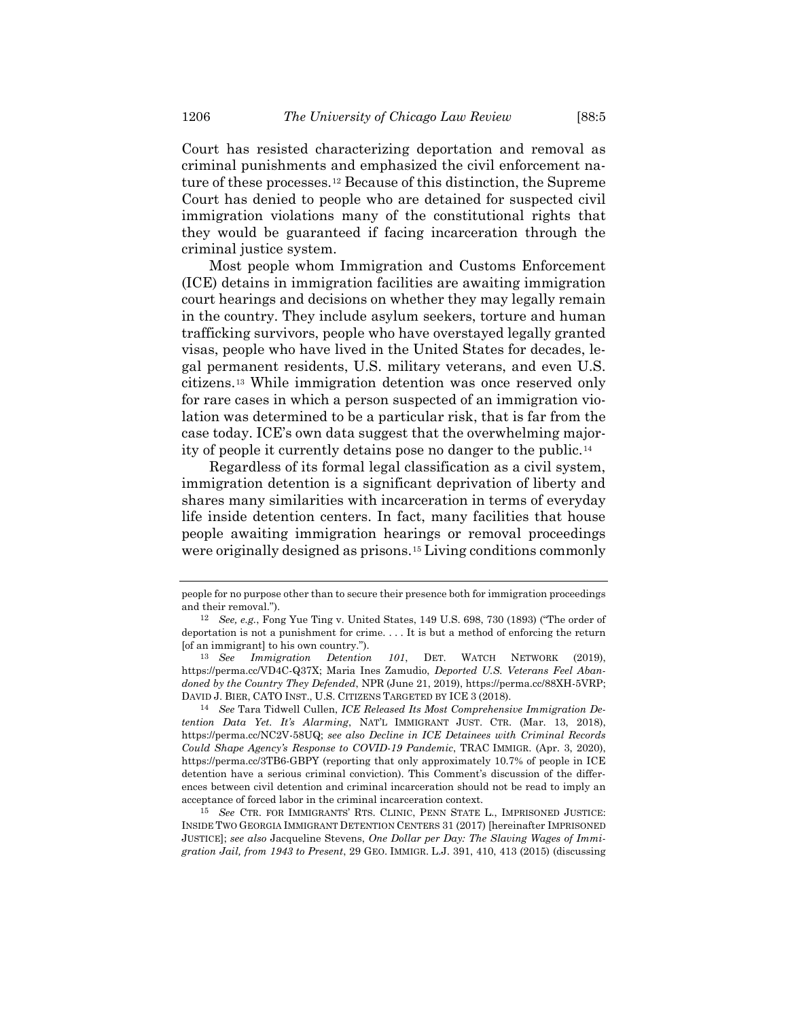Court has resisted characterizing deportation and removal as criminal punishments and emphasized the civil enforcement nature of these processes.<sup>12</sup> Because of this distinction, the Supreme Court has denied to people who are detained for suspected civil immigration violations many of the constitutional rights that they would be guaranteed if facing incarceration through the criminal justice system.

Most people whom Immigration and Customs Enforcement (ICE) detains in immigration facilities are awaiting immigration court hearings and decisions on whether they may legally remain in the country. They include asylum seekers, torture and human trafficking survivors, people who have overstayed legally granted visas, people who have lived in the United States for decades, legal permanent residents, U.S. military veterans, and even U.S. citizens.<sup>13</sup> While immigration detention was once reserved only for rare cases in which a person suspected of an immigration violation was determined to be a particular risk, that is far from the case today. ICE's own data suggest that the overwhelming majority of people it currently detains pose no danger to the public.<sup>14</sup>

Regardless of its formal legal classification as a civil system, immigration detention is a significant deprivation of liberty and shares many similarities with incarceration in terms of everyday life inside detention centers. In fact, many facilities that house people awaiting immigration hearings or removal proceedings were originally designed as prisons.<sup>15</sup> Living conditions commonly

<span id="page-5-0"></span>people for no purpose other than to secure their presence both for immigration proceedings and their removal.").

<sup>12</sup> *See, e.g.*, Fong Yue Ting v. United States, 149 U.S. 698, 730 (1893) ("The order of deportation is not a punishment for crime. . . . It is but a method of enforcing the return [of an immigrant] to his own country.").

<sup>13</sup> *See Immigration Detention 101*, DET. WATCH NETWORK (2019), https://perma.cc/VD4C-Q37X; Maria Ines Zamudio, *Deported U.S. Veterans Feel Abandoned by the Country They Defended*, NPR (June 21, 2019), https://perma.cc/88XH-5VRP; DAVID J. BIER, CATO INST., U.S. CITIZENS TARGETED BY ICE 3 (2018).

<sup>14</sup> *See* Tara Tidwell Cullen, *ICE Released Its Most Comprehensive Immigration Detention Data Yet. It's Alarming*, NAT'L IMMIGRANT JUST. CTR. (Mar. 13, 2018), https://perma.cc/NC2V-58UQ; *see also Decline in ICE Detainees with Criminal Records Could Shape Agency's Response to COVID-19 Pandemic*, TRAC IMMIGR. (Apr. 3, 2020), https://perma.cc/3TB6-GBPY (reporting that only approximately 10.7% of people in ICE detention have a serious criminal conviction). This Comment's discussion of the differences between civil detention and criminal incarceration should not be read to imply an acceptance of forced labor in the criminal incarceration context.

<sup>15</sup> *See* CTR. FOR IMMIGRANTS' RTS. CLINIC, PENN STATE L., IMPRISONED JUSTICE: INSIDE TWO GEORGIA IMMIGRANT DETENTION CENTERS 31 (2017) [hereinafter IMPRISONED JUSTICE]; *see also* Jacqueline Stevens, *One Dollar per Day: The Slaving Wages of Immigration Jail, from 1943 to Present*, 29 GEO. IMMIGR. L.J. 391, 410, 413 (2015) (discussing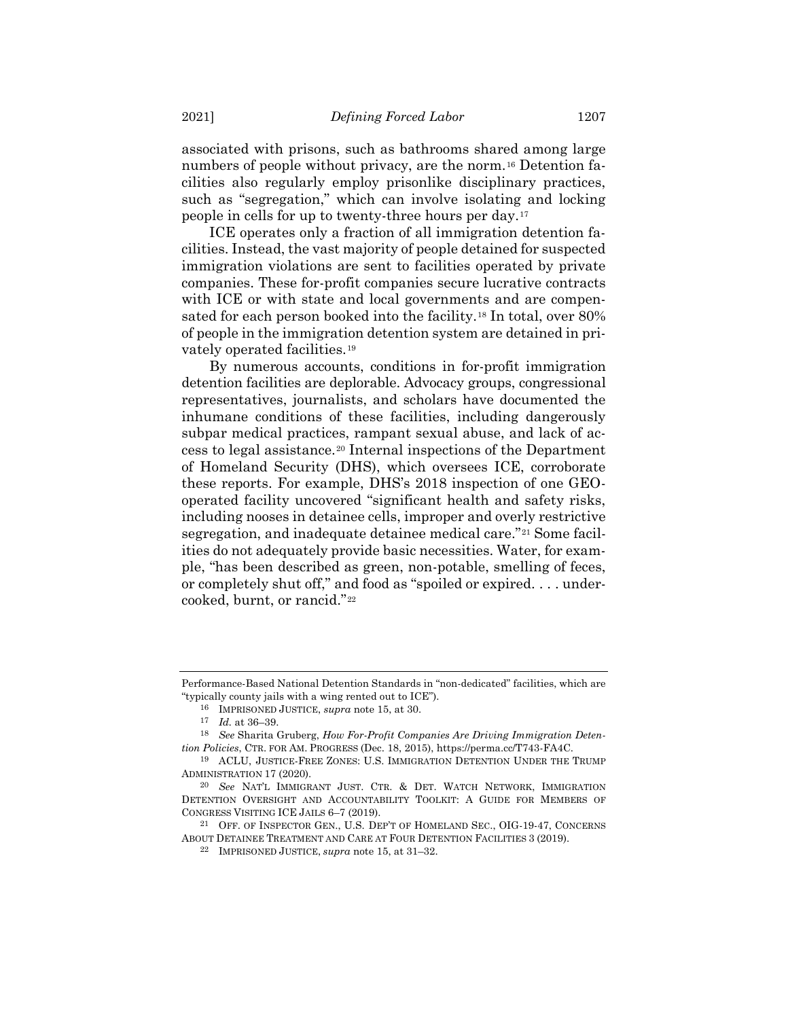<span id="page-6-1"></span>associated with prisons, such as bathrooms shared among large numbers of people without privacy, are the norm.<sup>16</sup> Detention facilities also regularly employ prisonlike disciplinary practices, such as "segregation," which can involve isolating and locking people in cells for up to twenty-three hours per day.<sup>17</sup>

ICE operates only a fraction of all immigration detention facilities. Instead, the vast majority of people detained for suspected immigration violations are sent to facilities operated by private companies. These for-profit companies secure lucrative contracts with ICE or with state and local governments and are compensated for each person booked into the facility.<sup>18</sup> In total, over 80% of people in the immigration detention system are detained in privately operated facilities.<sup>19</sup>

<span id="page-6-0"></span>By numerous accounts, conditions in for-profit immigration detention facilities are deplorable. Advocacy groups, congressional representatives, journalists, and scholars have documented the inhumane conditions of these facilities, including dangerously subpar medical practices, rampant sexual abuse, and lack of access to legal assistance.<sup>20</sup> Internal inspections of the Department of Homeland Security (DHS), which oversees ICE, corroborate these reports. For example, DHS's 2018 inspection of one GEOoperated facility uncovered "significant health and safety risks, including nooses in detainee cells, improper and overly restrictive segregation, and inadequate detainee medical care."<sup>21</sup> Some facilities do not adequately provide basic necessities. Water, for example, "has been described as green, non-potable, smelling of feces, or completely shut off," and food as "spoiled or expired. . . . undercooked, burnt, or rancid."<sup>22</sup>

Performance-Based National Detention Standards in "non-dedicated" facilities, which are "typically county jails with a wing rented out to ICE").

<span id="page-6-2"></span><sup>16</sup> IMPRISONED JUSTICE, *supra* note [15,](#page-5-0) at 30.

<sup>17</sup> *Id.* at 36–39.

<sup>18</sup> *See* Sharita Gruberg, *How For-Profit Companies Are Driving Immigration Detention Policies*, CTR. FOR AM. PROGRESS (Dec. 18, 2015), https://perma.cc/T743-FA4C.

<sup>19</sup> ACLU, JUSTICE-FREE ZONES: U.S. IMMIGRATION DETENTION UNDER THE TRUMP ADMINISTRATION 17 (2020).

<sup>20</sup> *See* NAT'L IMMIGRANT JUST. CTR. & DET. WATCH NETWORK, IMMIGRATION DETENTION OVERSIGHT AND ACCOUNTABILITY TOOLKIT: A GUIDE FOR MEMBERS OF CONGRESS VISITING ICE JAILS 6–7 (2019).

<sup>21</sup> OFF. OF INSPECTOR GEN., U.S. DEP'T OF HOMELAND SEC., OIG-19-47, CONCERNS ABOUT DETAINEE TREATMENT AND CARE AT FOUR DETENTION FACILITIES 3 (2019).

<sup>22</sup> IMPRISONED JUSTICE, *supra* note [15,](#page-5-0) at 31–32.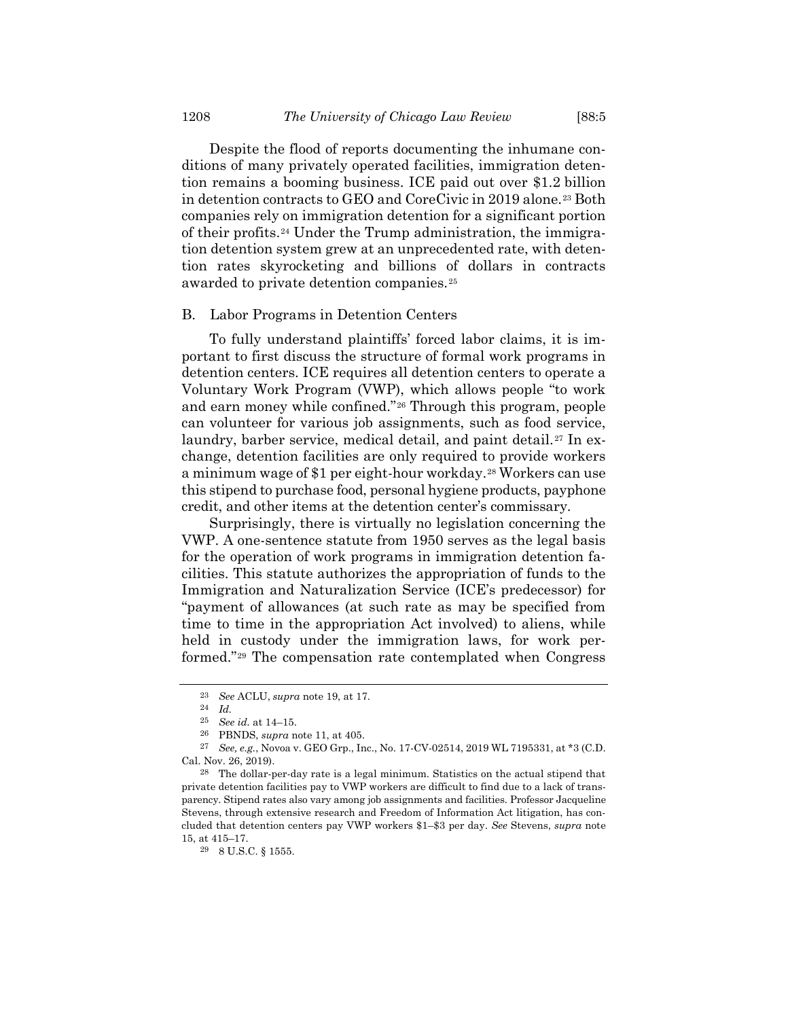Despite the flood of reports documenting the inhumane conditions of many privately operated facilities, immigration detention remains a booming business. ICE paid out over \$1.2 billion in detention contracts to GEO and CoreCivic in 2019 alone.<sup>23</sup> Both companies rely on immigration detention for a significant portion of their profits.<sup>24</sup> Under the Trump administration, the immigration detention system grew at an unprecedented rate, with detention rates skyrocketing and billions of dollars in contracts awarded to private detention companies.<sup>25</sup>

#### B. Labor Programs in Detention Centers

To fully understand plaintiffs' forced labor claims, it is important to first discuss the structure of formal work programs in detention centers. ICE requires all detention centers to operate a Voluntary Work Program (VWP), which allows people "to work and earn money while confined."<sup>26</sup> Through this program, people can volunteer for various job assignments, such as food service, laundry, barber service, medical detail, and paint detail.<sup>27</sup> In exchange, detention facilities are only required to provide workers a minimum wage of \$1 per eight-hour workday.<sup>28</sup> Workers can use this stipend to purchase food, personal hygiene products, payphone credit, and other items at the detention center's commissary.

Surprisingly, there is virtually no legislation concerning the VWP. A one-sentence statute from 1950 serves as the legal basis for the operation of work programs in immigration detention facilities. This statute authorizes the appropriation of funds to the Immigration and Naturalization Service (ICE's predecessor) for "payment of allowances (at such rate as may be specified from time to time in the appropriation Act involved) to aliens, while held in custody under the immigration laws, for work performed."<sup>29</sup> The compensation rate contemplated when Congress

<sup>23</sup> *See* ACLU, *supra* not[e 19,](#page-6-0) at 17.

<sup>24</sup> *Id.*

<sup>25</sup> *See id.* at 14–15.

<sup>26</sup> PBNDS, *supra* note [11,](#page-4-0) at 405.

<sup>27</sup> *See, e.g.*, Novoa v. GEO Grp., Inc., No. 17-CV-02514, 2019 WL 7195331, at \*3 (C.D. Cal. Nov. 26, 2019).

<sup>28</sup> The dollar-per-day rate is a legal minimum. Statistics on the actual stipend that private detention facilities pay to VWP workers are difficult to find due to a lack of transparency. Stipend rates also vary among job assignments and facilities. Professor Jacqueline Stevens, through extensive research and Freedom of Information Act litigation, has concluded that detention centers pay VWP workers \$1–\$3 per day. *See* Stevens, *supra* note [15,](#page-5-0) at 415–17.

<sup>29</sup> 8 U.S.C. § 1555.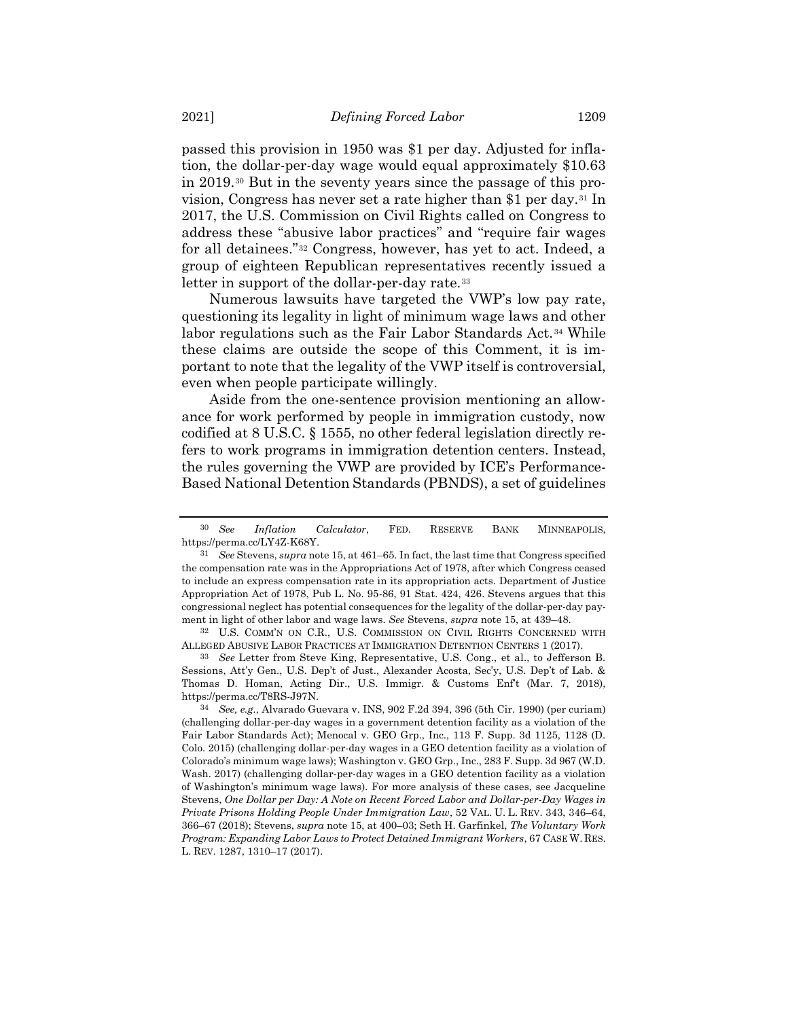passed this provision in 1950 was \$1 per day. Adjusted for inflation, the dollar-per-day wage would equal approximately \$10.63 in 2019.<sup>30</sup> But in the seventy years since the passage of this provision, Congress has never set a rate higher than \$1 per day.<sup>31</sup> In 2017, the U.S. Commission on Civil Rights called on Congress to address these "abusive labor practices" and "require fair wages for all detainees."<sup>32</sup> Congress, however, has yet to act. Indeed, a group of eighteen Republican representatives recently issued a letter in support of the dollar-per-day rate.<sup>33</sup>

<span id="page-8-0"></span>Numerous lawsuits have targeted the VWP's low pay rate, questioning its legality in light of minimum wage laws and other labor regulations such as the Fair Labor Standards Act.<sup>34</sup> While these claims are outside the scope of this Comment, it is important to note that the legality of the VWP itself is controversial, even when people participate willingly.

Aside from the one-sentence provision mentioning an allowance for work performed by people in immigration custody, now codified at 8 U.S.C. § 1555, no other federal legislation directly refers to work programs in immigration detention centers. Instead, the rules governing the VWP are provided by ICE's Performance-Based National Detention Standards (PBNDS), a set of guidelines

33 *See* Letter from Steve King, Representative, U.S. Cong., et al., to Jefferson B. Sessions, Att'y Gen., U.S. Dep't of Just., Alexander Acosta, Sec'y, U.S. Dep't of Lab. & Thomas D. Homan, Acting Dir., U.S. Immigr. & Customs Enft (Mar. 7, 2018), https://perma.cc/T8RS-J97N.

<sup>30</sup> *See Inflation Calculator*, FED. RESERVE BANK MINNEAPOLIS, https://perma.cc/LY4Z-K68Y.

<sup>31</sup> *See* Stevens, *supra* note [15,](#page-5-0) at 461–65. In fact, the last time that Congress specified the compensation rate was in the Appropriations Act of 1978, after which Congress ceased to include an express compensation rate in its appropriation acts. Department of Justice Appropriation Act of 1978, Pub L. No. 95-86, 91 Stat. 424, 426. Stevens argues that this congressional neglect has potential consequences for the legality of the dollar-per-day payment in light of other labor and wage laws. *See* Stevens, *supra* note [15,](#page-5-0) at 439–48.

<sup>32</sup> U.S. COMM'N ON C.R., U.S. COMMISSION ON CIVIL RIGHTS CONCERNED WITH ALLEGED ABUSIVE LABOR PRACTICES AT IMMIGRATION DETENTION CENTERS 1 (2017).

<sup>34</sup> *See, e.g.*, Alvarado Guevara v. INS, 902 F.2d 394, 396 (5th Cir. 1990) (per curiam) (challenging dollar-per-day wages in a government detention facility as a violation of the Fair Labor Standards Act); Menocal v. GEO Grp., Inc., 113 F. Supp. 3d 1125, 1128 (D. Colo. 2015) (challenging dollar-per-day wages in a GEO detention facility as a violation of Colorado's minimum wage laws); Washington v. GEO Grp., Inc., 283 F. Supp. 3d 967 (W.D. Wash. 2017) (challenging dollar-per-day wages in a GEO detention facility as a violation of Washington's minimum wage laws). For more analysis of these cases, see Jacqueline Stevens, *One Dollar per Day: A Note on Recent Forced Labor and Dollar-per-Day Wages in Private Prisons Holding People Under Immigration Law*, 52 VAL. U. L. REV. 343, 346–64, 366–67 (2018); Stevens, *supra* note [15,](#page-5-0) at 400–03; Seth H. Garfinkel, *The Voluntary Work Program: Expanding Labor Laws to Protect Detained Immigrant Workers*, 67 CASE W. RES. L. REV. 1287, 1310–17 (2017).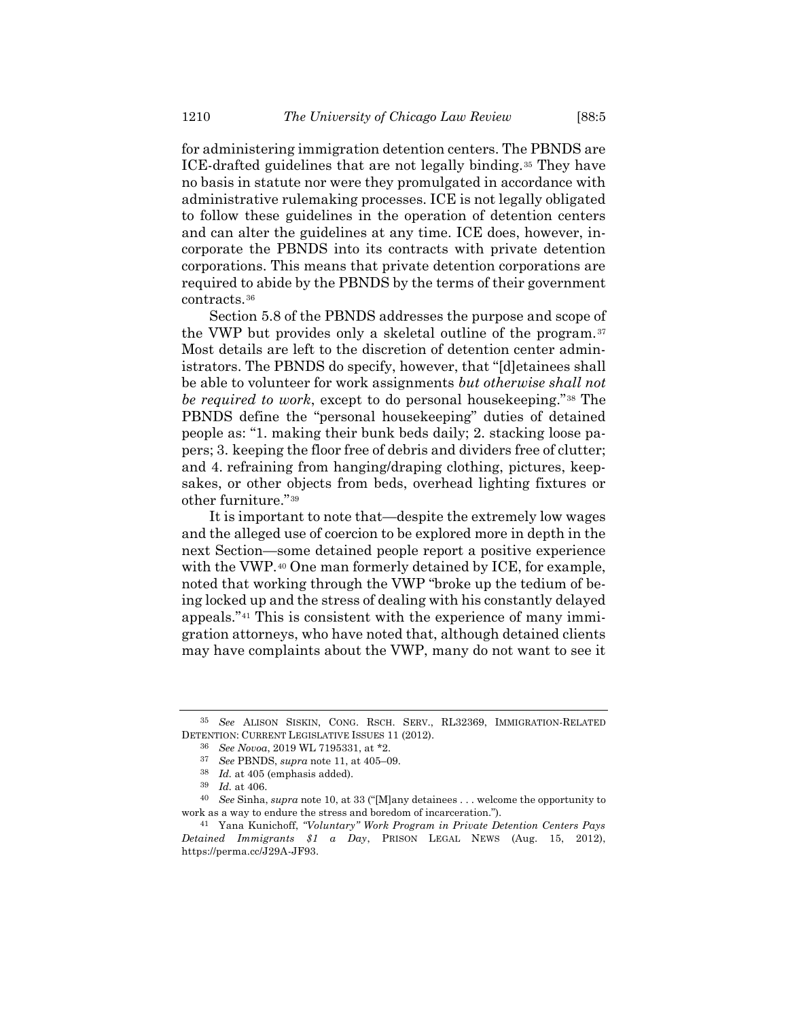for administering immigration detention centers. The PBNDS are ICE-drafted guidelines that are not legally binding.<sup>35</sup> They have no basis in statute nor were they promulgated in accordance with administrative rulemaking processes. ICE is not legally obligated to follow these guidelines in the operation of detention centers and can alter the guidelines at any time. ICE does, however, incorporate the PBNDS into its contracts with private detention corporations. This means that private detention corporations are required to abide by the PBNDS by the terms of their government contracts.<sup>36</sup>

Section 5.8 of the PBNDS addresses the purpose and scope of the VWP but provides only a skeletal outline of the program.<sup>37</sup> Most details are left to the discretion of detention center administrators. The PBNDS do specify, however, that "[d]etainees shall be able to volunteer for work assignments *but otherwise shall not be required to work*, except to do personal housekeeping."<sup>38</sup> The PBNDS define the "personal housekeeping" duties of detained people as: "1. making their bunk beds daily; 2. stacking loose papers; 3. keeping the floor free of debris and dividers free of clutter; and 4. refraining from hanging/draping clothing, pictures, keepsakes, or other objects from beds, overhead lighting fixtures or other furniture."<sup>39</sup>

It is important to note that—despite the extremely low wages and the alleged use of coercion to be explored more in depth in the next Section—some detained people report a positive experience with the VWP.<sup>40</sup> One man formerly detained by ICE, for example, noted that working through the VWP "broke up the tedium of being locked up and the stress of dealing with his constantly delayed appeals."<sup>41</sup> This is consistent with the experience of many immigration attorneys, who have noted that, although detained clients may have complaints about the VWP, many do not want to see it

<sup>35</sup> *See* ALISON SISKIN, CONG. RSCH. SERV., RL32369, IMMIGRATION-RELATED DETENTION: CURRENT LEGISLATIVE ISSUES 11 (2012).

<sup>36</sup> *See Novoa*, 2019 WL 7195331, at \*2.

<sup>37</sup> *See* PBNDS, *supra* not[e 11,](#page-4-0) at 405–09.

<sup>38</sup> *Id.* at 405 (emphasis added).

<sup>39</sup> *Id.* at 406.

<sup>40</sup> *See* Sinha, *supra* note [10](#page-4-1), at 33 ("[M]any detainees . . . welcome the opportunity to work as a way to endure the stress and boredom of incarceration.").

<sup>41</sup> Yana Kunichoff, *"Voluntary" Work Program in Private Detention Centers Pays Detained Immigrants \$1 a Day*, PRISON LEGAL NEWS (Aug. 15, 2012), https://perma.cc/J29A-JF93.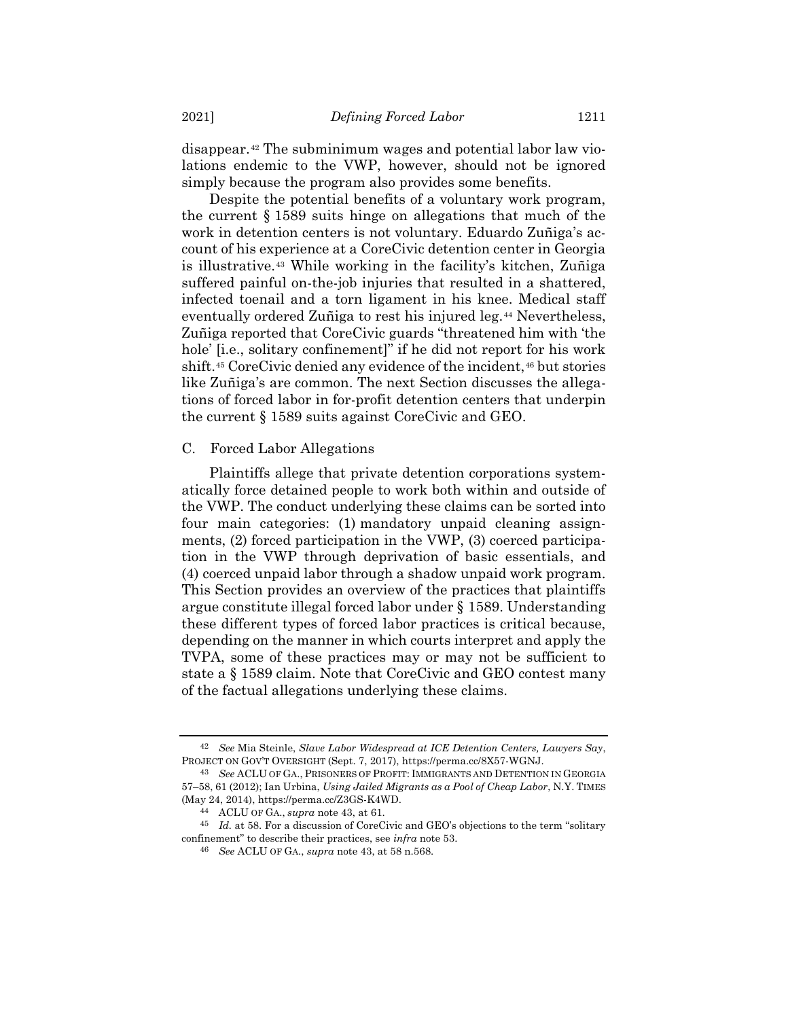disappear.<sup>42</sup> The subminimum wages and potential labor law violations endemic to the VWP, however, should not be ignored simply because the program also provides some benefits.

<span id="page-10-0"></span>Despite the potential benefits of a voluntary work program, the current § 1589 suits hinge on allegations that much of the work in detention centers is not voluntary. Eduardo Zuñiga's account of his experience at a CoreCivic detention center in Georgia is illustrative.<sup>43</sup> While working in the facility's kitchen, Zuñiga suffered painful on-the-job injuries that resulted in a shattered, infected toenail and a torn ligament in his knee. Medical staff eventually ordered Zuñiga to rest his injured leg.<sup>44</sup> Nevertheless, Zuñiga reported that CoreCivic guards "threatened him with 'the hole' [i.e., solitary confinement]" if he did not report for his work shift.<sup>45</sup> CoreCivic denied any evidence of the incident,<sup>46</sup> but stories like Zuñiga's are common. The next Section discusses the allegations of forced labor in for-profit detention centers that underpin the current § 1589 suits against CoreCivic and GEO.

## C. Forced Labor Allegations

Plaintiffs allege that private detention corporations systematically force detained people to work both within and outside of the VWP. The conduct underlying these claims can be sorted into four main categories: (1) mandatory unpaid cleaning assignments, (2) forced participation in the VWP, (3) coerced participation in the VWP through deprivation of basic essentials, and (4) coerced unpaid labor through a shadow unpaid work program. This Section provides an overview of the practices that plaintiffs argue constitute illegal forced labor under § 1589. Understanding these different types of forced labor practices is critical because, depending on the manner in which courts interpret and apply the TVPA, some of these practices may or may not be sufficient to state a § 1589 claim. Note that CoreCivic and GEO contest many of the factual allegations underlying these claims.

<sup>42</sup> *See* Mia Steinle, *Slave Labor Widespread at ICE Detention Centers, Lawyers Say*, PROJECT ON GOV'T OVERSIGHT (Sept. 7, 2017), https://perma.cc/8X57-WGNJ.

<sup>43</sup> *See* ACLU OF GA., PRISONERS OF PROFIT: IMMIGRANTS AND DETENTION IN GEORGIA 57–58, 61 (2012); Ian Urbina, *Using Jailed Migrants as a Pool of Cheap Labor*, N.Y. TIMES (May 24, 2014), https://perma.cc/Z3GS-K4WD.

<sup>44</sup> ACLU OF GA., *supra* note [43,](#page-10-0) at 61.

<sup>45</sup> *Id.* at 58. For a discussion of CoreCivic and GEO's objections to the term "solitary confinement" to describe their practices, see *infra* note 53.

<sup>46</sup> *See* ACLU OF GA., *supra* note [43,](#page-10-0) at 58 n.568.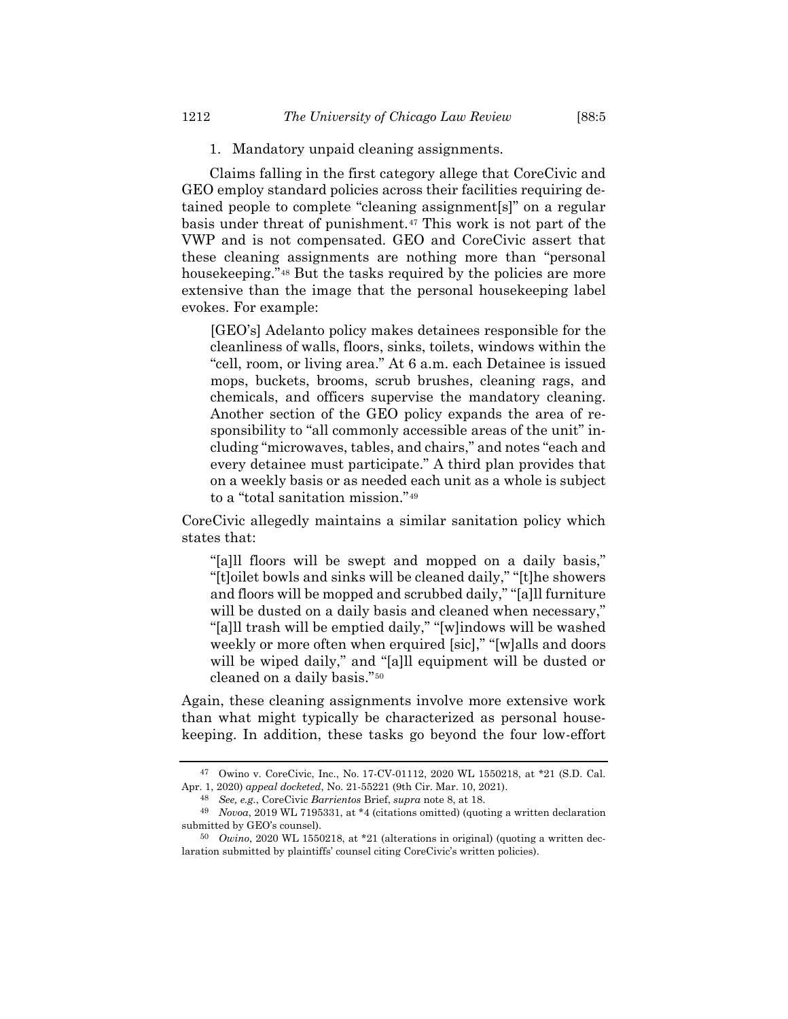Claims falling in the first category allege that CoreCivic and GEO employ standard policies across their facilities requiring detained people to complete "cleaning assignment[s]" on a regular basis under threat of punishment.<sup>47</sup> This work is not part of the VWP and is not compensated. GEO and CoreCivic assert that these cleaning assignments are nothing more than "personal housekeeping."<sup>48</sup> But the tasks required by the policies are more extensive than the image that the personal housekeeping label evokes. For example:

[GEO's] Adelanto policy makes detainees responsible for the cleanliness of walls, floors, sinks, toilets, windows within the "cell, room, or living area." At 6 a.m. each Detainee is issued mops, buckets, brooms, scrub brushes, cleaning rags, and chemicals, and officers supervise the mandatory cleaning. Another section of the GEO policy expands the area of responsibility to "all commonly accessible areas of the unit" including "microwaves, tables, and chairs," and notes "each and every detainee must participate." A third plan provides that on a weekly basis or as needed each unit as a whole is subject to a "total sanitation mission."<sup>49</sup>

CoreCivic allegedly maintains a similar sanitation policy which states that:

"[a]ll floors will be swept and mopped on a daily basis," "[t]oilet bowls and sinks will be cleaned daily," "[t]he showers and floors will be mopped and scrubbed daily," "[a]ll furniture will be dusted on a daily basis and cleaned when necessary," "[a]ll trash will be emptied daily," "[w]indows will be washed weekly or more often when erquired [sic]," "[w]alls and doors will be wiped daily," and "[a]ll equipment will be dusted or cleaned on a daily basis."<sup>50</sup>

Again, these cleaning assignments involve more extensive work than what might typically be characterized as personal housekeeping. In addition, these tasks go beyond the four low-effort

<sup>47</sup> Owino v. CoreCivic, Inc., No. 17-CV-01112, 2020 WL 1550218, at \*21 (S.D. Cal. Apr. 1, 2020) *appeal docketed*, No. 21-55221 (9th Cir. Mar. 10, 2021).

<sup>48</sup> *See, e.g.*, CoreCivic *Barrientos* Brief, *supra* not[e 8,](#page-3-0) at 18.

<sup>49</sup> *Novoa*, 2019 WL 7195331, at \*4 (citations omitted) (quoting a written declaration submitted by GEO's counsel).

<sup>50</sup> *Owino*, 2020 WL 1550218, at \*21 (alterations in original) (quoting a written declaration submitted by plaintiffs' counsel citing CoreCivic's written policies).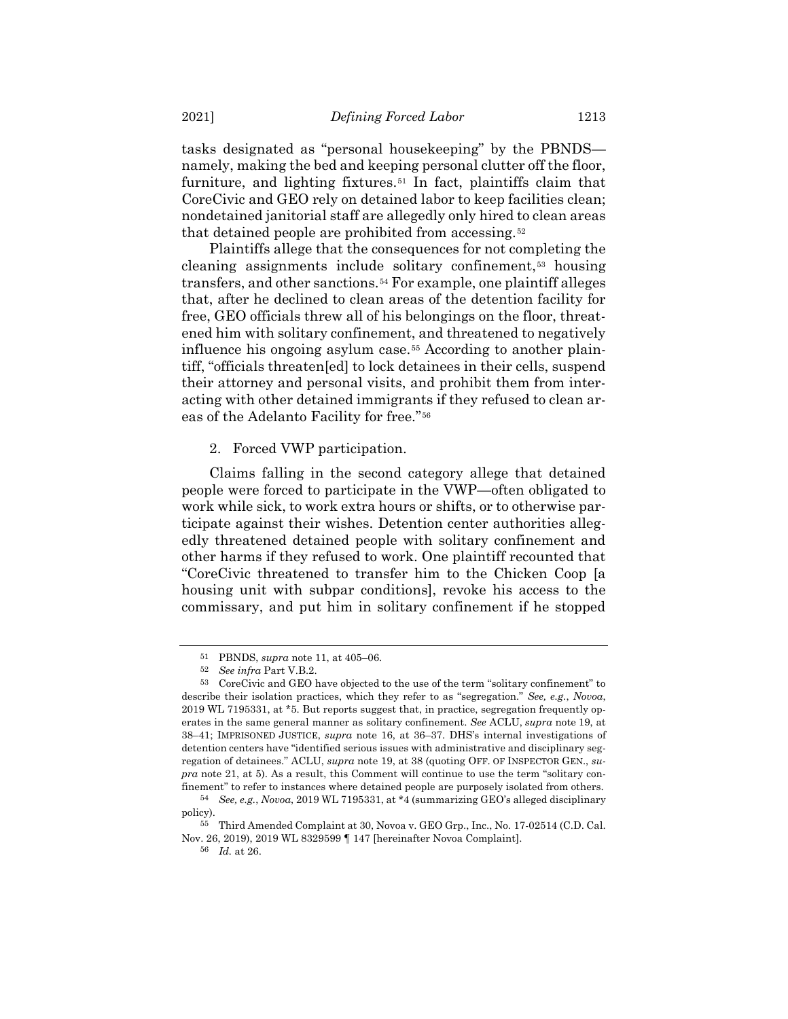tasks designated as "personal housekeeping" by the PBNDS namely, making the bed and keeping personal clutter off the floor, furniture, and lighting fixtures.<sup>51</sup> In fact, plaintiffs claim that CoreCivic and GEO rely on detained labor to keep facilities clean; nondetained janitorial staff are allegedly only hired to clean areas that detained people are prohibited from accessing.<sup>52</sup>

Plaintiffs allege that the consequences for not completing the cleaning assignments include solitary confinement,<sup>53</sup> housing transfers, and other sanctions.*54F* <sup>54</sup> For example, one plaintiff alleges that, after he declined to clean areas of the detention facility for free, GEO officials threw all of his belongings on the floor, threatened him with solitary confinement, and threatened to negatively influence his ongoing asylum case.*5F* <sup>55</sup> According to another plaintiff, "officials threaten[ed] to lock detainees in their cells, suspend their attorney and personal visits, and prohibit them from interacting with other detained immigrants if they refused to clean areas of the Adelanto Facility for free."<sup>56</sup>

## <span id="page-12-0"></span>2. Forced VWP participation.

Claims falling in the second category allege that detained people were forced to participate in the VWP—often obligated to work while sick, to work extra hours or shifts, or to otherwise participate against their wishes. Detention center authorities allegedly threatened detained people with solitary confinement and other harms if they refused to work. One plaintiff recounted that "CoreCivic threatened to transfer him to the Chicken Coop [a housing unit with subpar conditions], revoke his access to the commissary, and put him in solitary confinement if he stopped

<sup>51</sup> PBNDS, *supra* note [11,](#page-4-0) at 405–06.

<sup>52</sup> *See infra* Part V.B.2.

<sup>53</sup> CoreCivic and GEO have objected to the use of the term "solitary confinement" to describe their isolation practices, which they refer to as "segregation." *See, e.g.*, *Novoa*, 2019 WL 7195331, at \*5. But reports suggest that, in practice, segregation frequently operates in the same general manner as solitary confinement. *See* ACLU, *supra* note [19,](#page-6-0) at 38–41; IMPRISONED JUSTICE, *supra* note [16,](#page-6-1) at 36–37. DHS's internal investigations of detention centers have "identified serious issues with administrative and disciplinary segregation of detainees." ACLU, *supra* note [19,](#page-6-0) at 38 (quoting OFF. OF INSPECTOR GEN., *supra* note [21,](#page-6-2) at 5). As a result, this Comment will continue to use the term "solitary confinement" to refer to instances where detained people are purposely isolated from others.

<sup>54</sup> *See, e.g.*, *Novoa*, 2019 WL 7195331, at \*4 (summarizing GEO's alleged disciplinary policy).

<sup>55</sup> Third Amended Complaint at 30, Novoa v. GEO Grp., Inc., No. 17-02514 (C.D. Cal. Nov. 26, 2019), 2019 WL 8329599 ¶ 147 [hereinafter Novoa Complaint].

<sup>56</sup> *Id.* at 26.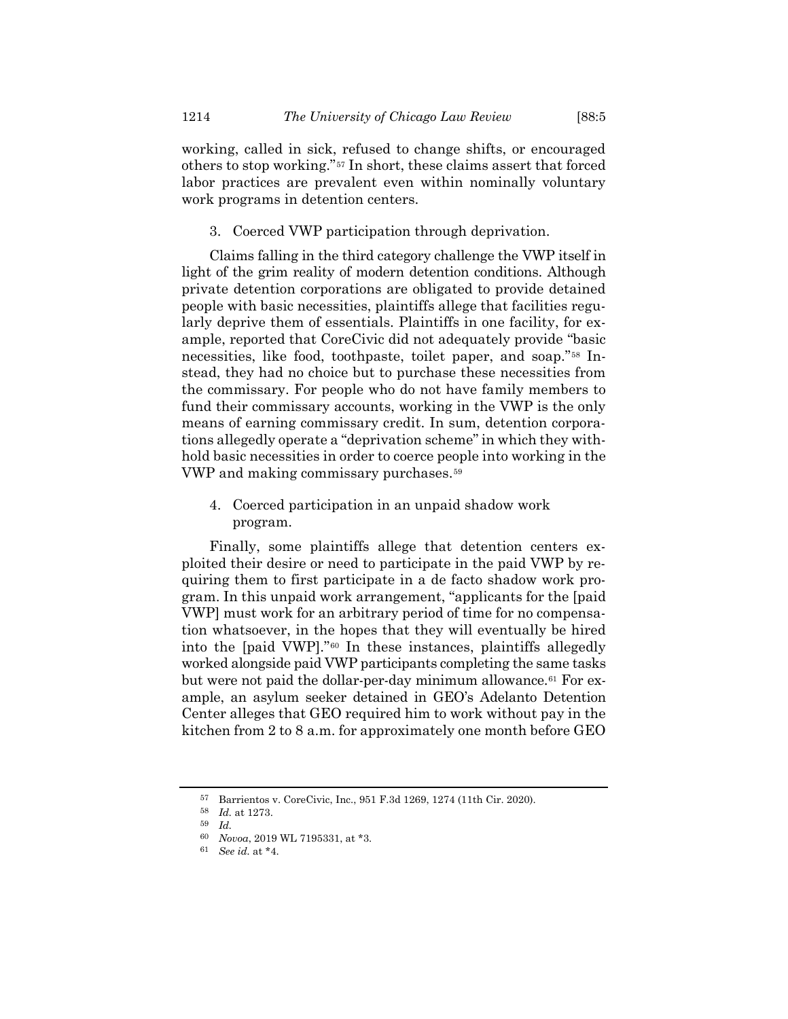working, called in sick, refused to change shifts, or encouraged others to stop working."<sup>57</sup> In short, these claims assert that forced labor practices are prevalent even within nominally voluntary work programs in detention centers.

3. Coerced VWP participation through deprivation.

Claims falling in the third category challenge the VWP itself in light of the grim reality of modern detention conditions. Although private detention corporations are obligated to provide detained people with basic necessities, plaintiffs allege that facilities regularly deprive them of essentials. Plaintiffs in one facility, for example, reported that CoreCivic did not adequately provide "basic necessities, like food, toothpaste, toilet paper, and soap."<sup>58</sup> Instead, they had no choice but to purchase these necessities from the commissary. For people who do not have family members to fund their commissary accounts, working in the VWP is the only means of earning commissary credit. In sum, detention corporations allegedly operate a "deprivation scheme" in which they withhold basic necessities in order to coerce people into working in the VWP and making commissary purchases.<sup>59</sup>

4. Coerced participation in an unpaid shadow work program.

Finally, some plaintiffs allege that detention centers exploited their desire or need to participate in the paid VWP by requiring them to first participate in a de facto shadow work program. In this unpaid work arrangement, "applicants for the [paid VWP] must work for an arbitrary period of time for no compensation whatsoever, in the hopes that they will eventually be hired into the [paid VWP]."<sup>60</sup> In these instances, plaintiffs allegedly worked alongside paid VWP participants completing the same tasks but were not paid the dollar-per-day minimum allowance.<sup>61</sup> For example, an asylum seeker detained in GEO's Adelanto Detention Center alleges that GEO required him to work without pay in the kitchen from 2 to 8 a.m. for approximately one month before GEO

<sup>57</sup> Barrientos v. CoreCivic, Inc., 951 F.3d 1269, 1274 (11th Cir. 2020).

<sup>58</sup> *Id.* at 1273.

<sup>59</sup> *Id.*

<sup>60</sup> *Novoa*, 2019 WL 7195331, at \*3.

<sup>61</sup> *See id.* at \*4.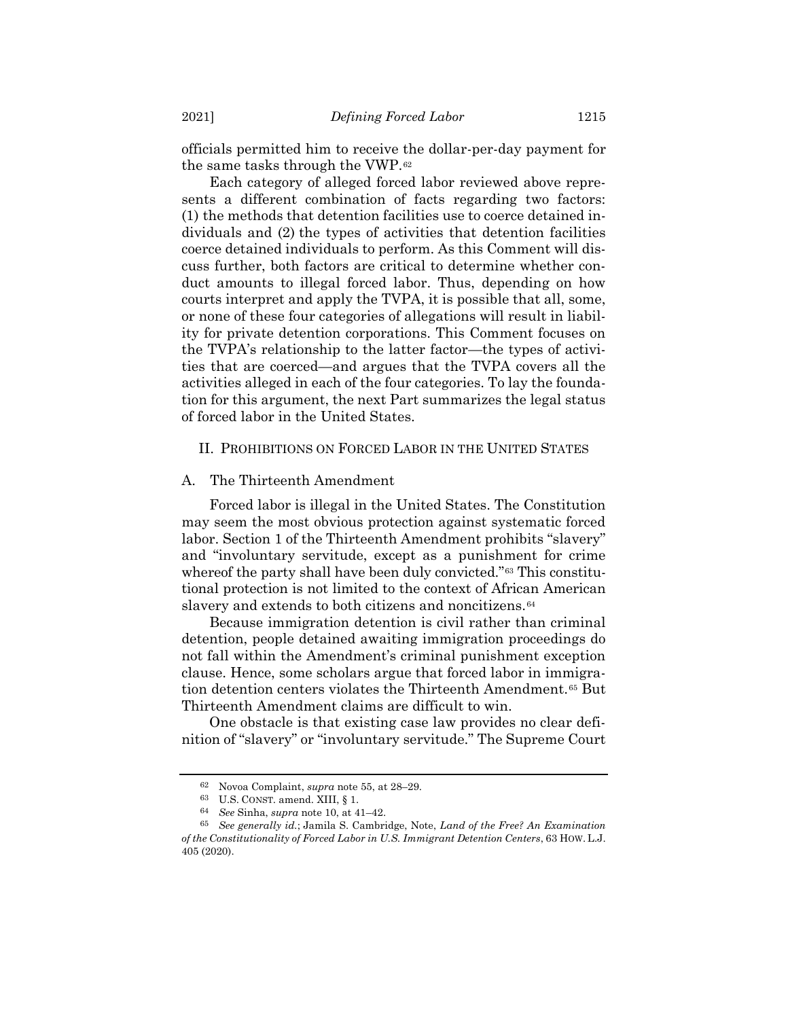officials permitted him to receive the dollar-per-day payment for the same tasks through the VWP.<sup>62</sup>

Each category of alleged forced labor reviewed above represents a different combination of facts regarding two factors: (1) the methods that detention facilities use to coerce detained individuals and (2) the types of activities that detention facilities coerce detained individuals to perform. As this Comment will discuss further, both factors are critical to determine whether conduct amounts to illegal forced labor. Thus, depending on how courts interpret and apply the TVPA, it is possible that all, some, or none of these four categories of allegations will result in liability for private detention corporations. This Comment focuses on the TVPA's relationship to the latter factor—the types of activities that are coerced—and argues that the TVPA covers all the activities alleged in each of the four categories. To lay the foundation for this argument, the next Part summarizes the legal status of forced labor in the United States.

## II. PROHIBITIONS ON FORCED LABOR IN THE UNITED STATES

## A. The Thirteenth Amendment

Forced labor is illegal in the United States. The Constitution may seem the most obvious protection against systematic forced labor. Section 1 of the Thirteenth Amendment prohibits "slavery" and "involuntary servitude, except as a punishment for crime whereof the party shall have been duly convicted."<sup>63</sup> This constitutional protection is not limited to the context of African American slavery and extends to both citizens and noncitizens.<sup>64</sup>

Because immigration detention is civil rather than criminal detention, people detained awaiting immigration proceedings do not fall within the Amendment's criminal punishment exception clause. Hence, some scholars argue that forced labor in immigration detention centers violates the Thirteenth Amendment.<sup>65</sup> But Thirteenth Amendment claims are difficult to win.

One obstacle is that existing case law provides no clear definition of "slavery" or "involuntary servitude." The Supreme Court

<span id="page-14-0"></span><sup>62</sup> Novoa Complaint, *supra* not[e 55,](#page-12-0) at 28–29.

<sup>63</sup> U.S. CONST. amend. XIII, § 1.

<sup>64</sup> *See* Sinha, *supra* not[e 10,](#page-4-1) at 41–42.

<sup>65</sup> *See generally id.*; Jamila S. Cambridge, Note, *Land of the Free? An Examination of the Constitutionality of Forced Labor in U.S. Immigrant Detention Centers*, 63 HOW. L.J. 405 (2020).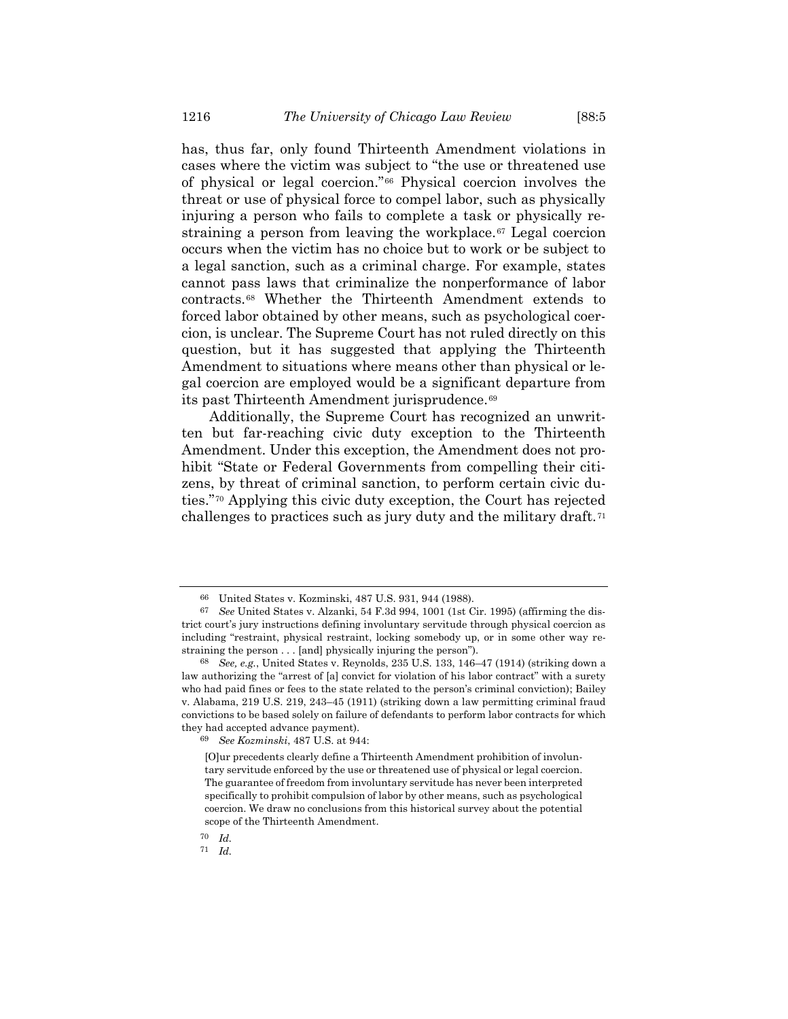has, thus far, only found Thirteenth Amendment violations in cases where the victim was subject to "the use or threatened use of physical or legal coercion."*6F* <sup>66</sup> Physical coercion involves the threat or use of physical force to compel labor, such as physically injuring a person who fails to complete a task or physically restraining a person from leaving the workplace.<sup>67</sup> Legal coercion occurs when the victim has no choice but to work or be subject to a legal sanction, such as a criminal charge. For example, states cannot pass laws that criminalize the nonperformance of labor contracts.<sup>68</sup> Whether the Thirteenth Amendment extends to forced labor obtained by other means, such as psychological coercion, is unclear. The Supreme Court has not ruled directly on this question, but it has suggested that applying the Thirteenth Amendment to situations where means other than physical or legal coercion are employed would be a significant departure from its past Thirteenth Amendment jurisprudence.<sup>69</sup>

Additionally, the Supreme Court has recognized an unwritten but far-reaching civic duty exception to the Thirteenth Amendment. Under this exception, the Amendment does not prohibit "State or Federal Governments from compelling their citizens, by threat of criminal sanction, to perform certain civic duties."<sup>70</sup> Applying this civic duty exception, the Court has rejected challenges to practices such as jury duty and the military draft.<sup>71</sup>

<sup>66</sup> United States v. Kozminski, 487 U.S. 931, 944 (1988).

<sup>67</sup> *See* United States v. Alzanki, 54 F.3d 994, 1001 (1st Cir. 1995) (affirming the district court's jury instructions defining involuntary servitude through physical coercion as including "restraint, physical restraint, locking somebody up, or in some other way restraining the person . . . [and] physically injuring the person").

<sup>68</sup> *See, e.g.*, United States v. Reynolds, 235 U.S. 133, 146–47 (1914) (striking down a law authorizing the "arrest of [a] convict for violation of his labor contract" with a surety who had paid fines or fees to the state related to the person's criminal conviction); Bailey v. Alabama, 219 U.S. 219, 243–45 (1911) (striking down a law permitting criminal fraud convictions to be based solely on failure of defendants to perform labor contracts for which they had accepted advance payment).

<sup>69</sup> *See Kozminski*, 487 U.S. at 944:

<sup>[</sup>O]ur precedents clearly define a Thirteenth Amendment prohibition of involuntary servitude enforced by the use or threatened use of physical or legal coercion. The guarantee of freedom from involuntary servitude has never been interpreted specifically to prohibit compulsion of labor by other means, such as psychological coercion. We draw no conclusions from this historical survey about the potential scope of the Thirteenth Amendment.

<sup>70</sup> *Id.*

<sup>71</sup> *Id.*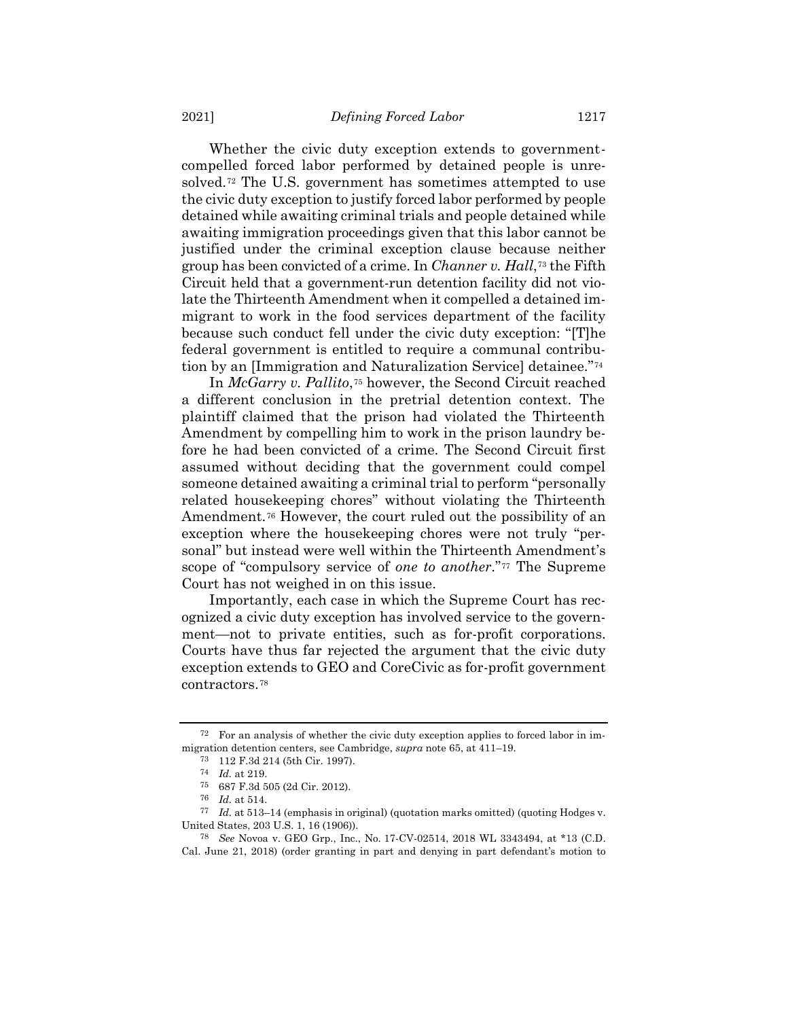Whether the civic duty exception extends to governmentcompelled forced labor performed by detained people is unresolved.<sup>72</sup> The U.S. government has sometimes attempted to use the civic duty exception to justify forced labor performed by people detained while awaiting criminal trials and people detained while awaiting immigration proceedings given that this labor cannot be justified under the criminal exception clause because neither group has been convicted of a crime. In *Channer v. Hall*,<sup>73</sup> the Fifth Circuit held that a government-run detention facility did not violate the Thirteenth Amendment when it compelled a detained immigrant to work in the food services department of the facility because such conduct fell under the civic duty exception: "[T]he federal government is entitled to require a communal contribution by an [Immigration and Naturalization Service] detainee."<sup>74</sup>

In *McGarry v. Pallito*,<sup>75</sup> however, the Second Circuit reached a different conclusion in the pretrial detention context. The plaintiff claimed that the prison had violated the Thirteenth Amendment by compelling him to work in the prison laundry before he had been convicted of a crime. The Second Circuit first assumed without deciding that the government could compel someone detained awaiting a criminal trial to perform "personally related housekeeping chores" without violating the Thirteenth Amendment.<sup>76</sup> However, the court ruled out the possibility of an exception where the housekeeping chores were not truly "personal" but instead were well within the Thirteenth Amendment's scope of "compulsory service of *one to another*."*7F* <sup>77</sup> The Supreme Court has not weighed in on this issue.

Importantly, each case in which the Supreme Court has recognized a civic duty exception has involved service to the government—not to private entities, such as for-profit corporations. Courts have thus far rejected the argument that the civic duty exception extends to GEO and CoreCivic as for-profit government contractors.<sup>78</sup>

<sup>72</sup> For an analysis of whether the civic duty exception applies to forced labor in immigration detention centers, see Cambridge, *supra* note [65,](#page-14-0) at 411–19.

<sup>73</sup> 112 F.3d 214 (5th Cir. 1997).

<sup>74</sup> *Id.* at 219.

<sup>75</sup> 687 F.3d 505 (2d Cir. 2012).

<sup>76</sup> *Id.* at 514.

<sup>77</sup> *Id.* at 513–14 (emphasis in original) (quotation marks omitted) (quoting Hodges v. United States, 203 U.S. 1, 16 (1906)).

<sup>78</sup> *See* Novoa v. GEO Grp., Inc., No. 17-CV-02514, 2018 WL 3343494, at \*13 (C.D. Cal. June 21, 2018) (order granting in part and denying in part defendant's motion to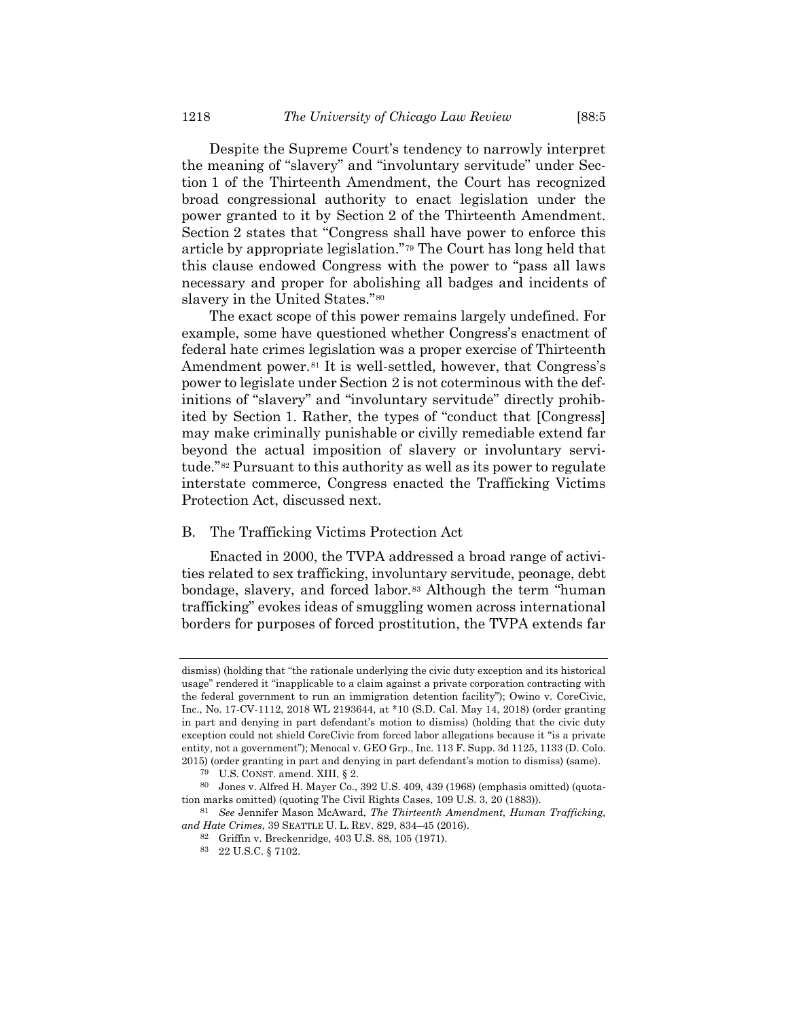Despite the Supreme Court's tendency to narrowly interpret the meaning of "slavery" and "involuntary servitude" under Section 1 of the Thirteenth Amendment, the Court has recognized broad congressional authority to enact legislation under the power granted to it by Section 2 of the Thirteenth Amendment. Section 2 states that "Congress shall have power to enforce this article by appropriate legislation."<sup>79</sup> The Court has long held that this clause endowed Congress with the power to "pass all laws necessary and proper for abolishing all badges and incidents of slavery in the United States."<sup>80</sup>

The exact scope of this power remains largely undefined. For example, some have questioned whether Congress's enactment of federal hate crimes legislation was a proper exercise of Thirteenth Amendment power.<sup>81</sup> It is well-settled, however, that Congress's power to legislate under Section 2 is not coterminous with the definitions of "slavery" and "involuntary servitude" directly prohibited by Section 1. Rather, the types of "conduct that [Congress] may make criminally punishable or civilly remediable extend far beyond the actual imposition of slavery or involuntary servitude."<sup>82</sup> Pursuant to this authority as well as its power to regulate interstate commerce, Congress enacted the Trafficking Victims Protection Act, discussed next.

## B. The Trafficking Victims Protection Act

Enacted in 2000, the TVPA addressed a broad range of activities related to sex trafficking, involuntary servitude, peonage, debt bondage, slavery, and forced labor.<sup>83</sup> Although the term "human trafficking" evokes ideas of smuggling women across international borders for purposes of forced prostitution, the TVPA extends far

dismiss) (holding that "the rationale underlying the civic duty exception and its historical usage" rendered it "inapplicable to a claim against a private corporation contracting with the federal government to run an immigration detention facility"); Owino v. CoreCivic, Inc., No. 17-CV-1112, 2018 WL 2193644, at \*10 (S.D. Cal. May 14, 2018) (order granting in part and denying in part defendant's motion to dismiss) (holding that the civic duty exception could not shield CoreCivic from forced labor allegations because it "is a private entity, not a government"); Menocal v. GEO Grp., Inc. 113 F. Supp. 3d 1125, 1133 (D. Colo. 2015) (order granting in part and denying in part defendant's motion to dismiss) (same).

<sup>79</sup> U.S. CONST. amend. XIII, § 2.

<sup>80</sup> Jones v. Alfred H. Mayer Co., 392 U.S. 409, 439 (1968) (emphasis omitted) (quotation marks omitted) (quoting The Civil Rights Cases, 109 U.S. 3, 20 (1883)).

<sup>81</sup> *See* Jennifer Mason McAward, *The Thirteenth Amendment, Human Trafficking, and Hate Crimes*, 39 SEATTLE U. L. REV. 829, 834–45 (2016).

<sup>82</sup> Griffin v. Breckenridge, 403 U.S. 88, 105 (1971).

<sup>83</sup> 22 U.S.C. § 7102.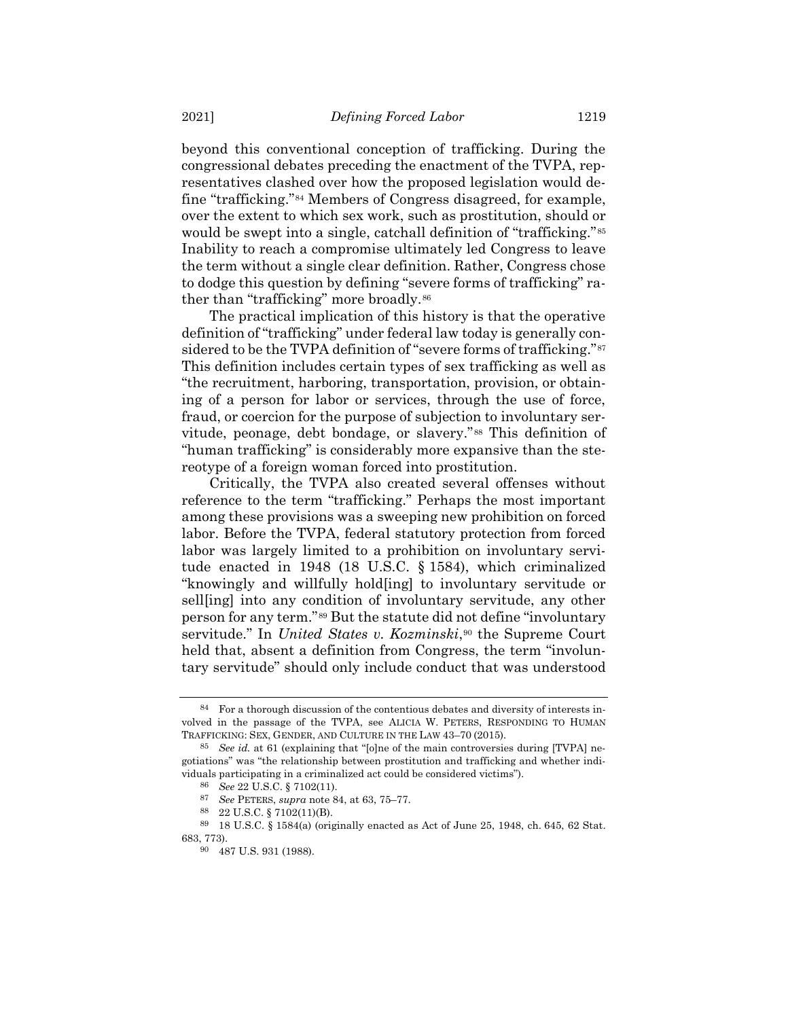<span id="page-18-0"></span>beyond this conventional conception of trafficking. During the congressional debates preceding the enactment of the TVPA, representatives clashed over how the proposed legislation would define "trafficking."<sup>84</sup> Members of Congress disagreed, for example, over the extent to which sex work, such as prostitution, should or would be swept into a single, catchall definition of "trafficking."<sup>85</sup> Inability to reach a compromise ultimately led Congress to leave the term without a single clear definition. Rather, Congress chose to dodge this question by defining "severe forms of trafficking" rather than "trafficking" more broadly.<sup>86</sup>

The practical implication of this history is that the operative definition of "trafficking" under federal law today is generally considered to be the TVPA definition of "severe forms of trafficking."<sup>87</sup> This definition includes certain types of sex trafficking as well as "the recruitment, harboring, transportation, provision, or obtaining of a person for labor or services, through the use of force, fraud, or coercion for the purpose of subjection to involuntary servitude, peonage, debt bondage, or slavery."<sup>88</sup> This definition of "human trafficking" is considerably more expansive than the stereotype of a foreign woman forced into prostitution.

Critically, the TVPA also created several offenses without reference to the term "trafficking." Perhaps the most important among these provisions was a sweeping new prohibition on forced labor. Before the TVPA, federal statutory protection from forced labor was largely limited to a prohibition on involuntary servitude enacted in 1948 (18 U.S.C. § 1584), which criminalized "knowingly and willfully hold[ing] to involuntary servitude or sell[ing] into any condition of involuntary servitude, any other person for any term."<sup>89</sup> But the statute did not define "involuntary servitude." In *United States v. Kozminski*,<sup>90</sup> the Supreme Court held that, absent a definition from Congress, the term "involuntary servitude" should only include conduct that was understood

<sup>84</sup> For a thorough discussion of the contentious debates and diversity of interests involved in the passage of the TVPA, see ALICIA W. PETERS, RESPONDING TO HUMAN TRAFFICKING: SEX, GENDER, AND CULTURE IN THE LAW 43–70 (2015).

<sup>85</sup> *See id.* at 61 (explaining that "[o]ne of the main controversies during [TVPA] negotiations" was "the relationship between prostitution and trafficking and whether individuals participating in a criminalized act could be considered victims").

<sup>86</sup> *See* 22 U.S.C. § 7102(11).

<sup>87</sup> *See* PETERS, *supra* not[e 84,](#page-18-0) at 63, 75–77.

<sup>88</sup> 22 U.S.C. § 7102(11)(B).

<sup>89</sup> 18 U.S.C. § 1584(a) (originally enacted as Act of June 25, 1948, ch. 645, 62 Stat. 683, 773).

<sup>90</sup> 487 U.S. 931 (1988).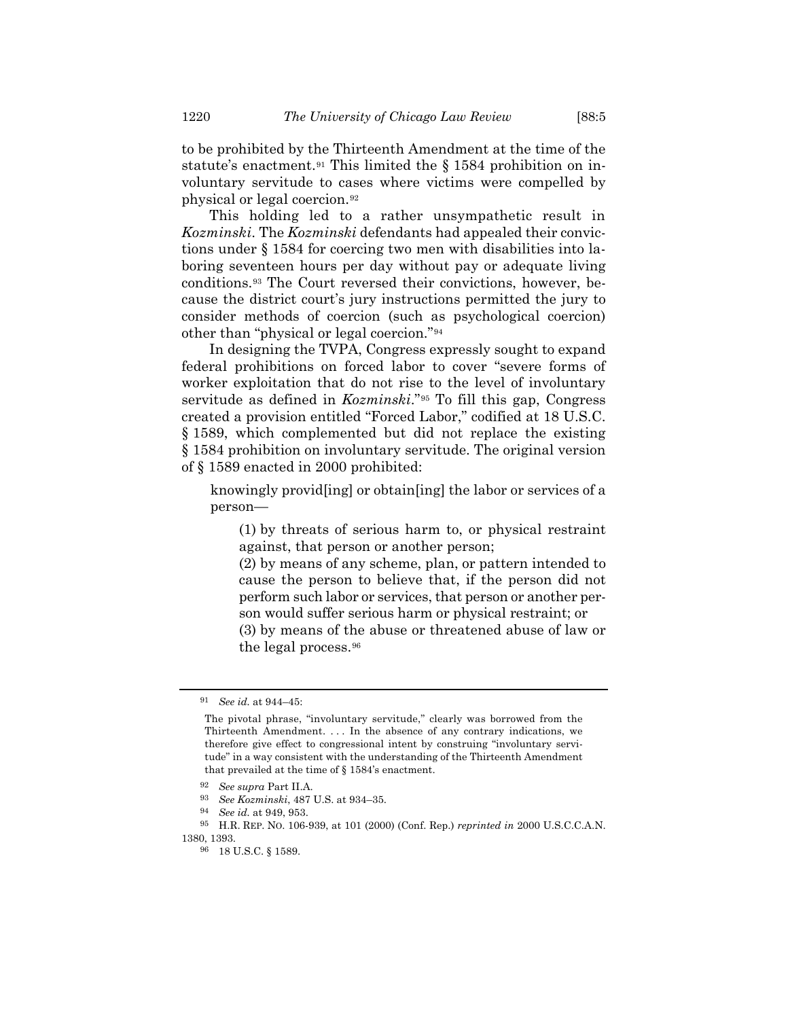to be prohibited by the Thirteenth Amendment at the time of the statute's enactment.<sup>91</sup> This limited the § 1584 prohibition on involuntary servitude to cases where victims were compelled by physical or legal coercion.<sup>92</sup>

This holding led to a rather unsympathetic result in *Kozminski*. The *Kozminski* defendants had appealed their convictions under § 1584 for coercing two men with disabilities into laboring seventeen hours per day without pay or adequate living conditions.<sup>93</sup> The Court reversed their convictions, however, because the district court's jury instructions permitted the jury to consider methods of coercion (such as psychological coercion) other than "physical or legal coercion."<sup>94</sup>

In designing the TVPA, Congress expressly sought to expand federal prohibitions on forced labor to cover "severe forms of worker exploitation that do not rise to the level of involuntary servitude as defined in *Kozminski*."<sup>95</sup> To fill this gap, Congress created a provision entitled "Forced Labor," codified at 18 U.S.C. § 1589, which complemented but did not replace the existing § 1584 prohibition on involuntary servitude. The original version of § 1589 enacted in 2000 prohibited:

knowingly provid[ing] or obtain[ing] the labor or services of a person—

(1) by threats of serious harm to, or physical restraint against, that person or another person;

(2) by means of any scheme, plan, or pattern intended to cause the person to believe that, if the person did not perform such labor or services, that person or another person would suffer serious harm or physical restraint; or

(3) by means of the abuse or threatened abuse of law or the legal process.<sup>96</sup>

<sup>91</sup> *See id.* at 944–45:

The pivotal phrase, "involuntary servitude," clearly was borrowed from the Thirteenth Amendment. . . . In the absence of any contrary indications, we therefore give effect to congressional intent by construing "involuntary servitude" in a way consistent with the understanding of the Thirteenth Amendment that prevailed at the time of § 1584's enactment.

<sup>92</sup> *See supra* Part II.A.

<sup>93</sup> *See Kozminski*, 487 U.S. at 934–35.

<sup>94</sup> *See id.* at 949, 953.

<sup>95</sup> H.R. REP. NO. 106-939, at 101 (2000) (Conf. Rep.) *reprinted in* 2000 U.S.C.C.A.N. 1380, 1393.

<sup>96</sup> 18 U.S.C. § 1589.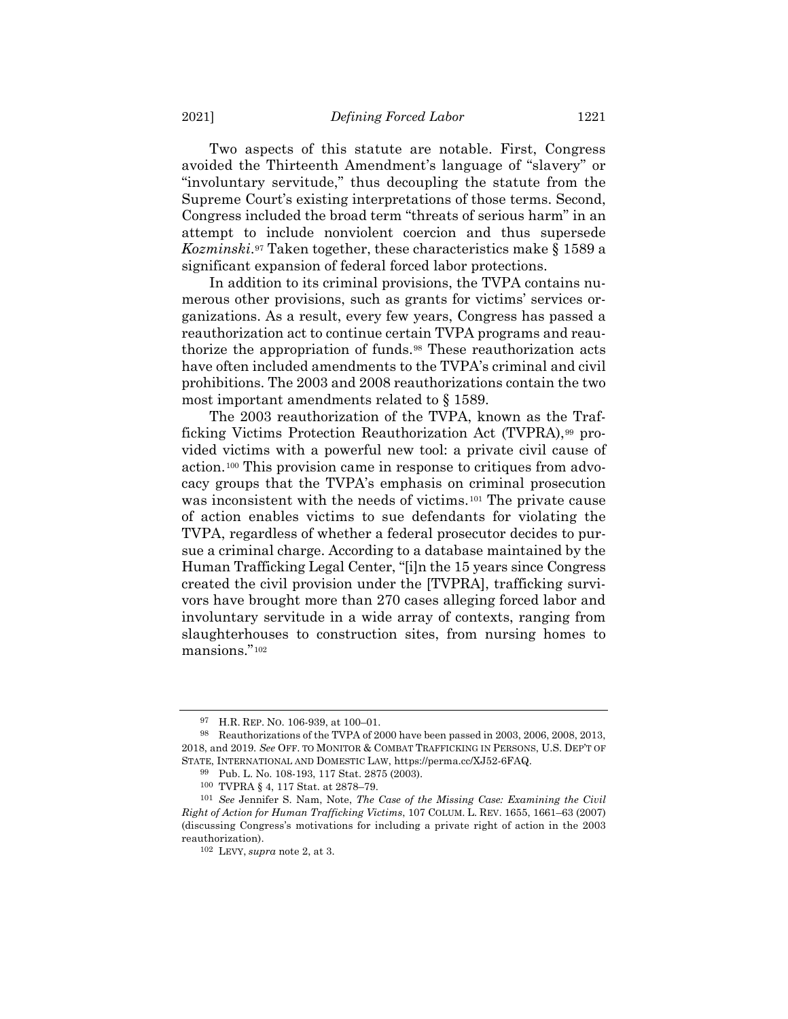Two aspects of this statute are notable. First, Congress avoided the Thirteenth Amendment's language of "slavery" or "involuntary servitude," thus decoupling the statute from the Supreme Court's existing interpretations of those terms. Second, Congress included the broad term "threats of serious harm" in an attempt to include nonviolent coercion and thus supersede Kozminski.<sup>97</sup> Taken together, these characteristics make § 1589 a significant expansion of federal forced labor protections.

In addition to its criminal provisions, the TVPA contains numerous other provisions, such as grants for victims' services organizations. As a result, every few years, Congress has passed a reauthorization act to continue certain TVPA programs and reauthorize the appropriation of funds.<sup>98</sup> These reauthorization acts have often included amendments to the TVPA's criminal and civil prohibitions. The 2003 and 2008 reauthorizations contain the two most important amendments related to § 1589.

The 2003 reauthorization of the TVPA, known as the Trafficking Victims Protection Reauthorization Act (TVPRA),<sup>99</sup> provided victims with a powerful new tool: a private civil cause of action.<sup>100</sup> This provision came in response to critiques from advocacy groups that the TVPA's emphasis on criminal prosecution was inconsistent with the needs of victims.<sup>101</sup> The private cause of action enables victims to sue defendants for violating the TVPA, regardless of whether a federal prosecutor decides to pursue a criminal charge. According to a database maintained by the Human Trafficking Legal Center, "[i]n the 15 years since Congress created the civil provision under the [TVPRA], trafficking survivors have brought more than 270 cases alleging forced labor and involuntary servitude in a wide array of contexts, ranging from slaughterhouses to construction sites, from nursing homes to mansions."<sup>102</sup>

<sup>97</sup> H.R. REP. NO. 106-939, at 100–01.

<sup>98</sup> Reauthorizations of the TVPA of 2000 have been passed in 2003, 2006, 2008, 2013, 2018, and 2019. *See* OFF. TO MONITOR & COMBAT TRAFFICKING IN PERSONS, U.S. DEP'T OF STATE, INTERNATIONAL AND DOMESTIC LAW, https://perma.cc/XJ52-6FAQ.

<sup>99</sup> Pub. L. No. 108-193, 117 Stat. 2875 (2003).

<sup>100</sup> TVPRA § 4, 117 Stat. at 2878–79.

<sup>101</sup> *See* Jennifer S. Nam, Note, *The Case of the Missing Case: Examining the Civil Right of Action for Human Trafficking Victims*, 107 COLUM. L. REV. 1655, 1661–63 (2007) (discussing Congress's motivations for including a private right of action in the 2003 reauthorization).

<sup>102</sup> LEVY, *supra* note [2,](#page-2-1) at 3.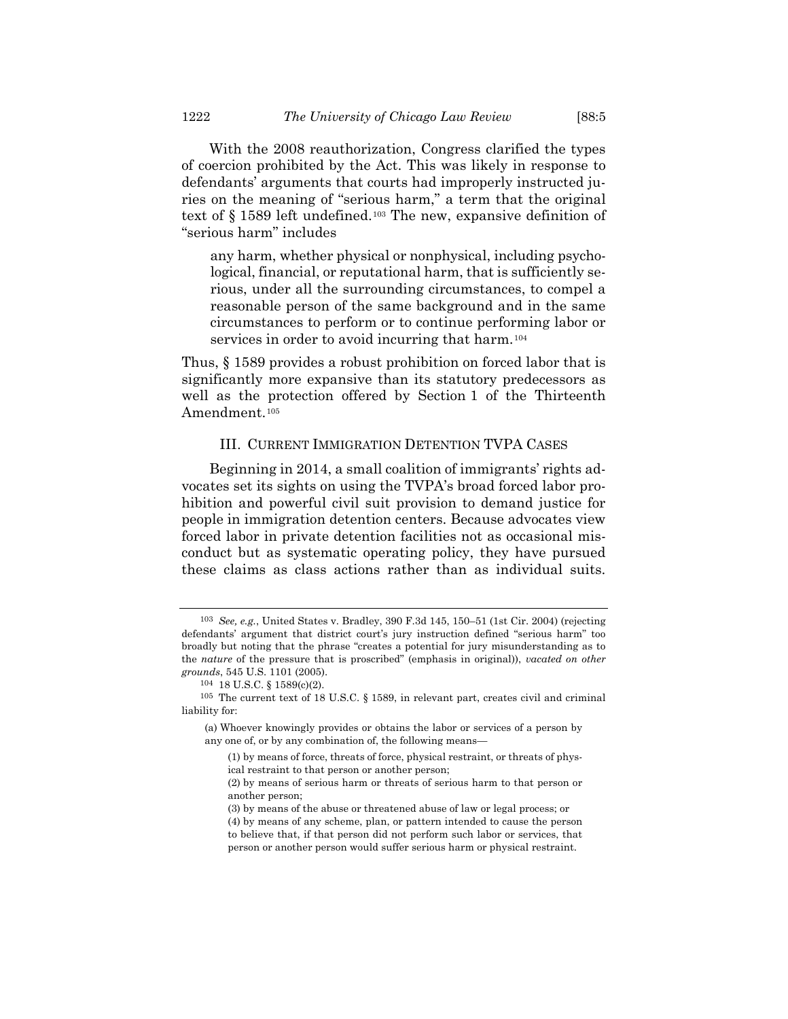With the 2008 reauthorization, Congress clarified the types of coercion prohibited by the Act. This was likely in response to defendants' arguments that courts had improperly instructed juries on the meaning of "serious harm," a term that the original text of § 1589 left undefined.<sup>103</sup> The new, expansive definition of "serious harm" includes

any harm, whether physical or nonphysical, including psychological, financial, or reputational harm, that is sufficiently serious, under all the surrounding circumstances, to compel a reasonable person of the same background and in the same circumstances to perform or to continue performing labor or services in order to avoid incurring that harm.<sup>104</sup>

Thus, § 1589 provides a robust prohibition on forced labor that is significantly more expansive than its statutory predecessors as well as the protection offered by Section 1 of the Thirteenth Amendment.<sup>105</sup>

## III. CURRENT IMMIGRATION DETENTION TVPA CASES

Beginning in 2014, a small coalition of immigrants' rights advocates set its sights on using the TVPA's broad forced labor prohibition and powerful civil suit provision to demand justice for people in immigration detention centers. Because advocates view forced labor in private detention facilities not as occasional misconduct but as systematic operating policy, they have pursued these claims as class actions rather than as individual suits.

<sup>103</sup> *See, e.g.*, United States v. Bradley, 390 F.3d 145, 150–51 (1st Cir. 2004) (rejecting defendants' argument that district court's jury instruction defined "serious harm" too broadly but noting that the phrase "creates a potential for jury misunderstanding as to the *nature* of the pressure that is proscribed" (emphasis in original)), *vacated on other grounds*, 545 U.S. 1101 (2005).

<sup>104</sup> 18 U.S.C. § 1589(c)(2).

 $^{105}$  The current text of 18 U.S.C. § 1589, in relevant part, creates civil and criminal liability for:

<sup>(</sup>a) Whoever knowingly provides or obtains the labor or services of a person by any one of, or by any combination of, the following means—

<sup>(1)</sup> by means of force, threats of force, physical restraint, or threats of physical restraint to that person or another person;

<sup>(2)</sup> by means of serious harm or threats of serious harm to that person or another person;

<sup>(3)</sup> by means of the abuse or threatened abuse of law or legal process; or

<sup>(4)</sup> by means of any scheme, plan, or pattern intended to cause the person to believe that, if that person did not perform such labor or services, that person or another person would suffer serious harm or physical restraint.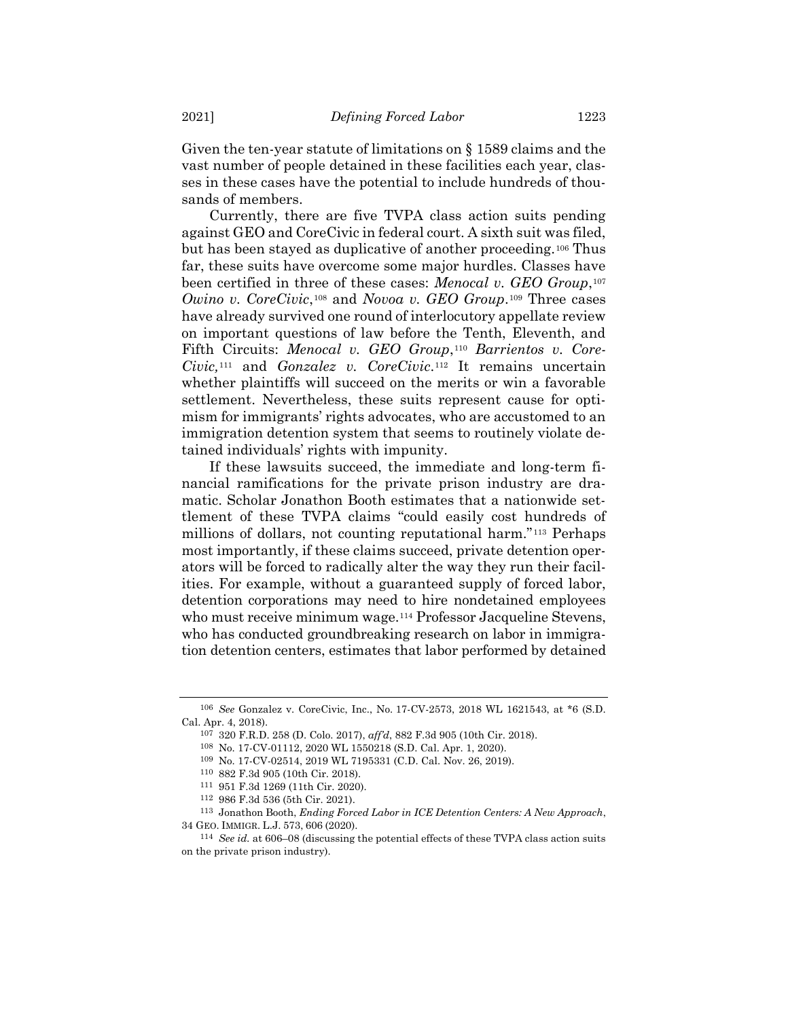Given the ten-year statute of limitations on § 1589 claims and the vast number of people detained in these facilities each year, classes in these cases have the potential to include hundreds of thousands of members.

Currently, there are five TVPA class action suits pending against GEO and CoreCivic in federal court. A sixth suit was filed, but has been stayed as duplicative of another proceeding.<sup>106</sup> Thus far, these suits have overcome some major hurdles. Classes have been certified in three of these cases: *Menocal v. GEO Group*,<sup>107</sup> *Owino v. CoreCivic*,<sup>108</sup> and *Novoa v. GEO Group*.<sup>109</sup> Three cases have already survived one round of interlocutory appellate review on important questions of law before the Tenth, Eleventh, and Fifth Circuits: *Menocal v. GEO Group*,<sup>110</sup> *Barrientos v. Core-Civic*,<sup>111</sup> and *Gonzalez v. CoreCivic*.<sup>112</sup> It remains uncertain whether plaintiffs will succeed on the merits or win a favorable settlement. Nevertheless, these suits represent cause for optimism for immigrants' rights advocates, who are accustomed to an immigration detention system that seems to routinely violate detained individuals' rights with impunity.

<span id="page-22-0"></span>If these lawsuits succeed, the immediate and long-term financial ramifications for the private prison industry are dramatic. Scholar Jonathon Booth estimates that a nationwide settlement of these TVPA claims "could easily cost hundreds of millions of dollars, not counting reputational harm."<sup>113</sup> Perhaps most importantly, if these claims succeed, private detention operators will be forced to radically alter the way they run their facilities. For example, without a guaranteed supply of forced labor, detention corporations may need to hire nondetained employees who must receive minimum wage.<sup>114</sup> Professor Jacqueline Stevens, who has conducted groundbreaking research on labor in immigration detention centers, estimates that labor performed by detained

<sup>106</sup> *See* Gonzalez v. CoreCivic, Inc., No. 17-CV-2573, 2018 WL 1621543, at \*6 (S.D. Cal. Apr. 4, 2018).

<sup>107</sup> 320 F.R.D. 258 (D. Colo. 2017), *aff'd*, 882 F.3d 905 (10th Cir. 2018).

<sup>108</sup> No. 17-CV-01112, 2020 WL 1550218 (S.D. Cal. Apr. 1, 2020).

<sup>109</sup> No. 17-CV-02514, 2019 WL 7195331 (C.D. Cal. Nov. 26, 2019).

<sup>110</sup> 882 F.3d 905 (10th Cir. 2018).

<sup>111</sup> 951 F.3d 1269 (11th Cir. 2020).

<sup>112</sup> 986 F.3d 536 (5th Cir. 2021).

<sup>113</sup> Jonathon Booth, *Ending Forced Labor in ICE Detention Centers: A New Approach*, 34 GEO. IMMIGR. L.J. 573, 606 (2020).

<sup>114</sup> *See id.* at 606–08 (discussing the potential effects of these TVPA class action suits on the private prison industry).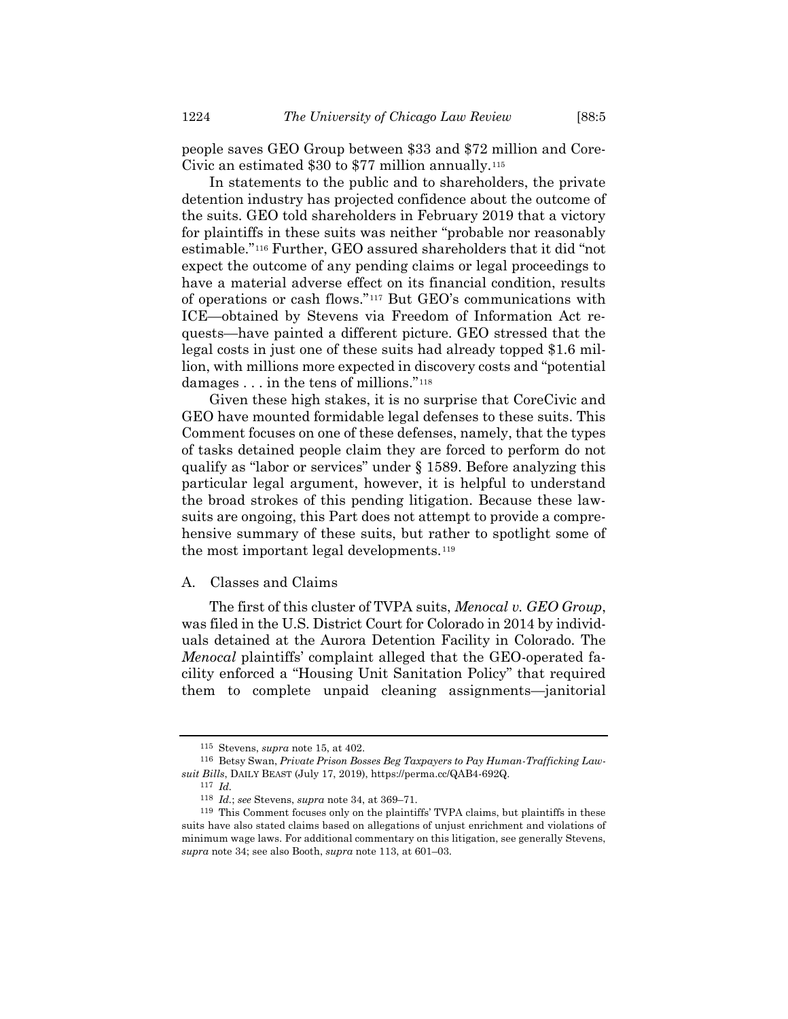people saves GEO Group between \$33 and \$72 million and Core-Civic an estimated \$30 to \$77 million annually.<sup>115</sup>

In statements to the public and to shareholders, the private detention industry has projected confidence about the outcome of the suits. GEO told shareholders in February 2019 that a victory for plaintiffs in these suits was neither "probable nor reasonably estimable."<sup>116</sup> Further, GEO assured shareholders that it did "not expect the outcome of any pending claims or legal proceedings to have a material adverse effect on its financial condition, results of operations or cash flows."<sup>117</sup> But GEO's communications with ICE—obtained by Stevens via Freedom of Information Act requests—have painted a different picture. GEO stressed that the legal costs in just one of these suits had already topped \$1.6 million, with millions more expected in discovery costs and "potential damages . . . in the tens of millions."<sup>118</sup>

Given these high stakes, it is no surprise that CoreCivic and GEO have mounted formidable legal defenses to these suits. This Comment focuses on one of these defenses, namely, that the types of tasks detained people claim they are forced to perform do not qualify as "labor or services" under § 1589. Before analyzing this particular legal argument, however, it is helpful to understand the broad strokes of this pending litigation. Because these lawsuits are ongoing, this Part does not attempt to provide a comprehensive summary of these suits, but rather to spotlight some of the most important legal developments.<sup>119</sup>

## A. Classes and Claims

The first of this cluster of TVPA suits, *Menocal v. GEO Group*, was filed in the U.S. District Court for Colorado in 2014 by individuals detained at the Aurora Detention Facility in Colorado. The *Menocal* plaintiffs' complaint alleged that the GEO-operated facility enforced a "Housing Unit Sanitation Policy" that required them to complete unpaid cleaning assignments—janitorial

<sup>115</sup> Stevens, *supra* note [15,](#page-5-0) at 402.

<sup>116</sup> Betsy Swan, *Private Prison Bosses Beg Taxpayers to Pay Human-Trafficking Lawsuit Bills*, DAILY BEAST (July 17, 2019), https://perma.cc/QAB4-692Q.

<sup>117</sup> *Id.*

<sup>118</sup> *Id.*; *see* Stevens, *supra* not[e 34,](#page-8-0) at 369–71.

<sup>119</sup> This Comment focuses only on the plaintiffs' TVPA claims, but plaintiffs in these suits have also stated claims based on allegations of unjust enrichment and violations of minimum wage laws. For additional commentary on this litigation, see generally Stevens, *supra* note 34; see also Booth, *supra* not[e 113,](#page-22-0) at 601–03.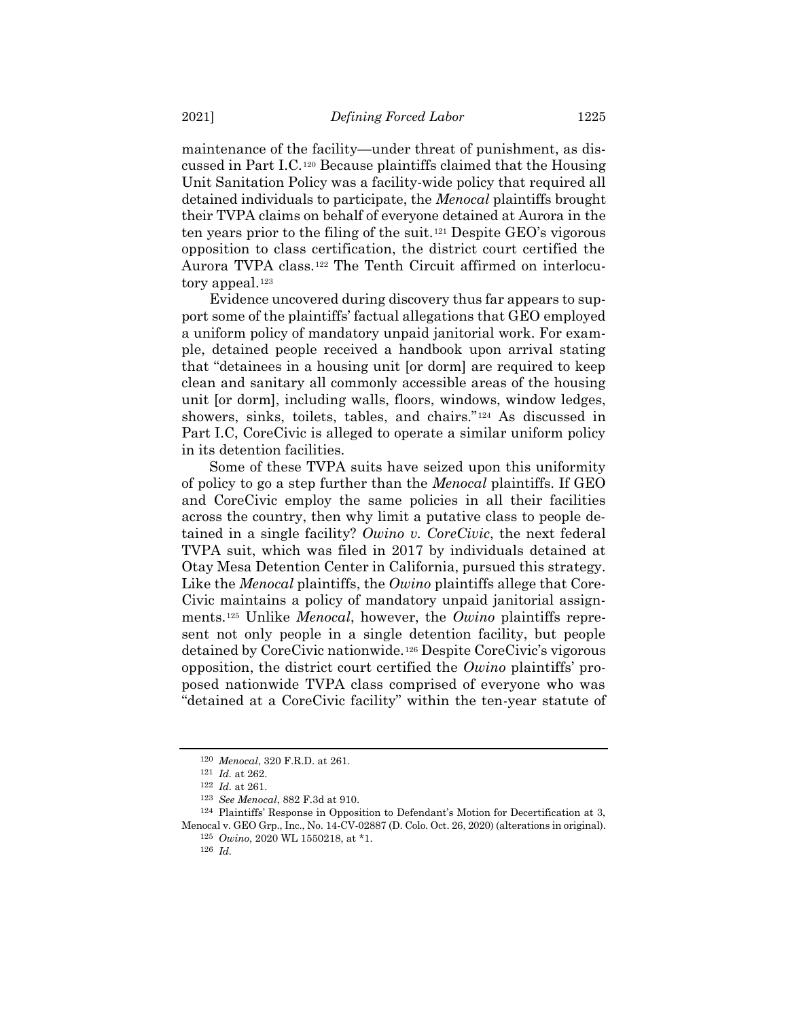maintenance of the facility—under threat of punishment, as discussed in Part I.C.<sup>120</sup> Because plaintiffs claimed that the Housing Unit Sanitation Policy was a facility-wide policy that required all detained individuals to participate, the *Menocal* plaintiffs brought their TVPA claims on behalf of everyone detained at Aurora in the ten years prior to the filing of the suit.*12F* <sup>121</sup> Despite GEO's vigorous opposition to class certification, the district court certified the Aurora TVPA class.<sup>122</sup> The Tenth Circuit affirmed on interlocutory appeal.<sup>123</sup>

Evidence uncovered during discovery thus far appears to support some of the plaintiffs' factual allegations that GEO employed a uniform policy of mandatory unpaid janitorial work. For example, detained people received a handbook upon arrival stating that "detainees in a housing unit [or dorm] are required to keep clean and sanitary all commonly accessible areas of the housing unit [or dorm], including walls, floors, windows, window ledges, showers, sinks, toilets, tables, and chairs."<sup>124</sup> As discussed in Part I.C, CoreCivic is alleged to operate a similar uniform policy in its detention facilities.

Some of these TVPA suits have seized upon this uniformity of policy to go a step further than the *Menocal* plaintiffs. If GEO and CoreCivic employ the same policies in all their facilities across the country, then why limit a putative class to people detained in a single facility? *Owino v. CoreCivic*, the next federal TVPA suit, which was filed in 2017 by individuals detained at Otay Mesa Detention Center in California, pursued this strategy. Like the *Menocal* plaintiffs, the *Owino* plaintiffs allege that Core-Civic maintains a policy of mandatory unpaid janitorial assignments.<sup>125</sup> Unlike *Menocal*, however, the *Owino* plaintiffs represent not only people in a single detention facility, but people detained by CoreCivic nationwide.<sup>126</sup> Despite CoreCivic's vigorous opposition, the district court certified the *Owino* plaintiffs' proposed nationwide TVPA class comprised of everyone who was "detained at a CoreCivic facility" within the ten-year statute of

<sup>120</sup> *Menocal*, 320 F.R.D. at 261.

<sup>121</sup> *Id.* at 262.

<sup>122</sup> *Id.* at 261.

<sup>123</sup> *See Menocal*, 882 F.3d at 910.

<sup>124</sup> Plaintiffs' Response in Opposition to Defendant's Motion for Decertification at 3, Menocal v. GEO Grp., Inc., No. 14-CV-02887 (D. Colo. Oct. 26, 2020) (alterations in original). 125 *Owino*, 2020 WL 1550218, at \*1.

<sup>126</sup> *Id.*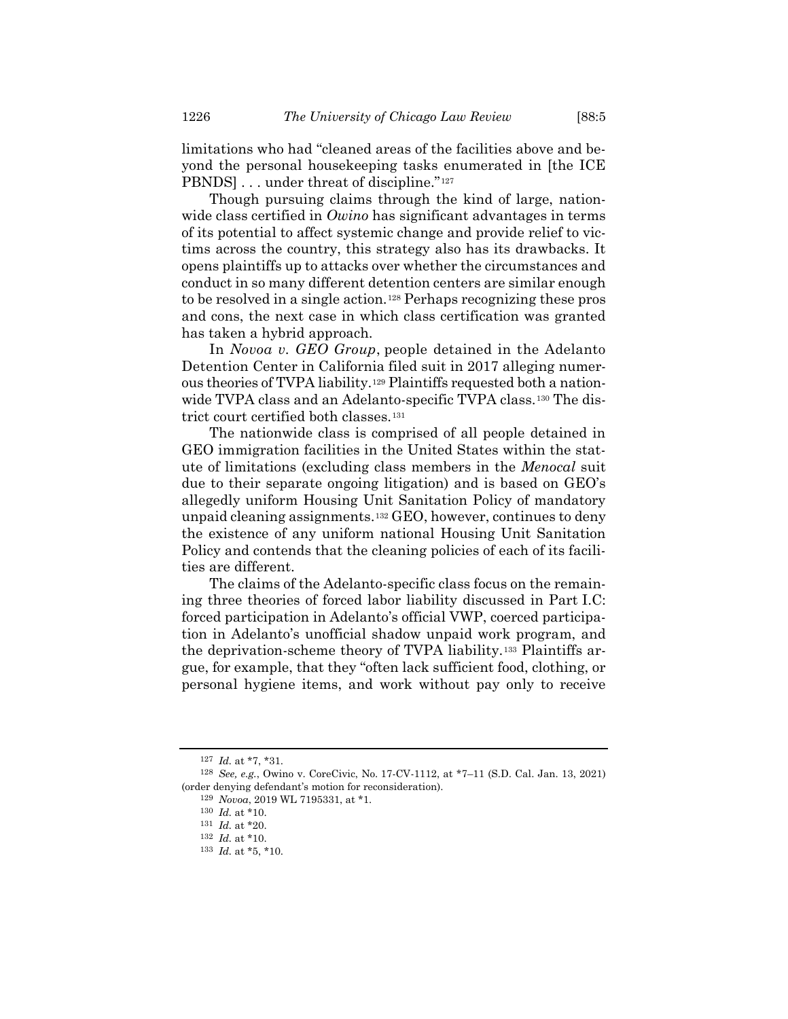limitations who had "cleaned areas of the facilities above and beyond the personal housekeeping tasks enumerated in [the ICE PBNDS] . . . under threat of discipline."<sup>127</sup>

Though pursuing claims through the kind of large, nationwide class certified in *Owino* has significant advantages in terms of its potential to affect systemic change and provide relief to victims across the country, this strategy also has its drawbacks. It opens plaintiffs up to attacks over whether the circumstances and conduct in so many different detention centers are similar enough to be resolved in a single action.<sup>128</sup> Perhaps recognizing these pros and cons, the next case in which class certification was granted has taken a hybrid approach.

In *Novoa v. GEO Group*, people detained in the Adelanto Detention Center in California filed suit in 2017 alleging numerous theories of TVPA liability.<sup>129</sup> Plaintiffs requested both a nationwide TVPA class and an Adelanto-specific TVPA class.<sup>130</sup> The district court certified both classes.<sup>131</sup>

The nationwide class is comprised of all people detained in GEO immigration facilities in the United States within the statute of limitations (excluding class members in the *Menocal* suit due to their separate ongoing litigation) and is based on GEO's allegedly uniform Housing Unit Sanitation Policy of mandatory unpaid cleaning assignments.<sup>132</sup> GEO, however, continues to deny the existence of any uniform national Housing Unit Sanitation Policy and contends that the cleaning policies of each of its facilities are different.

The claims of the Adelanto-specific class focus on the remaining three theories of forced labor liability discussed in Part I.C: forced participation in Adelanto's official VWP, coerced participation in Adelanto's unofficial shadow unpaid work program, and the deprivation-scheme theory of TVPA liability.<sup>133</sup> Plaintiffs argue, for example, that they "often lack sufficient food, clothing, or personal hygiene items, and work without pay only to receive

<sup>127</sup> *Id.* at \*7, \*31.

<sup>128</sup> *See, e.g.*, Owino v. CoreCivic, No. 17-CV-1112, at \*7–11 (S.D. Cal. Jan. 13, 2021) (order denying defendant's motion for reconsideration).

<sup>129</sup> *Novoa*, 2019 WL 7195331, at \*1.

<sup>130</sup> *Id.* at \*10.

<sup>131</sup> *Id.* at \*20.

<sup>132</sup> *Id.* at \*10.

<sup>133</sup> *Id.* at \*5, \*10.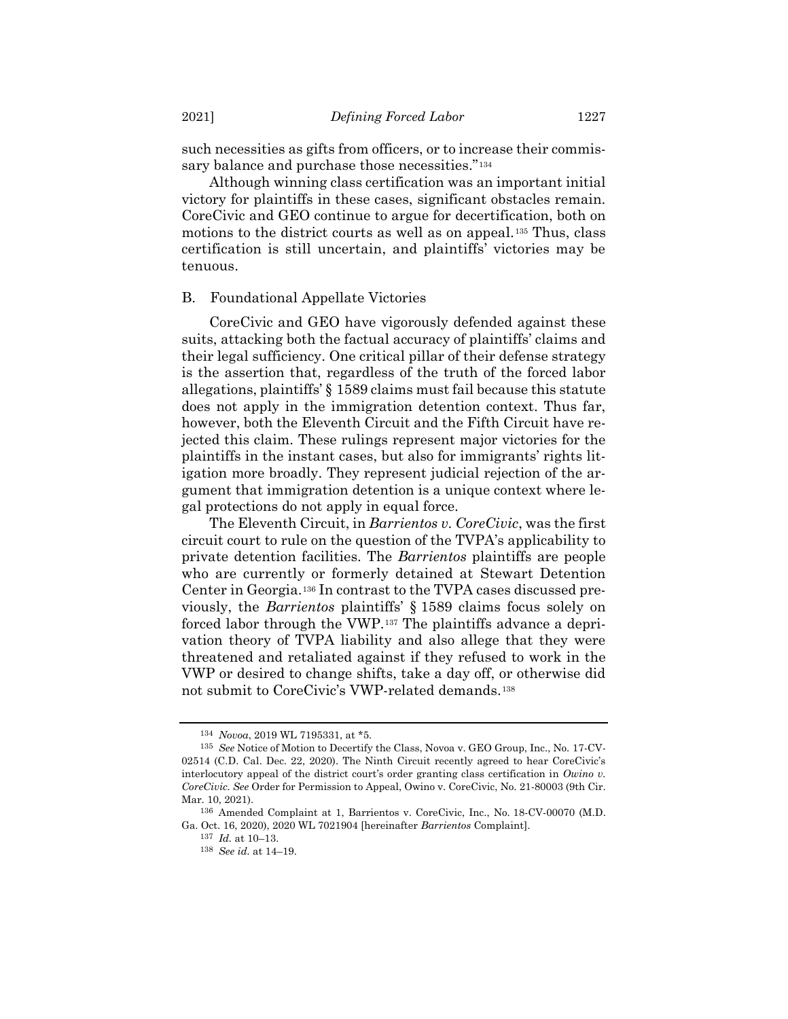such necessities as gifts from officers, or to increase their commissary balance and purchase those necessities."<sup>134</sup>

Although winning class certification was an important initial victory for plaintiffs in these cases, significant obstacles remain. CoreCivic and GEO continue to argue for decertification, both on motions to the district courts as well as on appeal.<sup>135</sup> Thus, class certification is still uncertain, and plaintiffs' victories may be tenuous.

#### B. Foundational Appellate Victories

CoreCivic and GEO have vigorously defended against these suits, attacking both the factual accuracy of plaintiffs' claims and their legal sufficiency. One critical pillar of their defense strategy is the assertion that, regardless of the truth of the forced labor allegations, plaintiffs' § 1589 claims must fail because this statute does not apply in the immigration detention context. Thus far, however, both the Eleventh Circuit and the Fifth Circuit have rejected this claim. These rulings represent major victories for the plaintiffs in the instant cases, but also for immigrants' rights litigation more broadly. They represent judicial rejection of the argument that immigration detention is a unique context where legal protections do not apply in equal force.

<span id="page-26-0"></span>The Eleventh Circuit, in *Barrientos v. CoreCivic*, was the first circuit court to rule on the question of the TVPA's applicability to private detention facilities. The *Barrientos* plaintiffs are people who are currently or formerly detained at Stewart Detention Center in Georgia.<sup>136</sup> In contrast to the TVPA cases discussed previously, the *Barrientos* plaintiffs' § 1589 claims focus solely on forced labor through the VWP.<sup>137</sup> The plaintiffs advance a deprivation theory of TVPA liability and also allege that they were threatened and retaliated against if they refused to work in the VWP or desired to change shifts, take a day off, or otherwise did not submit to CoreCivic's VWP-related demands.<sup>138</sup>

<sup>134</sup> *Novoa*, 2019 WL 7195331, at \*5.

<sup>135</sup> *See* Notice of Motion to Decertify the Class, Novoa v. GEO Group, Inc., No. 17-CV-02514 (C.D. Cal. Dec. 22, 2020). The Ninth Circuit recently agreed to hear CoreCivic's interlocutory appeal of the district court's order granting class certification in *Owino v. CoreCivic. See* Order for Permission to Appeal, Owino v. CoreCivic, No. 21-80003 (9th Cir. Mar. 10, 2021).

<sup>136</sup> Amended Complaint at 1, Barrientos v. CoreCivic, Inc., No. 18-CV-00070 (M.D. Ga. Oct. 16, 2020), 2020 WL 7021904 [hereinafter *Barrientos* Complaint].

<sup>137</sup> *Id.* at 10–13.

<sup>138</sup> *See id.* at 14–19.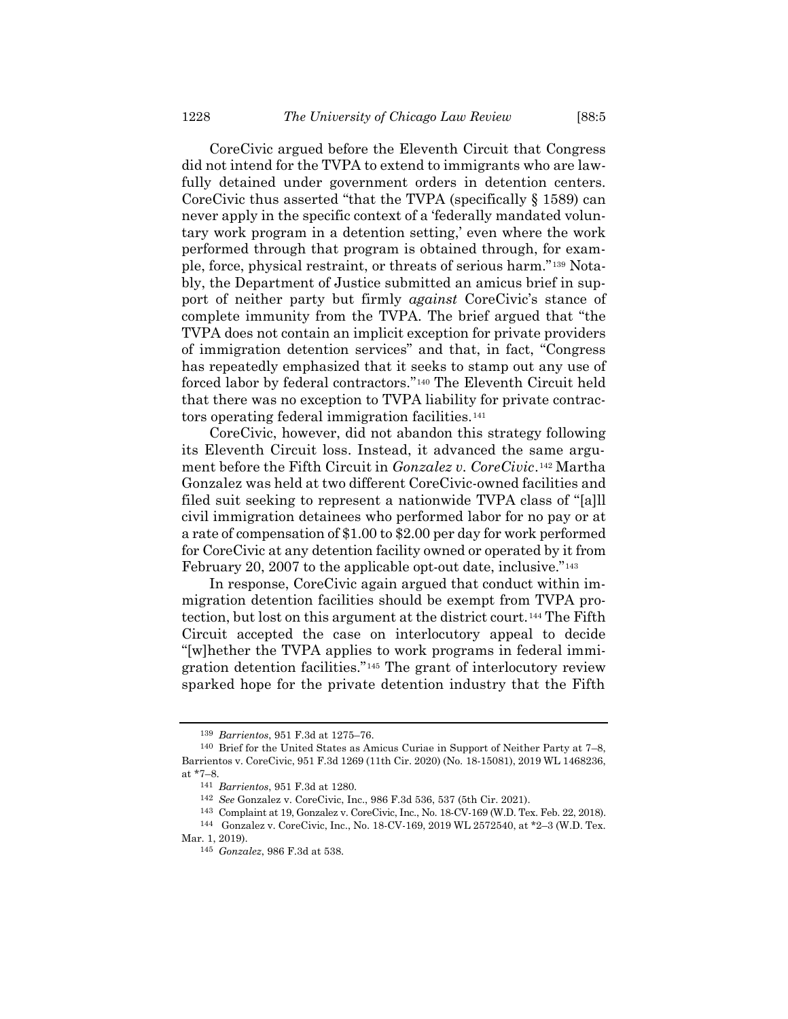CoreCivic argued before the Eleventh Circuit that Congress did not intend for the TVPA to extend to immigrants who are lawfully detained under government orders in detention centers. CoreCivic thus asserted "that the TVPA (specifically § 1589) can never apply in the specific context of a 'federally mandated voluntary work program in a detention setting,' even where the work performed through that program is obtained through, for example, force, physical restraint, or threats of serious harm."<sup>139</sup> Notably, the Department of Justice submitted an amicus brief in support of neither party but firmly *against* CoreCivic's stance of complete immunity from the TVPA. The brief argued that "the TVPA does not contain an implicit exception for private providers of immigration detention services" and that, in fact, "Congress has repeatedly emphasized that it seeks to stamp out any use of forced labor by federal contractors."<sup>140</sup> The Eleventh Circuit held that there was no exception to TVPA liability for private contractors operating federal immigration facilities.<sup>141</sup>

CoreCivic, however, did not abandon this strategy following its Eleventh Circuit loss. Instead, it advanced the same argument before the Fifth Circuit in *Gonzalez v. CoreCivic.<sup>142</sup>* Martha Gonzalez was held at two different CoreCivic-owned facilities and filed suit seeking to represent a nationwide TVPA class of "[a]ll civil immigration detainees who performed labor for no pay or at a rate of compensation of \$1.00 to \$2.00 per day for work performed for CoreCivic at any detention facility owned or operated by it from February 20, 2007 to the applicable opt-out date, inclusive."<sup>143</sup>

In response, CoreCivic again argued that conduct within immigration detention facilities should be exempt from TVPA protection, but lost on this argument at the district court.<sup>144</sup> The Fifth Circuit accepted the case on interlocutory appeal to decide "[w]hether the TVPA applies to work programs in federal immigration detention facilities."<sup>145</sup> The grant of interlocutory review sparked hope for the private detention industry that the Fifth

<sup>139</sup> *Barrientos*, 951 F.3d at 1275–76.

<sup>140</sup> Brief for the United States as Amicus Curiae in Support of Neither Party at 7–8, Barrientos v. CoreCivic, 951 F.3d 1269 (11th Cir. 2020) (No. 18-15081), 2019 WL 1468236, at \*7–8.

<sup>141</sup> *Barrientos*, 951 F.3d at 1280.

<sup>142</sup> *See* Gonzalez v. CoreCivic, Inc., 986 F.3d 536, 537 (5th Cir. 2021).

<sup>143</sup> Complaint at 19, Gonzalez v. CoreCivic, Inc., No. 18-CV-169 (W.D. Tex. Feb. 22, 2018).

<sup>144</sup> Gonzalez v. CoreCivic, Inc., No. 18-CV-169, 2019 WL 2572540, at \*2–3 (W.D. Tex. Mar. 1, 2019).

<sup>145</sup> *Gonzalez*, 986 F.3d at 538.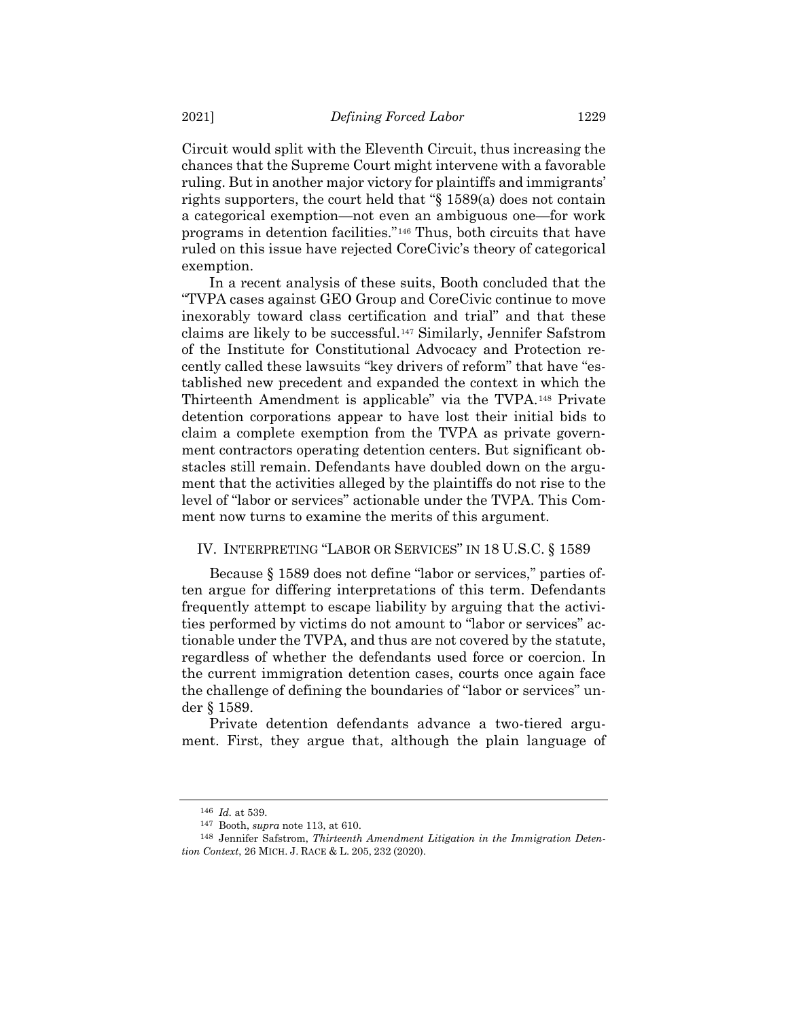Circuit would split with the Eleventh Circuit, thus increasing the chances that the Supreme Court might intervene with a favorable ruling. But in another major victory for plaintiffs and immigrants' rights supporters, the court held that "§ 1589(a) does not contain a categorical exemption—not even an ambiguous one—for work programs in detention facilities."*146F* <sup>146</sup> Thus, both circuits that have ruled on this issue have rejected CoreCivic's theory of categorical exemption.

In a recent analysis of these suits, Booth concluded that the "TVPA cases against GEO Group and CoreCivic continue to move inexorably toward class certification and trial" and that these claims are likely to be successful.<sup>147</sup> Similarly, Jennifer Safstrom of the Institute for Constitutional Advocacy and Protection recently called these lawsuits "key drivers of reform" that have "established new precedent and expanded the context in which the Thirteenth Amendment is applicable" via the TVPA.<sup>148</sup> Private detention corporations appear to have lost their initial bids to claim a complete exemption from the TVPA as private government contractors operating detention centers. But significant obstacles still remain. Defendants have doubled down on the argument that the activities alleged by the plaintiffs do not rise to the level of "labor or services" actionable under the TVPA. This Comment now turns to examine the merits of this argument.

## IV. INTERPRETING "LABOR OR SERVICES" IN 18 U.S.C. § 1589

Because § 1589 does not define "labor or services," parties often argue for differing interpretations of this term. Defendants frequently attempt to escape liability by arguing that the activities performed by victims do not amount to "labor or services" actionable under the TVPA, and thus are not covered by the statute, regardless of whether the defendants used force or coercion. In the current immigration detention cases, courts once again face the challenge of defining the boundaries of "labor or services" under § 1589.

Private detention defendants advance a two-tiered argument. First, they argue that, although the plain language of

<sup>146</sup> *Id.* at 539.

<sup>147</sup> Booth, *supra* note [113,](#page-22-0) at 610.

<sup>148</sup> Jennifer Safstrom, *Thirteenth Amendment Litigation in the Immigration Detention Context*, 26 MICH. J. RACE & L. 205, 232 (2020).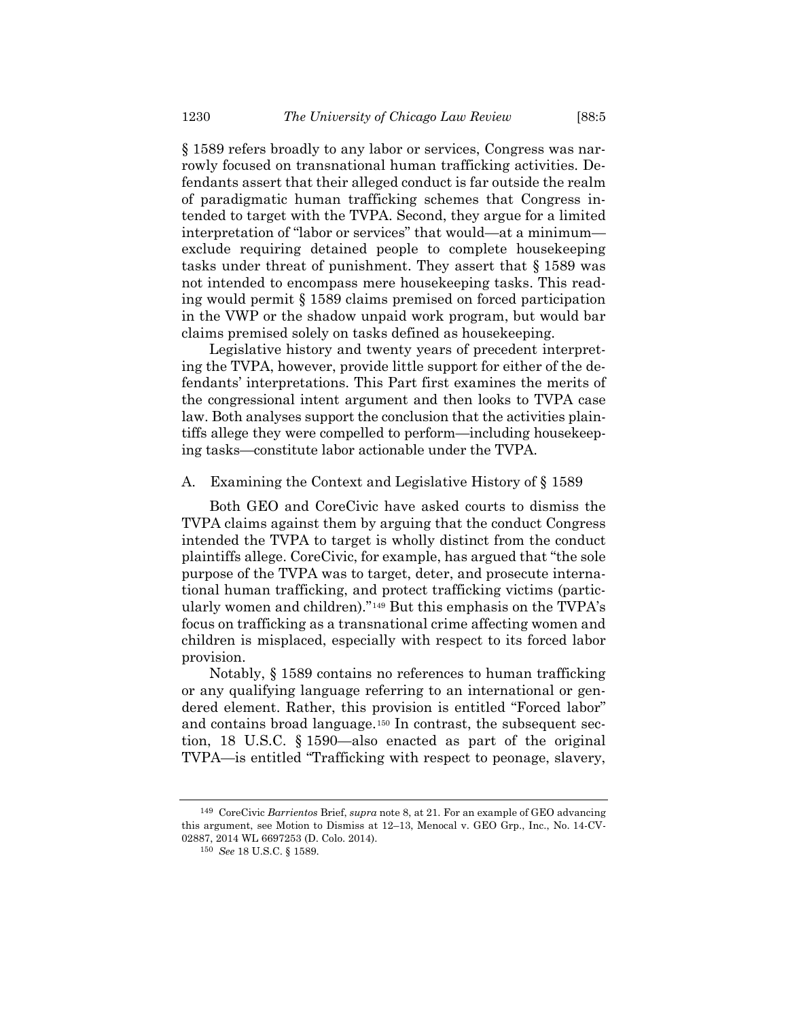§ 1589 refers broadly to any labor or services, Congress was narrowly focused on transnational human trafficking activities. Defendants assert that their alleged conduct is far outside the realm of paradigmatic human trafficking schemes that Congress intended to target with the TVPA. Second, they argue for a limited interpretation of "labor or services" that would—at a minimum exclude requiring detained people to complete housekeeping tasks under threat of punishment. They assert that § 1589 was not intended to encompass mere housekeeping tasks. This reading would permit § 1589 claims premised on forced participation in the VWP or the shadow unpaid work program, but would bar claims premised solely on tasks defined as housekeeping.

Legislative history and twenty years of precedent interpreting the TVPA, however, provide little support for either of the defendants' interpretations. This Part first examines the merits of the congressional intent argument and then looks to TVPA case law. Both analyses support the conclusion that the activities plaintiffs allege they were compelled to perform—including housekeeping tasks—constitute labor actionable under the TVPA.

## A. Examining the Context and Legislative History of § 1589

Both GEO and CoreCivic have asked courts to dismiss the TVPA claims against them by arguing that the conduct Congress intended the TVPA to target is wholly distinct from the conduct plaintiffs allege. CoreCivic, for example, has argued that "the sole purpose of the TVPA was to target, deter, and prosecute international human trafficking, and protect trafficking victims (particularly women and children)."<sup>149</sup> But this emphasis on the TVPA's focus on trafficking as a transnational crime affecting women and children is misplaced, especially with respect to its forced labor provision.

Notably, § 1589 contains no references to human trafficking or any qualifying language referring to an international or gendered element. Rather, this provision is entitled "Forced labor" and contains broad language.<sup>150</sup> In contrast, the subsequent section, 18 U.S.C. § 1590—also enacted as part of the original TVPA—is entitled "Trafficking with respect to peonage, slavery,

<sup>149</sup> CoreCivic *Barrientos* Brief, *supra* note [8,](#page-3-0) at 21. For an example of GEO advancing this argument, see Motion to Dismiss at 12–13, Menocal v. GEO Grp., Inc., No. 14-CV-02887, 2014 WL 6697253 (D. Colo. 2014).

<sup>150</sup> *See* 18 U.S.C. § 1589.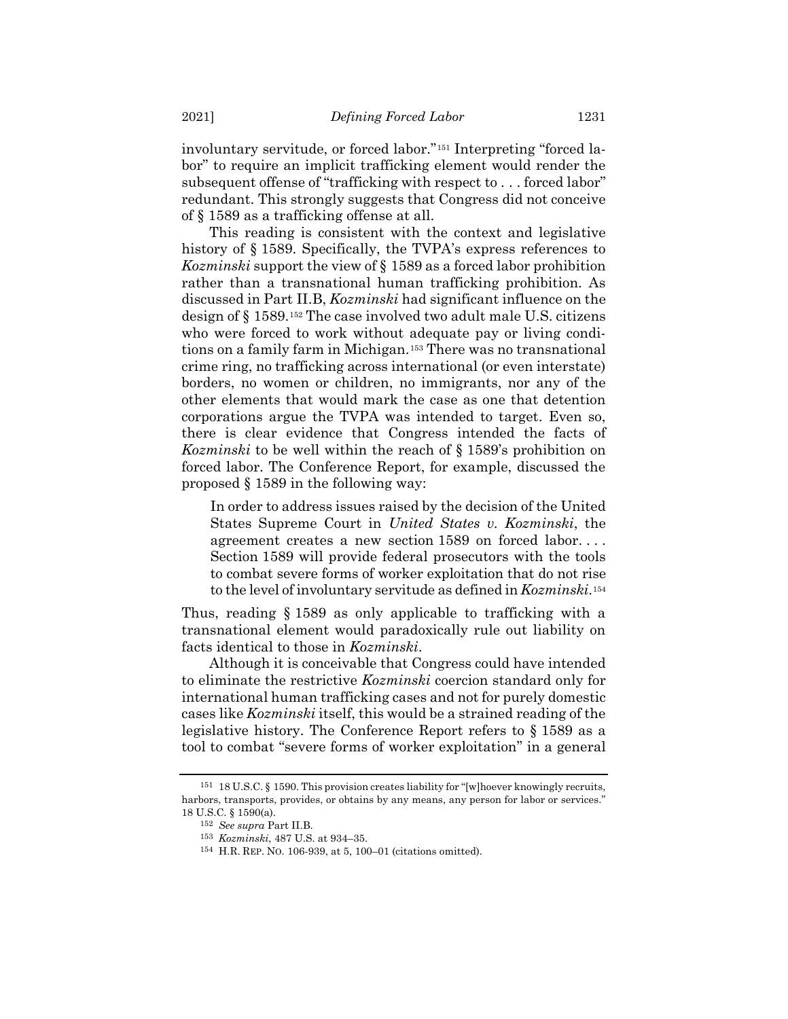involuntary servitude, or forced labor."<sup>151</sup> Interpreting "forced labor" to require an implicit trafficking element would render the subsequent offense of "trafficking with respect to . . . forced labor" redundant. This strongly suggests that Congress did not conceive of § 1589 as a trafficking offense at all.

This reading is consistent with the context and legislative history of § 1589. Specifically, the TVPA's express references to *Kozminski* support the view of § 1589 as a forced labor prohibition rather than a transnational human trafficking prohibition. As discussed in Part II.B, *Kozminski* had significant influence on the design of § 1589.<sup>152</sup> The case involved two adult male U.S. citizens who were forced to work without adequate pay or living conditions on a family farm in Michigan.<sup>153</sup> There was no transnational crime ring, no trafficking across international (or even interstate) borders, no women or children, no immigrants, nor any of the other elements that would mark the case as one that detention corporations argue the TVPA was intended to target. Even so, there is clear evidence that Congress intended the facts of *Kozminski* to be well within the reach of § 1589's prohibition on forced labor. The Conference Report, for example, discussed the proposed § 1589 in the following way:

In order to address issues raised by the decision of the United States Supreme Court in *United States v. Kozminski*, the agreement creates a new section 1589 on forced labor. . . . Section 1589 will provide federal prosecutors with the tools to combat severe forms of worker exploitation that do not rise to the level of involuntary servitude as defined in *Kozminski*.<sup>154</sup>

Thus, reading § 1589 as only applicable to trafficking with a transnational element would paradoxically rule out liability on facts identical to those in *Kozminski*.

Although it is conceivable that Congress could have intended to eliminate the restrictive *Kozminski* coercion standard only for international human trafficking cases and not for purely domestic cases like *Kozminski* itself, this would be a strained reading of the legislative history. The Conference Report refers to § 1589 as a tool to combat "severe forms of worker exploitation" in a general

<sup>151</sup> 18 U.S.C. § 1590. This provision creates liability for "[w]hoever knowingly recruits, harbors, transports, provides, or obtains by any means, any person for labor or services." 18 U.S.C. § 1590(a).

<sup>152</sup> *See supra* Part II.B.

<sup>153</sup> *Kozminski*, 487 U.S. at 934–35.

<sup>154</sup> H.R. REP. NO. 106-939, at 5, 100–01 (citations omitted).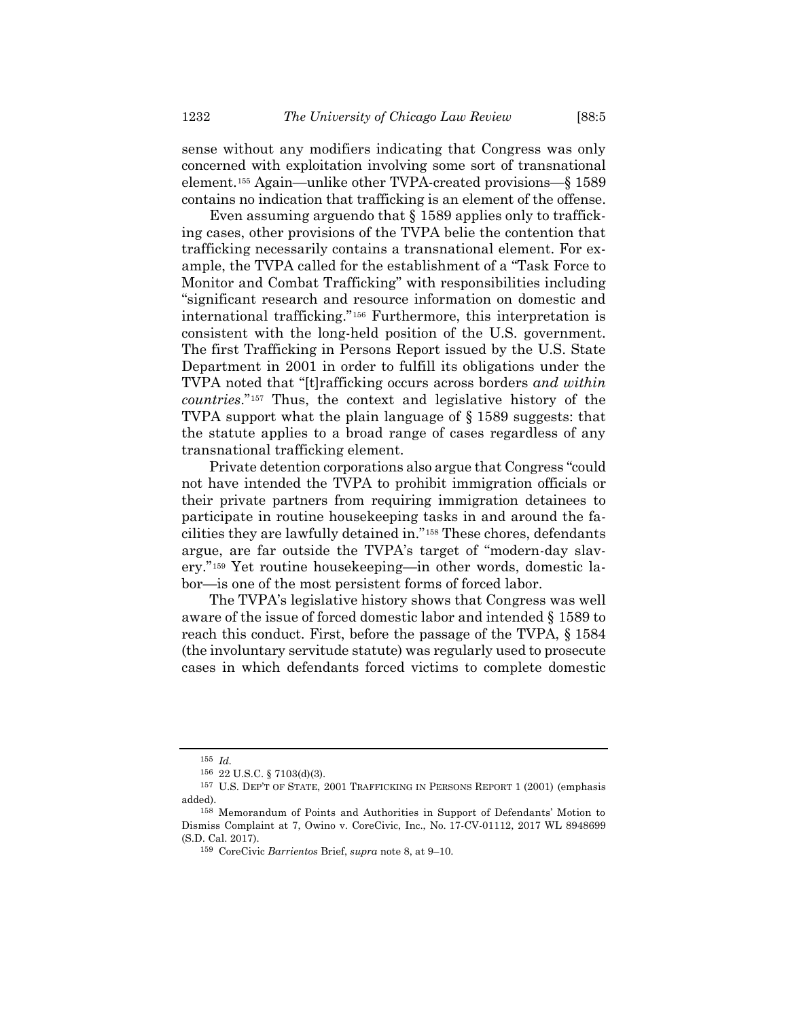sense without any modifiers indicating that Congress was only concerned with exploitation involving some sort of transnational element.*15F* <sup>155</sup> Again—unlike other TVPA-created provisions—§ 1589 contains no indication that trafficking is an element of the offense.

Even assuming arguendo that § 1589 applies only to trafficking cases, other provisions of the TVPA belie the contention that trafficking necessarily contains a transnational element. For example, the TVPA called for the establishment of a "Task Force to Monitor and Combat Trafficking" with responsibilities including "significant research and resource information on domestic and international trafficking."<sup>156</sup> Furthermore, this interpretation is consistent with the long-held position of the U.S. government. The first Trafficking in Persons Report issued by the U.S. State Department in 2001 in order to fulfill its obligations under the TVPA noted that "[t]rafficking occurs across borders *and within countries*."*157F* <sup>157</sup> Thus, the context and legislative history of the TVPA support what the plain language of § 1589 suggests: that the statute applies to a broad range of cases regardless of any transnational trafficking element.

Private detention corporations also argue that Congress "could not have intended the TVPA to prohibit immigration officials or their private partners from requiring immigration detainees to participate in routine housekeeping tasks in and around the facilities they are lawfully detained in."<sup>158</sup> These chores, defendants argue, are far outside the TVPA's target of "modern-day slavery."<sup>159</sup> Yet routine housekeeping—in other words, domestic labor—is one of the most persistent forms of forced labor.

The TVPA's legislative history shows that Congress was well aware of the issue of forced domestic labor and intended § 1589 to reach this conduct. First, before the passage of the TVPA, § 1584 (the involuntary servitude statute) was regularly used to prosecute cases in which defendants forced victims to complete domestic

<sup>155</sup> *Id.*

<sup>156</sup> 22 U.S.C. § 7103(d)(3).

<sup>157</sup> U.S. DEP'T OF STATE, 2001 TRAFFICKING IN PERSONS REPORT 1 (2001) (emphasis added).

<sup>158</sup> Memorandum of Points and Authorities in Support of Defendants' Motion to Dismiss Complaint at 7, Owino v. CoreCivic, Inc., No. 17-CV-01112, 2017 WL 8948699 (S.D. Cal. 2017).

<sup>159</sup> CoreCivic *Barrientos* Brief, *supra* note [8,](#page-3-0) at 9–10.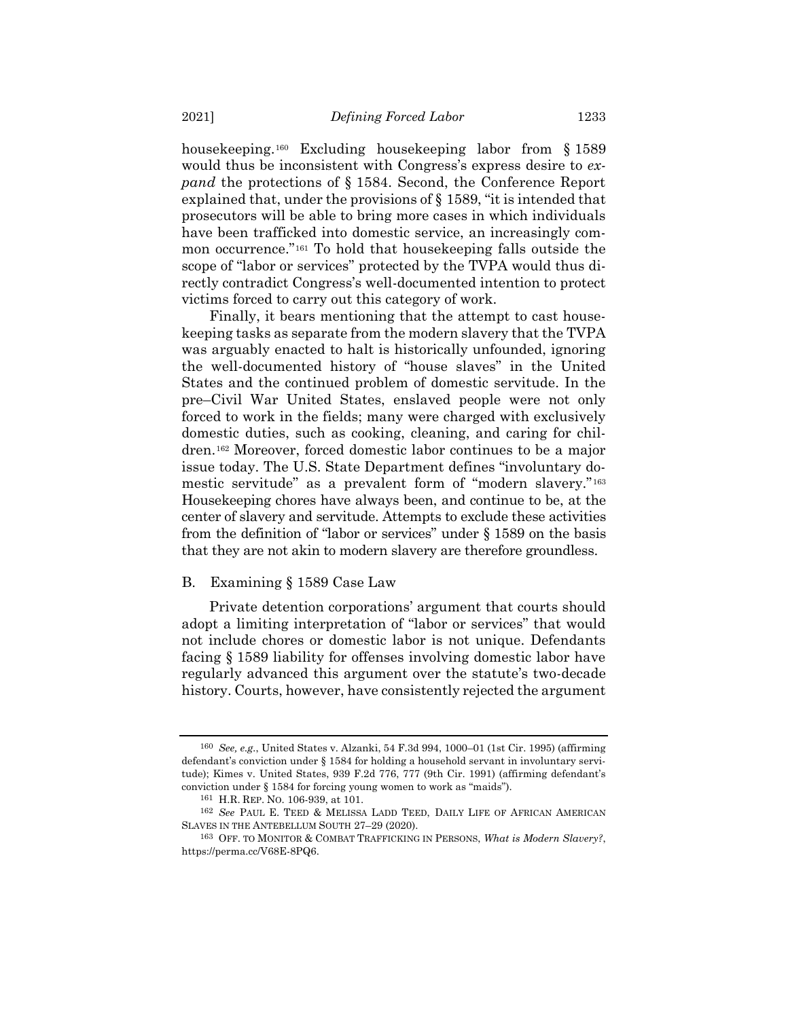housekeeping.<sup>160</sup> Excluding housekeeping labor from § 1589 would thus be inconsistent with Congress's express desire to *expand* the protections of § 1584. Second, the Conference Report explained that, under the provisions of § 1589, "it is intended that prosecutors will be able to bring more cases in which individuals have been trafficked into domestic service, an increasingly common occurrence."*16F* <sup>161</sup> To hold that housekeeping falls outside the scope of "labor or services" protected by the TVPA would thus directly contradict Congress's well-documented intention to protect victims forced to carry out this category of work.

Finally, it bears mentioning that the attempt to cast housekeeping tasks as separate from the modern slavery that the TVPA was arguably enacted to halt is historically unfounded, ignoring the well-documented history of "house slaves" in the United States and the continued problem of domestic servitude. In the pre–Civil War United States, enslaved people were not only forced to work in the fields; many were charged with exclusively domestic duties, such as cooking, cleaning, and caring for children.<sup>162</sup> Moreover, forced domestic labor continues to be a major issue today. The U.S. State Department defines "involuntary domestic servitude" as a prevalent form of "modern slavery."<sup>163</sup> Housekeeping chores have always been, and continue to be, at the center of slavery and servitude. Attempts to exclude these activities from the definition of "labor or services" under § 1589 on the basis that they are not akin to modern slavery are therefore groundless.

## B. Examining § 1589 Case Law

Private detention corporations' argument that courts should adopt a limiting interpretation of "labor or services" that would not include chores or domestic labor is not unique. Defendants facing § 1589 liability for offenses involving domestic labor have regularly advanced this argument over the statute's two-decade history. Courts, however, have consistently rejected the argument

<sup>160</sup> *See, e.g.*, United States v. Alzanki, 54 F.3d 994, 1000–01 (1st Cir. 1995) (affirming defendant's conviction under § 1584 for holding a household servant in involuntary servitude); Kimes v. United States, 939 F.2d 776, 777 (9th Cir. 1991) (affirming defendant's conviction under § 1584 for forcing young women to work as "maids").

<sup>161</sup> H.R. REP. NO. 106-939, at 101.

<sup>162</sup> *See* PAUL E. TEED & MELISSA LADD TEED, DAILY LIFE OF AFRICAN AMERICAN SLAVES IN THE ANTEBELLUM SOUTH 27–29 (2020).

<sup>163</sup> OFF. TO MONITOR & COMBAT TRAFFICKING IN PERSONS, *What is Modern Slavery?*, https://perma.cc/V68E-8PQ6.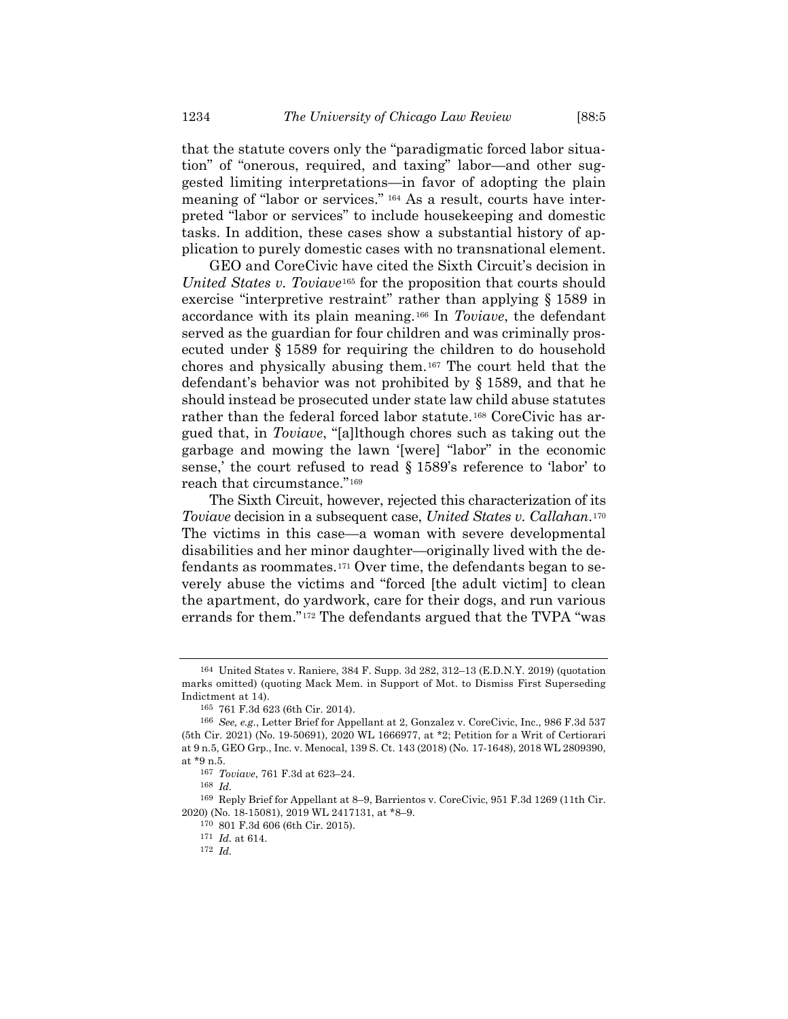that the statute covers only the "paradigmatic forced labor situation" of "onerous, required, and taxing" labor—and other suggested limiting interpretations—in favor of adopting the plain meaning of "labor or services." <sup>164</sup> As a result, courts have interpreted "labor or services" to include housekeeping and domestic tasks. In addition, these cases show a substantial history of application to purely domestic cases with no transnational element.

GEO and CoreCivic have cited the Sixth Circuit's decision in *United States v. Toviave*<sup>165</sup> for the proposition that courts should exercise "interpretive restraint" rather than applying § 1589 in accordance with its plain meaning.<sup>166</sup> In *Toviave*, the defendant served as the guardian for four children and was criminally prosecuted under § 1589 for requiring the children to do household chores and physically abusing them.<sup>167</sup> The court held that the defendant's behavior was not prohibited by § 1589, and that he should instead be prosecuted under state law child abuse statutes rather than the federal forced labor statute.<sup>168</sup> CoreCivic has argued that, in *Toviave*, "[a]lthough chores such as taking out the garbage and mowing the lawn '[were] "labor" in the economic sense,' the court refused to read § 1589's reference to 'labor' to reach that circumstance."<sup>169</sup>

The Sixth Circuit, however, rejected this characterization of its *Toviave* decision in a subsequent case, *United States v. Callahan.*<sup>170</sup> The victims in this case—a woman with severe developmental disabilities and her minor daughter—originally lived with the defendants as roommates.<sup>171</sup> Over time, the defendants began to severely abuse the victims and "forced [the adult victim] to clean the apartment, do yardwork, care for their dogs, and run various errands for them."<sup>172</sup> The defendants argued that the TVPA "was

<sup>164</sup> United States v. Raniere, 384 F. Supp. 3d 282, 312–13 (E.D.N.Y. 2019) (quotation marks omitted) (quoting Mack Mem. in Support of Mot. to Dismiss First Superseding Indictment at 14).

<sup>165</sup> 761 F.3d 623 (6th Cir. 2014).

<sup>166</sup> *See, e.g.*, Letter Brief for Appellant at 2, Gonzalez v. CoreCivic, Inc., 986 F.3d 537 (5th Cir. 2021) (No. 19-50691), 2020 WL 1666977, at \*2; Petition for a Writ of Certiorari at 9 n.5, GEO Grp., Inc. v. Menocal, 139 S. Ct. 143 (2018) (No. 17-1648), 2018 WL 2809390, at \*9 n.5.

<sup>167</sup> *Toviave*, 761 F.3d at 623–24.

<sup>168</sup> *Id.*

<sup>169</sup> Reply Brief for Appellant at 8–9, Barrientos v. CoreCivic, 951 F.3d 1269 (11th Cir. 2020) (No. 18-15081), 2019 WL 2417131, at \*8–9.

<sup>170</sup> 801 F.3d 606 (6th Cir. 2015).

<sup>171</sup> *Id.* at 614.

<sup>172</sup> *Id.*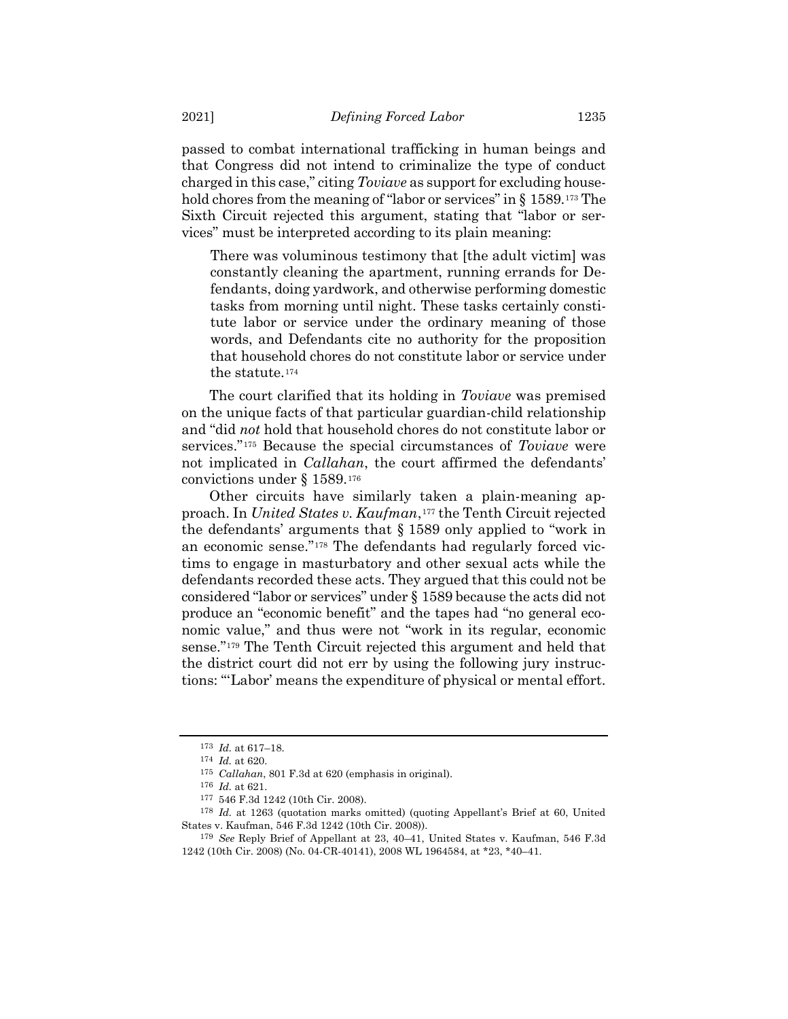passed to combat international trafficking in human beings and that Congress did not intend to criminalize the type of conduct charged in this case," citing *Toviave* as support for excluding household chores from the meaning of "labor or services" in § 1589.<sup>173</sup> The Sixth Circuit rejected this argument, stating that "labor or services" must be interpreted according to its plain meaning:

There was voluminous testimony that [the adult victim] was constantly cleaning the apartment, running errands for Defendants, doing yardwork, and otherwise performing domestic tasks from morning until night. These tasks certainly constitute labor or service under the ordinary meaning of those words, and Defendants cite no authority for the proposition that household chores do not constitute labor or service under the statute.<sup>174</sup>

The court clarified that its holding in *Toviave* was premised on the unique facts of that particular guardian-child relationship and "did *not* hold that household chores do not constitute labor or services."<sup>175</sup> Because the special circumstances of *Toviave* were not implicated in *Callahan*, the court affirmed the defendants' convictions under § 1589.<sup>176</sup>

Other circuits have similarly taken a plain-meaning approach. In *United States v. Kaufman*,*17F* <sup>177</sup> the Tenth Circuit rejected the defendants' arguments that § 1589 only applied to "work in an economic sense."<sup>178</sup> The defendants had regularly forced victims to engage in masturbatory and other sexual acts while the defendants recorded these acts. They argued that this could not be considered "labor or services" under § 1589 because the acts did not produce an "economic benefit" and the tapes had "no general economic value," and thus were not "work in its regular, economic sense."<sup>179</sup> The Tenth Circuit rejected this argument and held that the district court did not err by using the following jury instructions: "'Labor' means the expenditure of physical or mental effort.

<sup>173</sup> *Id.* at 617–18.

<sup>174</sup> *Id.* at 620.

<sup>175</sup> *Callahan*, 801 F.3d at 620 (emphasis in original).

<sup>176</sup> *Id.* at 621.

<sup>177</sup> 546 F.3d 1242 (10th Cir. 2008).

<sup>178</sup> *Id.* at 1263 (quotation marks omitted) (quoting Appellant's Brief at 60, United States v. Kaufman, 546 F.3d 1242 (10th Cir. 2008)).

<sup>179</sup> *See* Reply Brief of Appellant at 23, 40–41, United States v. Kaufman, 546 F.3d 1242 (10th Cir. 2008) (No. 04-CR-40141), 2008 WL 1964584, at \*23, \*40–41.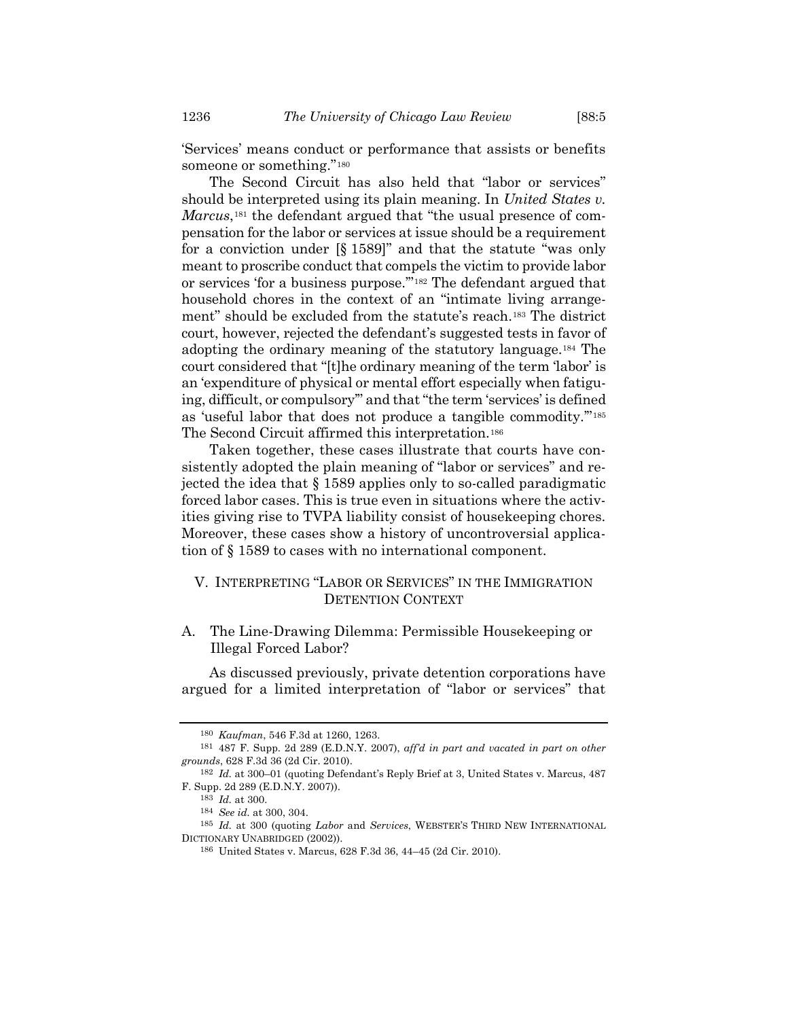'Services' means conduct or performance that assists or benefits someone or something."<sup>180</sup>

The Second Circuit has also held that "labor or services" should be interpreted using its plain meaning. In *United States v. Marcus*,<sup>181</sup> the defendant argued that "the usual presence of compensation for the labor or services at issue should be a requirement for a conviction under [§ 1589]" and that the statute "was only meant to proscribe conduct that compels the victim to provide labor or services 'for a business purpose."<sup>182</sup> The defendant argued that household chores in the context of an "intimate living arrangement" should be excluded from the statute's reach.<sup>183</sup> The district court, however, rejected the defendant's suggested tests in favor of adopting the ordinary meaning of the statutory language.<sup>184</sup> The court considered that "[t]he ordinary meaning of the term 'labor' is an 'expenditure of physical or mental effort especially when fatiguing, difficult, or compulsory'" and that "the term 'services' is defined as 'useful labor that does not produce a tangible commodity."<sup>185</sup> The Second Circuit affirmed this interpretation.<sup>186</sup>

Taken together, these cases illustrate that courts have consistently adopted the plain meaning of "labor or services" and rejected the idea that § 1589 applies only to so-called paradigmatic forced labor cases. This is true even in situations where the activities giving rise to TVPA liability consist of housekeeping chores. Moreover, these cases show a history of uncontroversial application of § 1589 to cases with no international component.

## V. INTERPRETING "LABOR OR SERVICES" IN THE IMMIGRATION DETENTION CONTEXT

## A. The Line-Drawing Dilemma: Permissible Housekeeping or Illegal Forced Labor?

As discussed previously, private detention corporations have argued for a limited interpretation of "labor or services" that

<sup>180</sup> *Kaufman*, 546 F.3d at 1260, 1263.

<sup>181</sup> 487 F. Supp. 2d 289 (E.D.N.Y. 2007), *aff'd in part and vacated in part on other grounds*, 628 F.3d 36 (2d Cir. 2010).

<sup>182</sup> *Id.* at 300–01 (quoting Defendant's Reply Brief at 3, United States v. Marcus, 487 F. Supp. 2d 289 (E.D.N.Y. 2007)).

<sup>183</sup> *Id.* at 300.

<sup>184</sup> *See id.* at 300, 304.

<sup>185</sup> *Id.* at 300 (quoting *Labor* and *Services*, WEBSTER'S THIRD NEW INTERNATIONAL DICTIONARY UNABRIDGED (2002)).

<sup>186</sup> United States v. Marcus, 628 F.3d 36, 44–45 (2d Cir. 2010).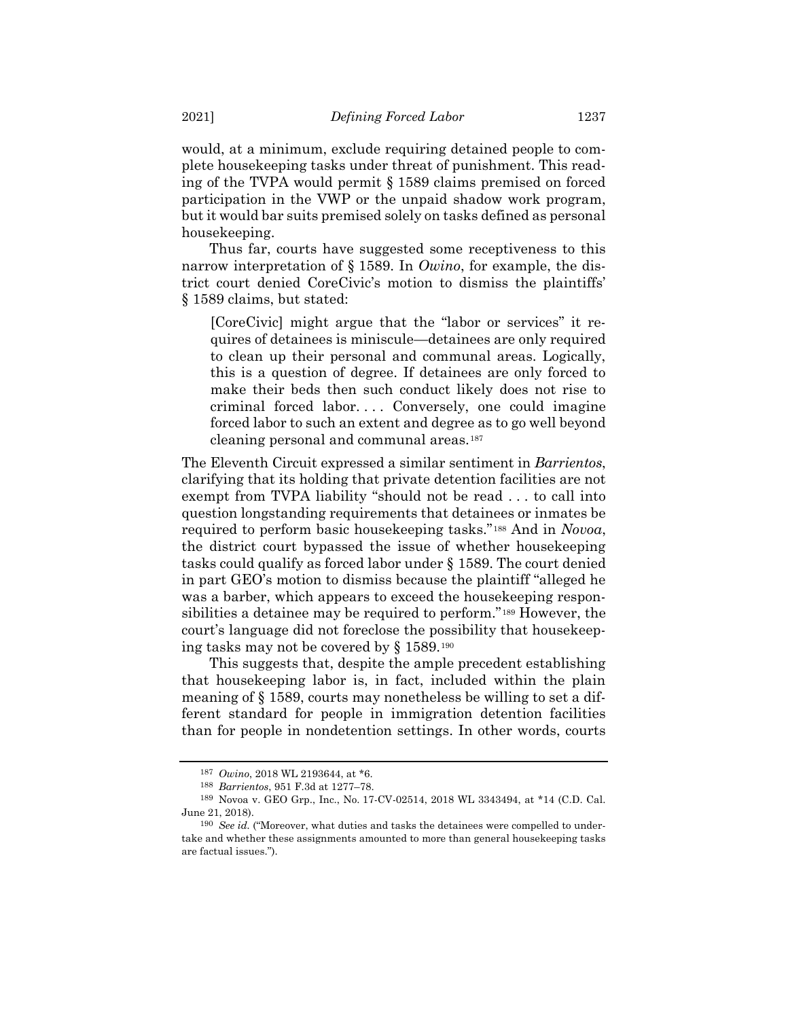would, at a minimum, exclude requiring detained people to complete housekeeping tasks under threat of punishment. This reading of the TVPA would permit § 1589 claims premised on forced participation in the VWP or the unpaid shadow work program, but it would bar suits premised solely on tasks defined as personal housekeeping.

Thus far, courts have suggested some receptiveness to this narrow interpretation of § 1589. In *Owino*, for example, the district court denied CoreCivic's motion to dismiss the plaintiffs' § 1589 claims, but stated:

[CoreCivic] might argue that the "labor or services" it requires of detainees is miniscule—detainees are only required to clean up their personal and communal areas. Logically, this is a question of degree. If detainees are only forced to make their beds then such conduct likely does not rise to criminal forced labor. . . . Conversely, one could imagine forced labor to such an extent and degree as to go well beyond cleaning personal and communal areas.<sup>187</sup>

The Eleventh Circuit expressed a similar sentiment in *Barrientos*, clarifying that its holding that private detention facilities are not exempt from TVPA liability "should not be read . . . to call into question longstanding requirements that detainees or inmates be required to perform basic housekeeping tasks."<sup>188</sup> And in *Novoa*, the district court bypassed the issue of whether housekeeping tasks could qualify as forced labor under § 1589. The court denied in part GEO's motion to dismiss because the plaintiff "alleged he was a barber, which appears to exceed the housekeeping responsibilities a detainee may be required to perform."<sup>189</sup> However, the court's language did not foreclose the possibility that housekeeping tasks may not be covered by § 1589.<sup>190</sup>

This suggests that, despite the ample precedent establishing that housekeeping labor is, in fact, included within the plain meaning of § 1589, courts may nonetheless be willing to set a different standard for people in immigration detention facilities than for people in nondetention settings. In other words, courts

<sup>187</sup> *Owino*, 2018 WL 2193644, at \*6.

<sup>188</sup> *Barrientos*, 951 F.3d at 1277–78.

<sup>189</sup> Novoa v. GEO Grp., Inc., No. 17-CV-02514, 2018 WL 3343494, at \*14 (C.D. Cal. June 21, 2018).

<sup>190</sup> *See id.* ("Moreover, what duties and tasks the detainees were compelled to undertake and whether these assignments amounted to more than general housekeeping tasks are factual issues.").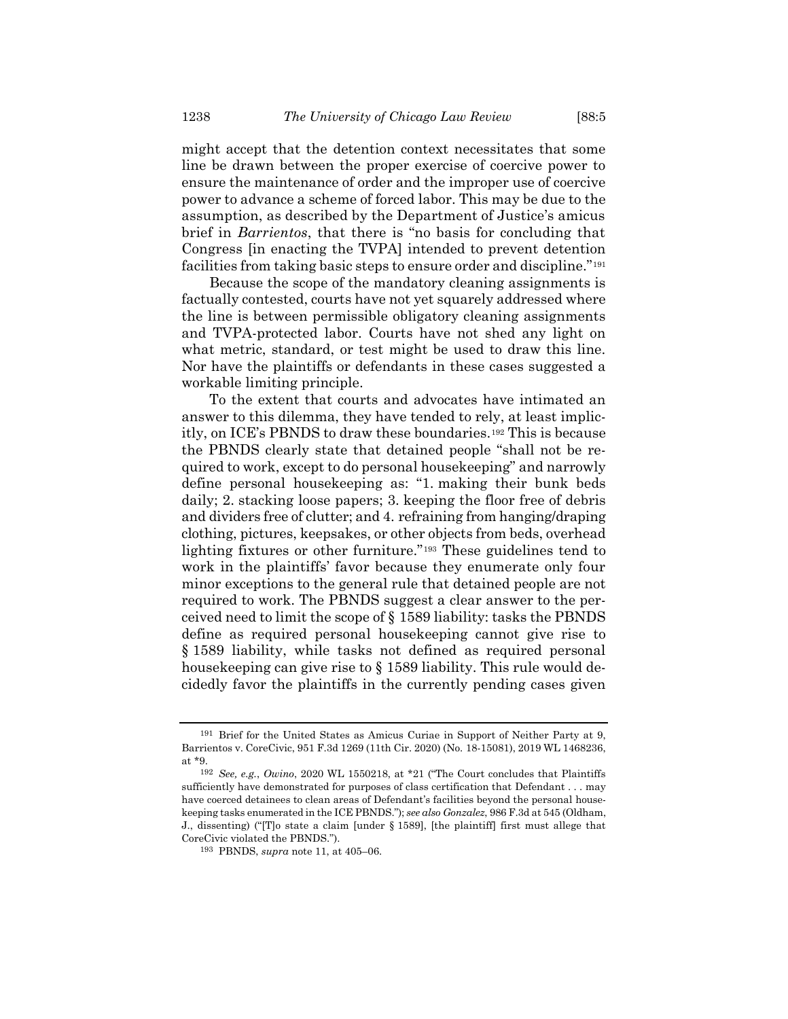might accept that the detention context necessitates that some line be drawn between the proper exercise of coercive power to ensure the maintenance of order and the improper use of coercive power to advance a scheme of forced labor. This may be due to the assumption, as described by the Department of Justice's amicus brief in *Barrientos*, that there is "no basis for concluding that Congress [in enacting the TVPA] intended to prevent detention facilities from taking basic steps to ensure order and discipline."<sup>191</sup>

Because the scope of the mandatory cleaning assignments is factually contested, courts have not yet squarely addressed where the line is between permissible obligatory cleaning assignments and TVPA-protected labor. Courts have not shed any light on what metric, standard, or test might be used to draw this line. Nor have the plaintiffs or defendants in these cases suggested a workable limiting principle.

To the extent that courts and advocates have intimated an answer to this dilemma, they have tended to rely, at least implicitly, on ICE's PBNDS to draw these boundaries.*192F* <sup>192</sup> This is because the PBNDS clearly state that detained people "shall not be required to work, except to do personal housekeeping" and narrowly define personal housekeeping as: "1. making their bunk beds daily; 2. stacking loose papers; 3. keeping the floor free of debris and dividers free of clutter; and 4. refraining from hanging/draping clothing, pictures, keepsakes, or other objects from beds, overhead lighting fixtures or other furniture."<sup>193</sup> These guidelines tend to work in the plaintiffs' favor because they enumerate only four minor exceptions to the general rule that detained people are not required to work. The PBNDS suggest a clear answer to the perceived need to limit the scope of § 1589 liability: tasks the PBNDS define as required personal housekeeping cannot give rise to § 1589 liability, while tasks not defined as required personal housekeeping can give rise to § 1589 liability. This rule would decidedly favor the plaintiffs in the currently pending cases given

<sup>191</sup> Brief for the United States as Amicus Curiae in Support of Neither Party at 9, Barrientos v. CoreCivic, 951 F.3d 1269 (11th Cir. 2020) (No. 18-15081), 2019 WL 1468236, at \*9.

<sup>192</sup> *See, e.g.*, *Owino*, 2020 WL 1550218, at \*21 ("The Court concludes that Plaintiffs sufficiently have demonstrated for purposes of class certification that Defendant . . . may have coerced detainees to clean areas of Defendant's facilities beyond the personal housekeeping tasks enumerated in the ICE PBNDS."); *see also Gonzalez*, 986 F.3d at 545 (Oldham, J., dissenting) ("[T]o state a claim [under § 1589], [the plaintiff] first must allege that CoreCivic violated the PBNDS.").

<sup>193</sup> PBNDS, *supra* note [11,](#page-4-0) at 405–06.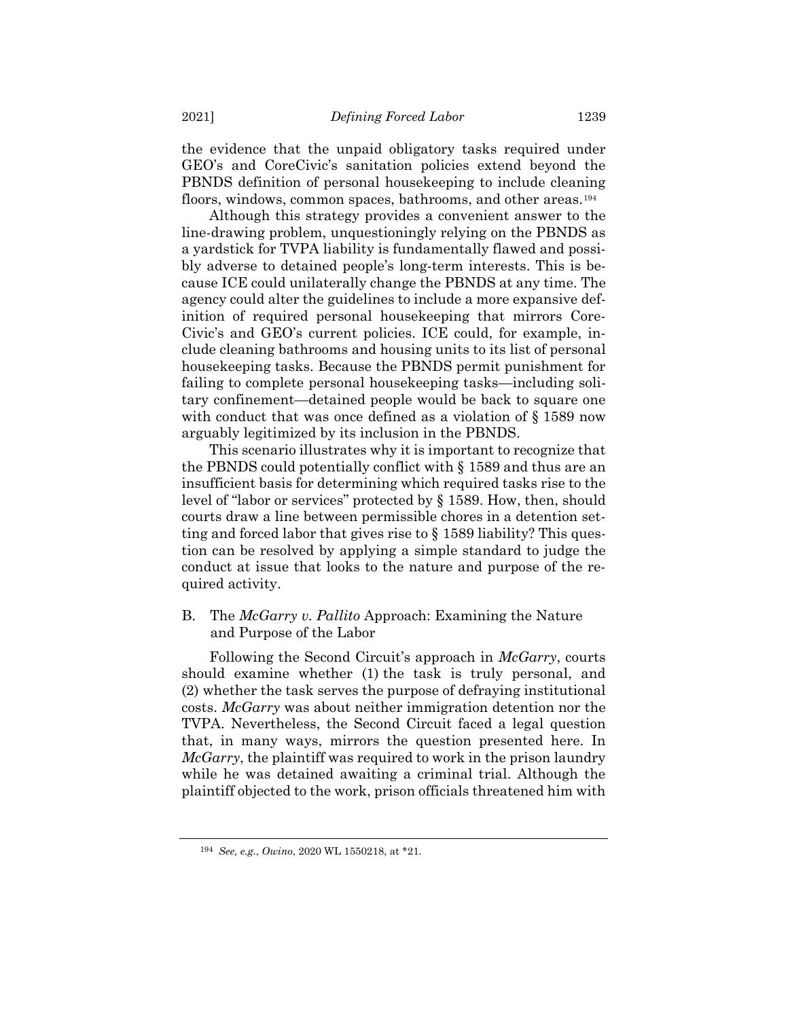the evidence that the unpaid obligatory tasks required under GEO's and CoreCivic's sanitation policies extend beyond the PBNDS definition of personal housekeeping to include cleaning floors, windows, common spaces, bathrooms, and other areas.<sup>194</sup>

Although this strategy provides a convenient answer to the line-drawing problem, unquestioningly relying on the PBNDS as a yardstick for TVPA liability is fundamentally flawed and possibly adverse to detained people's long-term interests. This is because ICE could unilaterally change the PBNDS at any time. The agency could alter the guidelines to include a more expansive definition of required personal housekeeping that mirrors Core-Civic's and GEO's current policies. ICE could, for example, include cleaning bathrooms and housing units to its list of personal housekeeping tasks. Because the PBNDS permit punishment for failing to complete personal housekeeping tasks—including solitary confinement—detained people would be back to square one with conduct that was once defined as a violation of  $\S 1589$  now arguably legitimized by its inclusion in the PBNDS.

This scenario illustrates why it is important to recognize that the PBNDS could potentially conflict with § 1589 and thus are an insufficient basis for determining which required tasks rise to the level of "labor or services" protected by § 1589. How, then, should courts draw a line between permissible chores in a detention setting and forced labor that gives rise to § 1589 liability? This question can be resolved by applying a simple standard to judge the conduct at issue that looks to the nature and purpose of the required activity.

B. The *McGarry v. Pallito* Approach: Examining the Nature and Purpose of the Labor

Following the Second Circuit's approach in *McGarry*, courts should examine whether (1) the task is truly personal, and (2) whether the task serves the purpose of defraying institutional costs. *McGarry* was about neither immigration detention nor the TVPA. Nevertheless, the Second Circuit faced a legal question that, in many ways, mirrors the question presented here. In *McGarry*, the plaintiff was required to work in the prison laundry while he was detained awaiting a criminal trial. Although the plaintiff objected to the work, prison officials threatened him with

<sup>194</sup> *See, e.g.*, *Owino*, 2020 WL 1550218, at \*21.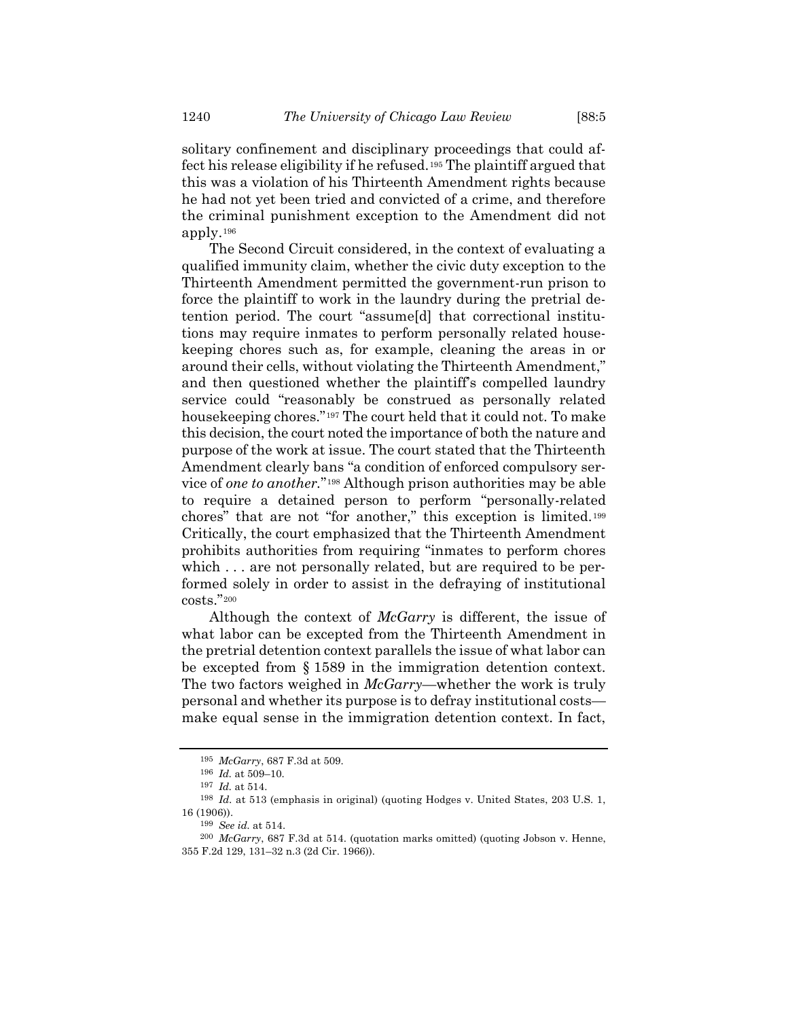solitary confinement and disciplinary proceedings that could affect his release eligibility if he refused.<sup>195</sup> The plaintiff argued that this was a violation of his Thirteenth Amendment rights because he had not yet been tried and convicted of a crime, and therefore the criminal punishment exception to the Amendment did not apply.<sup>196</sup>

The Second Circuit considered, in the context of evaluating a qualified immunity claim, whether the civic duty exception to the Thirteenth Amendment permitted the government-run prison to force the plaintiff to work in the laundry during the pretrial detention period. The court "assume[d] that correctional institutions may require inmates to perform personally related housekeeping chores such as, for example, cleaning the areas in or around their cells, without violating the Thirteenth Amendment," and then questioned whether the plaintiff's compelled laundry service could "reasonably be construed as personally related housekeeping chores."<sup>197</sup> The court held that it could not. To make this decision, the court noted the importance of both the nature and purpose of the work at issue. The court stated that the Thirteenth Amendment clearly bans "a condition of enforced compulsory service of *one* to *another*."<sup>198</sup> Although prison authorities may be able to require a detained person to perform "personally-related chores" that are not "for another," this exception is limited.<sup>199</sup> Critically, the court emphasized that the Thirteenth Amendment prohibits authorities from requiring "inmates to perform chores which ... are not personally related, but are required to be performed solely in order to assist in the defraying of institutional  $\mathrm{costs."}^{200}$ 

Although the context of *McGarry* is different, the issue of what labor can be excepted from the Thirteenth Amendment in the pretrial detention context parallels the issue of what labor can be excepted from § 1589 in the immigration detention context. The two factors weighed in *McGarry*—whether the work is truly personal and whether its purpose is to defray institutional costs make equal sense in the immigration detention context. In fact,

<sup>195</sup> *McGarry*, 687 F.3d at 509.

<sup>196</sup> *Id.* at 509–10.

<sup>197</sup> *Id.* at 514.

<sup>198</sup> *Id.* at 513 (emphasis in original) (quoting Hodges v. United States, 203 U.S. 1, 16 (1906)).

<sup>199</sup> *See id.* at 514.

<sup>200</sup> *McGarry*, 687 F.3d at 514. (quotation marks omitted) (quoting Jobson v. Henne, 355 F.2d 129, 131–32 n.3 (2d Cir. 1966)).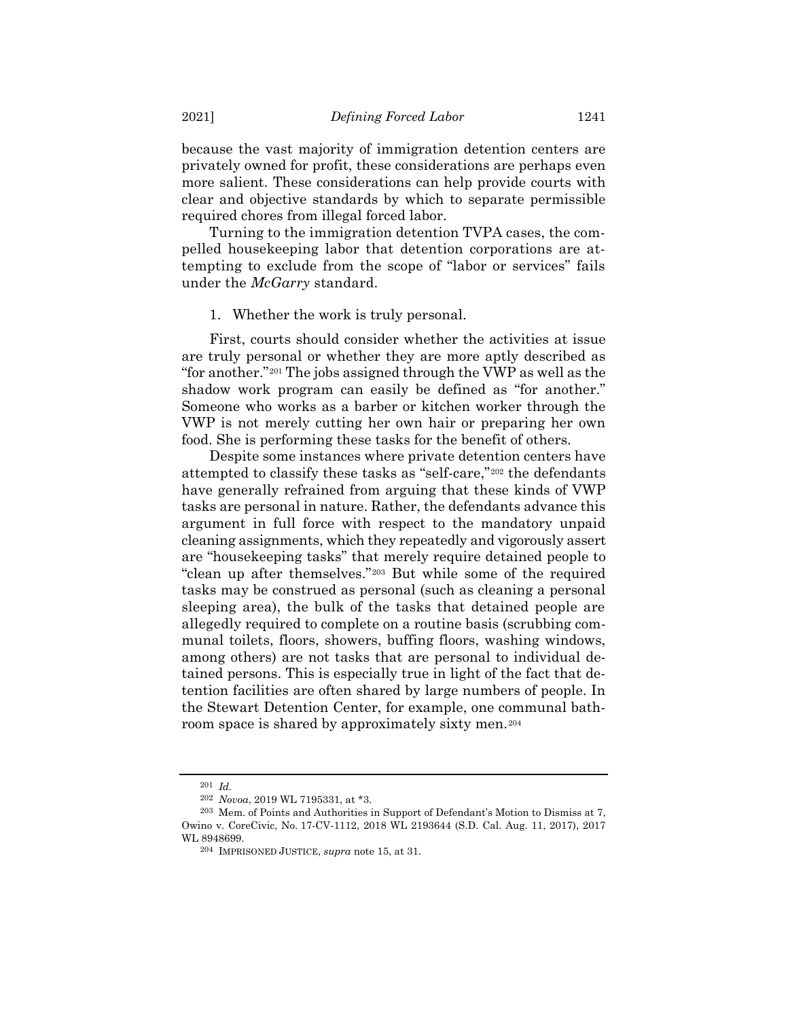because the vast majority of immigration detention centers are privately owned for profit, these considerations are perhaps even more salient. These considerations can help provide courts with clear and objective standards by which to separate permissible required chores from illegal forced labor.

Turning to the immigration detention TVPA cases, the compelled housekeeping labor that detention corporations are attempting to exclude from the scope of "labor or services" fails under the *McGarry* standard.

## 1. Whether the work is truly personal.

First, courts should consider whether the activities at issue are truly personal or whether they are more aptly described as "for another."<sup>201</sup> The jobs assigned through the VWP as well as the shadow work program can easily be defined as "for another." Someone who works as a barber or kitchen worker through the VWP is not merely cutting her own hair or preparing her own food. She is performing these tasks for the benefit of others.

Despite some instances where private detention centers have attempted to classify these tasks as "self-care,"<sup>202</sup> the defendants have generally refrained from arguing that these kinds of VWP tasks are personal in nature. Rather, the defendants advance this argument in full force with respect to the mandatory unpaid cleaning assignments, which they repeatedly and vigorously assert are "housekeeping tasks" that merely require detained people to "clean up after themselves."<sup>203</sup> But while some of the required tasks may be construed as personal (such as cleaning a personal sleeping area), the bulk of the tasks that detained people are allegedly required to complete on a routine basis (scrubbing communal toilets, floors, showers, buffing floors, washing windows, among others) are not tasks that are personal to individual detained persons. This is especially true in light of the fact that detention facilities are often shared by large numbers of people. In the Stewart Detention Center, for example, one communal bathroom space is shared by approximately sixty men.<sup>204</sup>

<sup>201</sup> *Id.*

<sup>202</sup> *Novoa*, 2019 WL 7195331, at \*3.

<sup>203</sup> Mem. of Points and Authorities in Support of Defendant's Motion to Dismiss at 7, Owino v. CoreCivic, No. 17-CV-1112, 2018 WL 2193644 (S.D. Cal. Aug. 11, 2017), 2017 WL 8948699.

<sup>204</sup> IMPRISONED JUSTICE, *supra* note [15,](#page-5-0) at 31.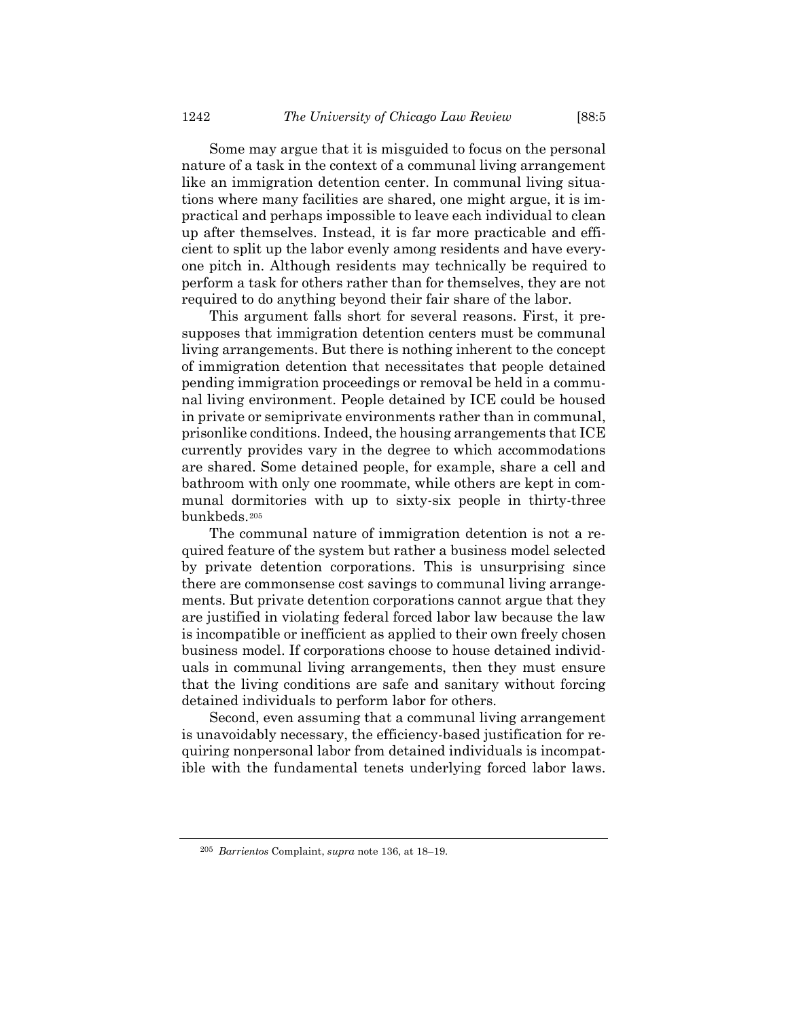Some may argue that it is misguided to focus on the personal nature of a task in the context of a communal living arrangement like an immigration detention center. In communal living situations where many facilities are shared, one might argue, it is impractical and perhaps impossible to leave each individual to clean up after themselves. Instead, it is far more practicable and efficient to split up the labor evenly among residents and have everyone pitch in. Although residents may technically be required to perform a task for others rather than for themselves, they are not required to do anything beyond their fair share of the labor.

This argument falls short for several reasons. First, it presupposes that immigration detention centers must be communal living arrangements. But there is nothing inherent to the concept of immigration detention that necessitates that people detained pending immigration proceedings or removal be held in a communal living environment. People detained by ICE could be housed in private or semiprivate environments rather than in communal, prisonlike conditions. Indeed, the housing arrangements that ICE currently provides vary in the degree to which accommodations are shared. Some detained people, for example, share a cell and bathroom with only one roommate, while others are kept in communal dormitories with up to sixty-six people in thirty-three bunkbeds.<sup>205</sup>

The communal nature of immigration detention is not a required feature of the system but rather a business model selected by private detention corporations. This is unsurprising since there are commonsense cost savings to communal living arrangements. But private detention corporations cannot argue that they are justified in violating federal forced labor law because the law is incompatible or inefficient as applied to their own freely chosen business model. If corporations choose to house detained individuals in communal living arrangements, then they must ensure that the living conditions are safe and sanitary without forcing detained individuals to perform labor for others.

Second, even assuming that a communal living arrangement is unavoidably necessary, the efficiency-based justification for requiring nonpersonal labor from detained individuals is incompatible with the fundamental tenets underlying forced labor laws.

<sup>205</sup> *Barrientos* Complaint, *supra* note [136,](#page-26-0) at 18–19.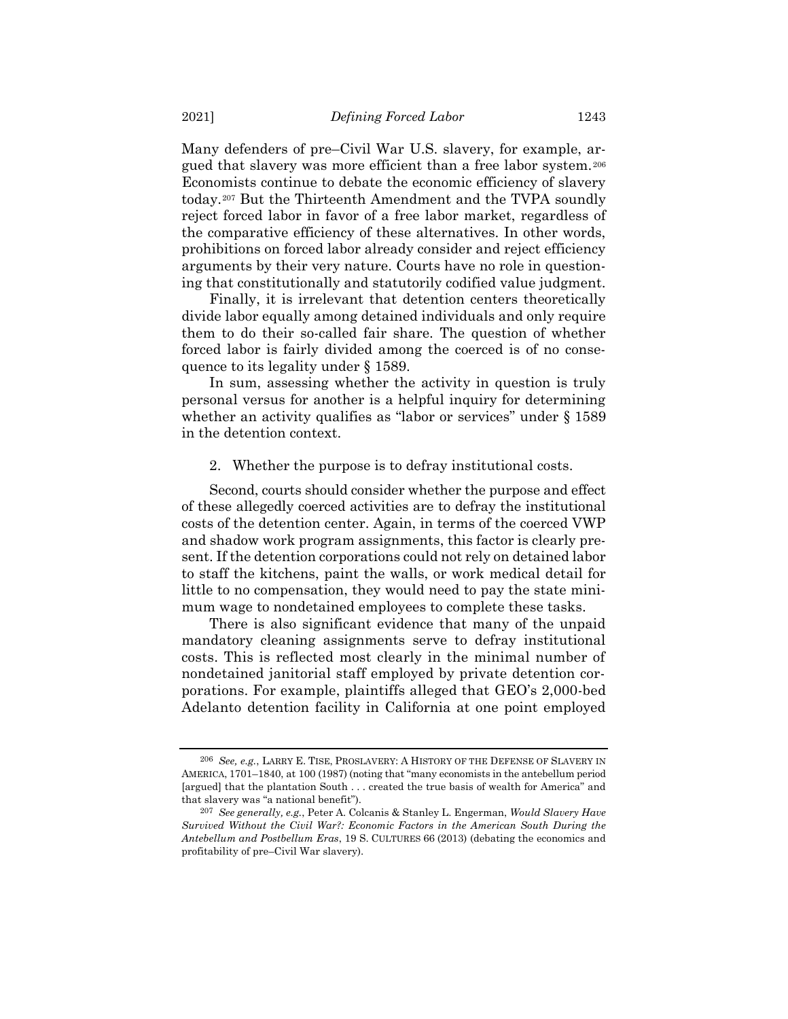Many defenders of pre–Civil War U.S. slavery, for example, argued that slavery was more efficient than a free labor system.<sup>206</sup> Economists continue to debate the economic efficiency of slavery today.<sup>207</sup> But the Thirteenth Amendment and the TVPA soundly reject forced labor in favor of a free labor market, regardless of the comparative efficiency of these alternatives. In other words, prohibitions on forced labor already consider and reject efficiency arguments by their very nature. Courts have no role in questioning that constitutionally and statutorily codified value judgment.

Finally, it is irrelevant that detention centers theoretically divide labor equally among detained individuals and only require them to do their so-called fair share. The question of whether forced labor is fairly divided among the coerced is of no consequence to its legality under § 1589.

In sum, assessing whether the activity in question is truly personal versus for another is a helpful inquiry for determining whether an activity qualifies as "labor or services" under § 1589 in the detention context.

2. Whether the purpose is to defray institutional costs.

Second, courts should consider whether the purpose and effect of these allegedly coerced activities are to defray the institutional costs of the detention center. Again, in terms of the coerced VWP and shadow work program assignments, this factor is clearly present. If the detention corporations could not rely on detained labor to staff the kitchens, paint the walls, or work medical detail for little to no compensation, they would need to pay the state minimum wage to nondetained employees to complete these tasks.

There is also significant evidence that many of the unpaid mandatory cleaning assignments serve to defray institutional costs. This is reflected most clearly in the minimal number of nondetained janitorial staff employed by private detention corporations. For example, plaintiffs alleged that GEO's 2,000-bed Adelanto detention facility in California at one point employed

<sup>206</sup> *See, e.g.*, LARRY E. TISE, PROSLAVERY: A HISTORY OF THE DEFENSE OF SLAVERY IN AMERICA, 1701–1840, at 100 (1987) (noting that "many economists in the antebellum period [argued] that the plantation South . . . created the true basis of wealth for America" and that slavery was "a national benefit").

<sup>207</sup> *See generally, e.g.*, Peter A. Colcanis & Stanley L. Engerman, *Would Slavery Have Survived Without the Civil War?: Economic Factors in the American South During the Antebellum and Postbellum Eras*, 19 S. CULTURES 66 (2013) (debating the economics and profitability of pre–Civil War slavery).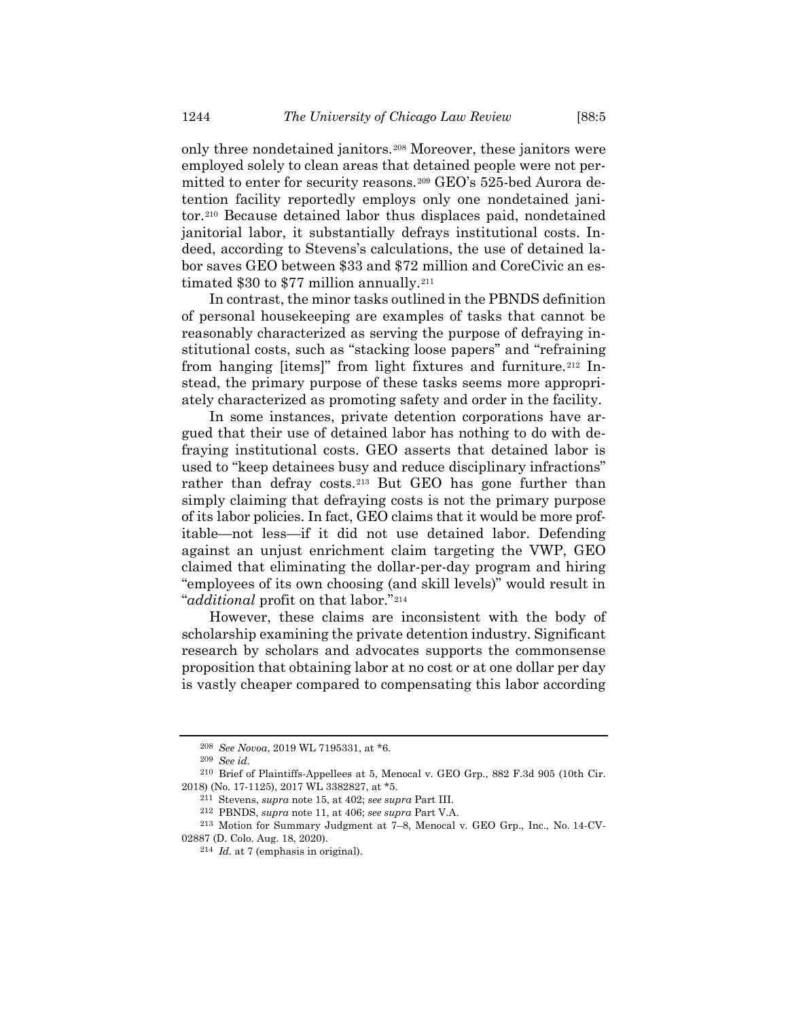only three nondetained janitors.<sup>208</sup> Moreover, these janitors were employed solely to clean areas that detained people were not permitted to enter for security reasons.<sup>209</sup> GEO's 525-bed Aurora detention facility reportedly employs only one nondetained janitor.<sup>210</sup> Because detained labor thus displaces paid, nondetained janitorial labor, it substantially defrays institutional costs. Indeed, according to Stevens's calculations, the use of detained labor saves GEO between \$33 and \$72 million and CoreCivic an estimated \$30 to \$77 million annually.<sup>211</sup>

In contrast, the minor tasks outlined in the PBNDS definition of personal housekeeping are examples of tasks that cannot be reasonably characterized as serving the purpose of defraying institutional costs, such as "stacking loose papers" and "refraining from hanging [items]" from light fixtures and furniture.<sup>212</sup> Instead, the primary purpose of these tasks seems more appropriately characterized as promoting safety and order in the facility.

In some instances, private detention corporations have argued that their use of detained labor has nothing to do with defraying institutional costs. GEO asserts that detained labor is used to "keep detainees busy and reduce disciplinary infractions" rather than defray costs.<sup>213</sup> But GEO has gone further than simply claiming that defraying costs is not the primary purpose of its labor policies. In fact, GEO claims that it would be more profitable—not less—if it did not use detained labor. Defending against an unjust enrichment claim targeting the VWP, GEO claimed that eliminating the dollar-per-day program and hiring "employees of its own choosing (and skill levels)" would result in "*additional* profit on that labor."<sup>214</sup>

However, these claims are inconsistent with the body of scholarship examining the private detention industry. Significant research by scholars and advocates supports the commonsense proposition that obtaining labor at no cost or at one dollar per day is vastly cheaper compared to compensating this labor according

<sup>208</sup> *See Novoa*, 2019 WL 7195331, at \*6.

<sup>209</sup> *See id.*

<sup>210</sup> Brief of Plaintiffs-Appellees at 5, Menocal v. GEO Grp., 882 F.3d 905 (10th Cir. 2018) (No. 17-1125), 2017 WL 3382827, at \*5.

<sup>211</sup> Stevens, *supra* note [15,](#page-5-0) at 402; *see supra* Part III.

<sup>212</sup> PBNDS, *supra* note [11,](#page-4-0) at 406; *see supra* Part V.A.

<sup>213</sup> Motion for Summary Judgment at 7–8, Menocal v. GEO Grp., Inc., No. 14-CV-02887 (D. Colo. Aug. 18, 2020).

<sup>214</sup> *Id.* at 7 (emphasis in original).